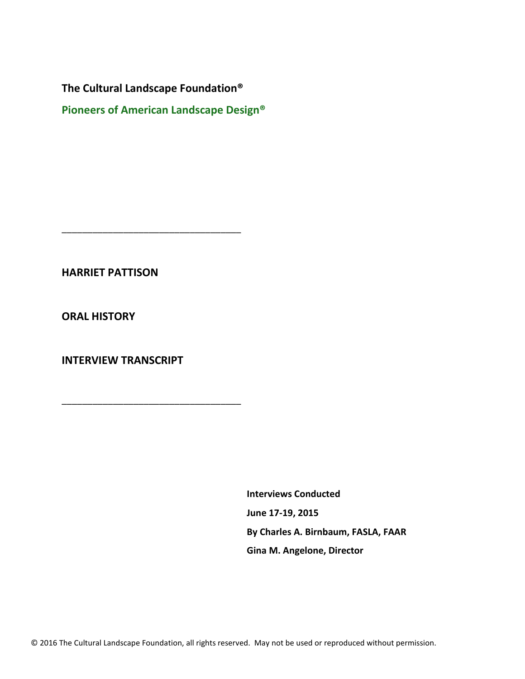\_\_\_\_\_\_\_\_\_\_\_\_\_\_\_\_\_\_\_\_\_\_\_\_\_\_\_\_\_\_\_\_\_\_\_

\_\_\_\_\_\_\_\_\_\_\_\_\_\_\_\_\_\_\_\_\_\_\_\_\_\_\_\_\_\_\_\_\_\_\_

**Pioneers of American Landscape Design®**

**HARRIET PATTISON**

**ORAL HISTORY** 

**INTERVIEW TRANSCRIPT**

**Interviews Conducted June 17-19, 2015 By Charles A. Birnbaum, FASLA, FAAR Gina M. Angelone, Director**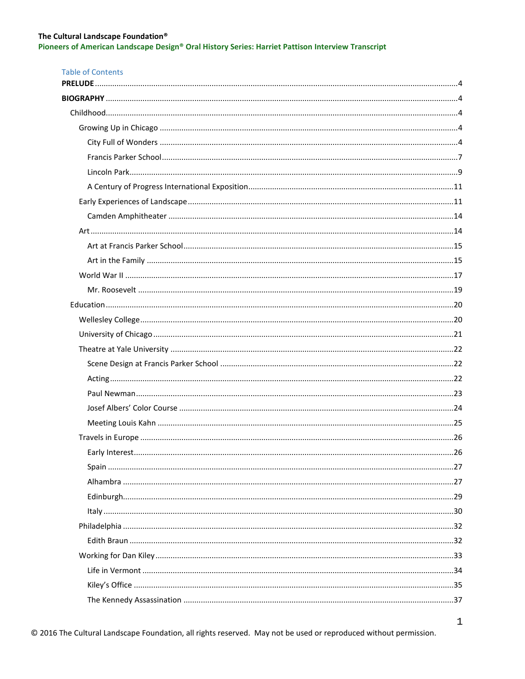Pioneers of American Landscape Design® Oral History Series: Harriet Pattison Interview Transcript

| <b>Table of Contents</b> |  |
|--------------------------|--|
|                          |  |
|                          |  |
|                          |  |
|                          |  |
|                          |  |
|                          |  |
|                          |  |
|                          |  |
|                          |  |
|                          |  |
|                          |  |
|                          |  |
|                          |  |
|                          |  |
|                          |  |
|                          |  |
|                          |  |
|                          |  |
|                          |  |
|                          |  |
|                          |  |
|                          |  |
|                          |  |
|                          |  |
|                          |  |
|                          |  |
|                          |  |
|                          |  |
|                          |  |
|                          |  |
|                          |  |
|                          |  |
|                          |  |
|                          |  |
|                          |  |
|                          |  |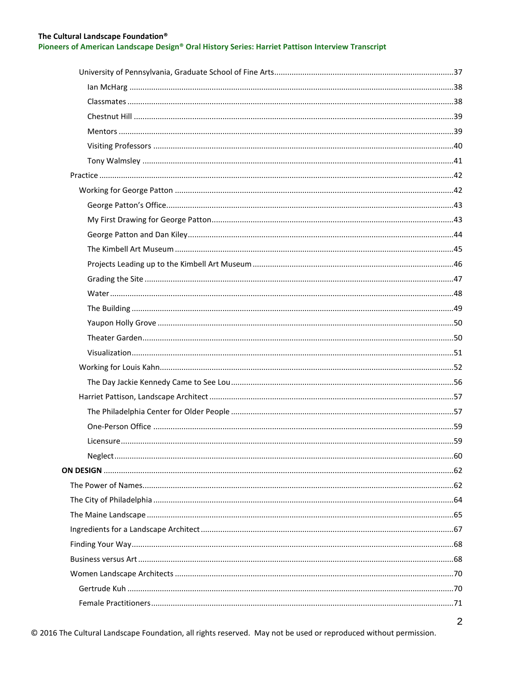Pioneers of American Landscape Design® Oral History Series: Harriet Pattison Interview Transcript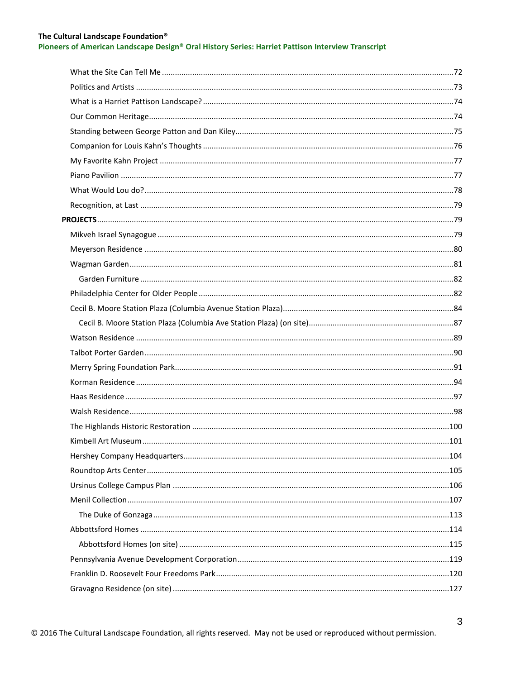## Pioneers of American Landscape Design® Oral History Series: Harriet Pattison Interview Transcript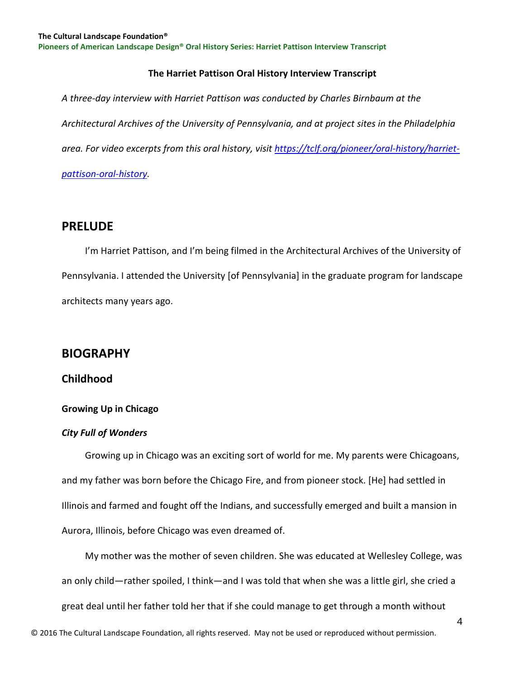# **The Harriet Pattison Oral History Interview Transcript**

*A three-day interview with Harriet Pattison was conducted by Charles Birnbaum at the Architectural Archives of the University of Pennsylvania, and at project sites in the Philadelphia area. For video excerpts from this oral history, visit [https://tclf.org/pioneer/oral-history/harriet](https://tclf.org/pioneer/oral-history/harriet-pattison-oral-history)[pattison-oral-history.](https://tclf.org/pioneer/oral-history/harriet-pattison-oral-history)*

# <span id="page-4-0"></span>**PRELUDE**

 I'm Harriet Pattison, and I'm being filmed in the Architectural Archives of the University of Pennsylvania. I attended the University [of Pennsylvania] in the graduate program for landscape architects many years ago.

# <span id="page-4-1"></span>**BIOGRAPHY**

# <span id="page-4-2"></span>**Childhood**

# <span id="page-4-3"></span>**Growing Up in Chicago**

# <span id="page-4-4"></span>*City Full of Wonders*

 Growing up in Chicago was an exciting sort of world for me. My parents were Chicagoans, and my father was born before the Chicago Fire, and from pioneer stock. [He] had settled in Illinois and farmed and fought off the Indians, and successfully emerged and built a mansion in Aurora, Illinois, before Chicago was even dreamed of.

 My mother was the mother of seven children. She was educated at Wellesley College, was an only child—rather spoiled, I think—and I was told that when she was a little girl, she cried a great deal until her father told her that if she could manage to get through a month without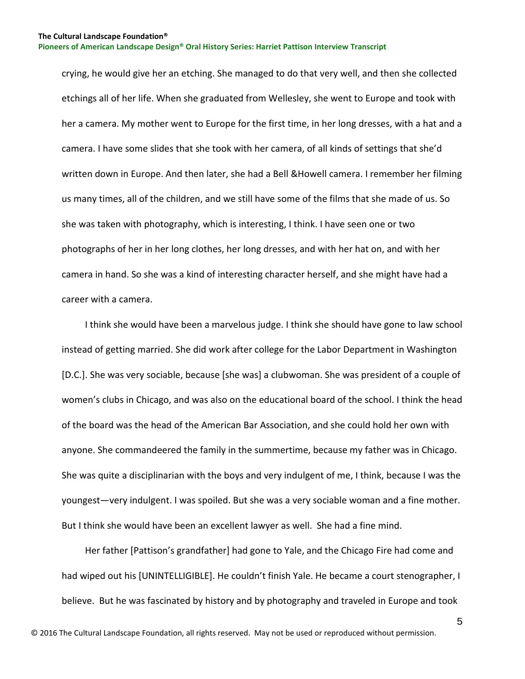crying, he would give her an etching. She managed to do that very well, and then she collected etchings all of her life. When she graduated from Wellesley, she went to Europe and took with her a camera. My mother went to Europe for the first time, in her long dresses, with a hat and a camera. I have some slides that she took with her camera, of all kinds of settings that she'd written down in Europe. And then later, she had a Bell &Howell camera. I remember her filming us many times, all of the children, and we still have some of the films that she made of us. So she was taken with photography, which is interesting, I think. I have seen one or two photographs of her in her long clothes, her long dresses, and with her hat on, and with her camera in hand. So she was a kind of interesting character herself, and she might have had a career with a camera.

 I think she would have been a marvelous judge. I think she should have gone to law school instead of getting married. She did work after college for the Labor Department in Washington [D.C.]. She was very sociable, because [she was] a clubwoman. She was president of a couple of women's clubs in Chicago, and was also on the educational board of the school. I think the head of the board was the head of the American Bar Association, and she could hold her own with anyone. She commandeered the family in the summertime, because my father was in Chicago. She was quite a disciplinarian with the boys and very indulgent of me, I think, because I was the youngest—very indulgent. I was spoiled. But she was a very sociable woman and a fine mother. But I think she would have been an excellent lawyer as well. She had a fine mind.

 Her father [Pattison's grandfather] had gone to Yale, and the Chicago Fire had come and had wiped out his [UNINTELLIGIBLE]. He couldn't finish Yale. He became a court stenographer, I believe. But he was fascinated by history and by photography and traveled in Europe and took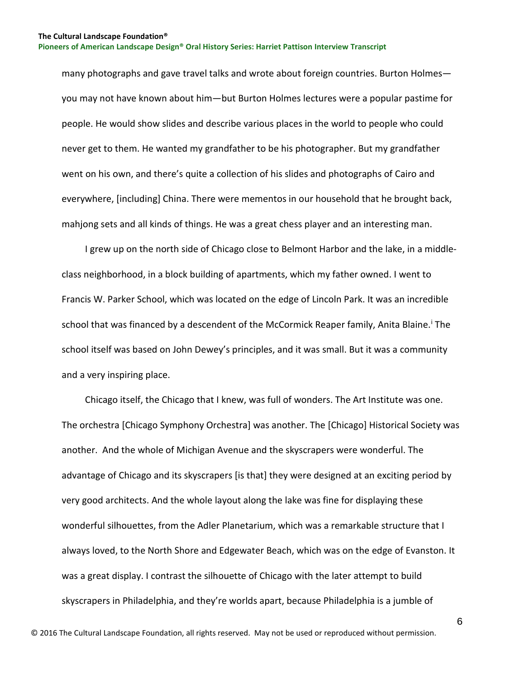many photographs and gave travel talks and wrote about foreign countries. Burton Holmes you may not have known about him—but Burton Holmes lectures were a popular pastime for people. He would show slides and describe various places in the world to people who could never get to them. He wanted my grandfather to be his photographer. But my grandfather went on his own, and there's quite a collection of his slides and photographs of Cairo and everywhere, [including] China. There were mementos in our household that he brought back, mahjong sets and all kinds of things. He was a great chess player and an interesting man.

 I grew up on the north side of Chicago close to Belmont Harbor and the lake, in a middleclass neighborhood, in a block building of apartments, which my father owned. I went to Francis W. Parker School, which was located on the edge of Lincoln Park. It was an incredible school that was f[i](#page-129-0)nanced by a descendent of the McCormick Reaper family, Anita Blaine.<sup>i</sup> The school itself was based on John Dewey's principles, and it was small. But it was a community and a very inspiring place.

 Chicago itself, the Chicago that I knew, was full of wonders. The Art Institute was one. The orchestra [Chicago Symphony Orchestra] was another. The [Chicago] Historical Society was another. And the whole of Michigan Avenue and the skyscrapers were wonderful. The advantage of Chicago and its skyscrapers [is that] they were designed at an exciting period by very good architects. And the whole layout along the lake was fine for displaying these wonderful silhouettes, from the Adler Planetarium, which was a remarkable structure that I always loved, to the North Shore and Edgewater Beach, which was on the edge of Evanston. It was a great display. I contrast the silhouette of Chicago with the later attempt to build skyscrapers in Philadelphia, and they're worlds apart, because Philadelphia is a jumble of

6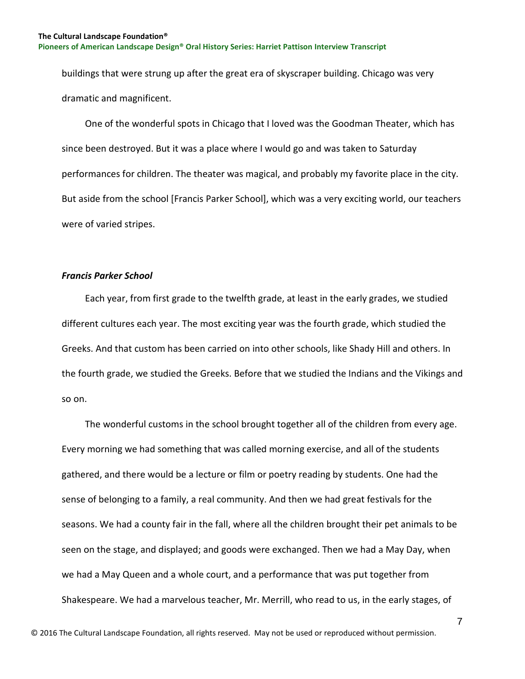buildings that were strung up after the great era of skyscraper building. Chicago was very dramatic and magnificent.

 One of the wonderful spots in Chicago that I loved was the Goodman Theater, which has since been destroyed. But it was a place where I would go and was taken to Saturday performances for children. The theater was magical, and probably my favorite place in the city. But aside from the school [Francis Parker School], which was a very exciting world, our teachers were of varied stripes.

## <span id="page-7-0"></span>*Francis Parker School*

 Each year, from first grade to the twelfth grade, at least in the early grades, we studied different cultures each year. The most exciting year was the fourth grade, which studied the Greeks. And that custom has been carried on into other schools, like Shady Hill and others. In the fourth grade, we studied the Greeks. Before that we studied the Indians and the Vikings and so on.

 The wonderful customs in the school brought together all of the children from every age. Every morning we had something that was called morning exercise, and all of the students gathered, and there would be a lecture or film or poetry reading by students. One had the sense of belonging to a family, a real community. And then we had great festivals for the seasons. We had a county fair in the fall, where all the children brought their pet animals to be seen on the stage, and displayed; and goods were exchanged. Then we had a May Day, when we had a May Queen and a whole court, and a performance that was put together from Shakespeare. We had a marvelous teacher, Mr. Merrill, who read to us, in the early stages, of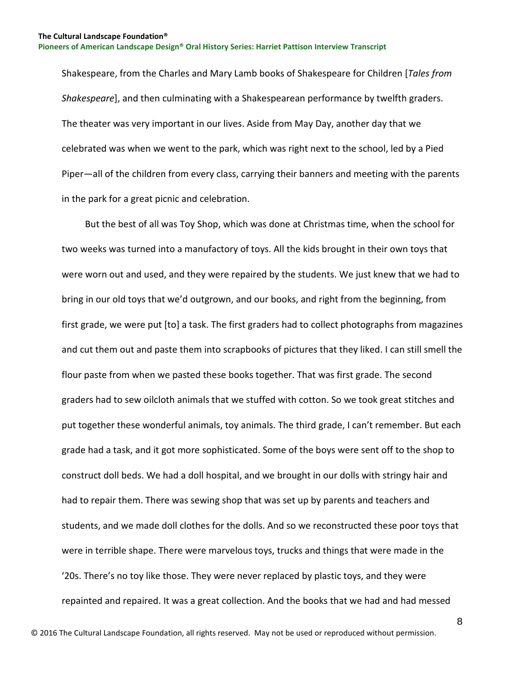Shakespeare, from the Charles and Mary Lamb books of Shakespeare for Children [*Tales from Shakespeare*], and then culminating with a Shakespearean performance by twelfth graders. The theater was very important in our lives. Aside from May Day, another day that we celebrated was when we went to the park, which was right next to the school, led by a Pied Piper—all of the children from every class, carrying their banners and meeting with the parents in the park for a great picnic and celebration.

 But the best of all was Toy Shop, which was done at Christmas time, when the school for two weeks was turned into a manufactory of toys. All the kids brought in their own toys that were worn out and used, and they were repaired by the students. We just knew that we had to bring in our old toys that we'd outgrown, and our books, and right from the beginning, from first grade, we were put [to] a task. The first graders had to collect photographs from magazines and cut them out and paste them into scrapbooks of pictures that they liked. I can still smell the flour paste from when we pasted these books together. That was first grade. The second graders had to sew oilcloth animals that we stuffed with cotton. So we took great stitches and put together these wonderful animals, toy animals. The third grade, I can't remember. But each grade had a task, and it got more sophisticated. Some of the boys were sent off to the shop to construct doll beds. We had a doll hospital, and we brought in our dolls with stringy hair and had to repair them. There was sewing shop that was set up by parents and teachers and students, and we made doll clothes for the dolls. And so we reconstructed these poor toys that were in terrible shape. There were marvelous toys, trucks and things that were made in the '20s. There's no toy like those. They were never replaced by plastic toys, and they were repainted and repaired. It was a great collection. And the books that we had and had messed

8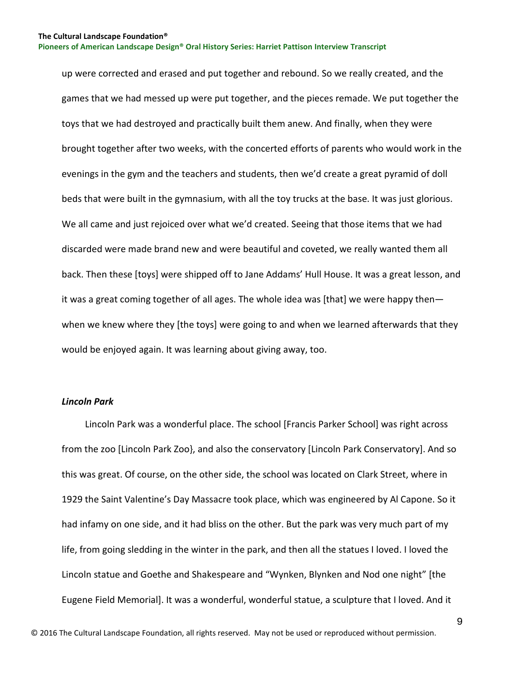up were corrected and erased and put together and rebound. So we really created, and the games that we had messed up were put together, and the pieces remade. We put together the toys that we had destroyed and practically built them anew. And finally, when they were brought together after two weeks, with the concerted efforts of parents who would work in the evenings in the gym and the teachers and students, then we'd create a great pyramid of doll beds that were built in the gymnasium, with all the toy trucks at the base. It was just glorious. We all came and just rejoiced over what we'd created. Seeing that those items that we had discarded were made brand new and were beautiful and coveted, we really wanted them all back. Then these [toys] were shipped off to Jane Addams' Hull House. It was a great lesson, and it was a great coming together of all ages. The whole idea was [that] we were happy then when we knew where they [the toys] were going to and when we learned afterwards that they would be enjoyed again. It was learning about giving away, too.

## <span id="page-9-0"></span>*Lincoln Park*

 Lincoln Park was a wonderful place. The school [Francis Parker School] was right across from the zoo [Lincoln Park Zoo}, and also the conservatory [Lincoln Park Conservatory]. And so this was great. Of course, on the other side, the school was located on Clark Street, where in 1929 the Saint Valentine's Day Massacre took place, which was engineered by Al Capone. So it had infamy on one side, and it had bliss on the other. But the park was very much part of my life, from going sledding in the winter in the park, and then all the statues I loved. I loved the Lincoln statue and Goethe and Shakespeare and "Wynken, Blynken and Nod one night" [the Eugene Field Memorial]. It was a wonderful, wonderful statue, a sculpture that I loved. And it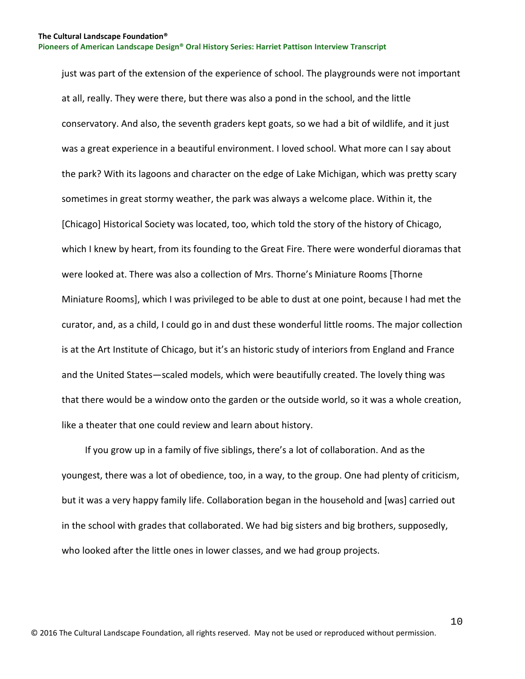just was part of the extension of the experience of school. The playgrounds were not important at all, really. They were there, but there was also a pond in the school, and the little conservatory. And also, the seventh graders kept goats, so we had a bit of wildlife, and it just was a great experience in a beautiful environment. I loved school. What more can I say about the park? With its lagoons and character on the edge of Lake Michigan, which was pretty scary sometimes in great stormy weather, the park was always a welcome place. Within it, the [Chicago] Historical Society was located, too, which told the story of the history of Chicago, which I knew by heart, from its founding to the Great Fire. There were wonderful dioramas that were looked at. There was also a collection of Mrs. Thorne's Miniature Rooms [Thorne Miniature Rooms], which I was privileged to be able to dust at one point, because I had met the curator, and, as a child, I could go in and dust these wonderful little rooms. The major collection is at the Art Institute of Chicago, but it's an historic study of interiors from England and France and the United States—scaled models, which were beautifully created. The lovely thing was that there would be a window onto the garden or the outside world, so it was a whole creation, like a theater that one could review and learn about history.

 If you grow up in a family of five siblings, there's a lot of collaboration. And as the youngest, there was a lot of obedience, too, in a way, to the group. One had plenty of criticism, but it was a very happy family life. Collaboration began in the household and [was] carried out in the school with grades that collaborated. We had big sisters and big brothers, supposedly, who looked after the little ones in lower classes, and we had group projects.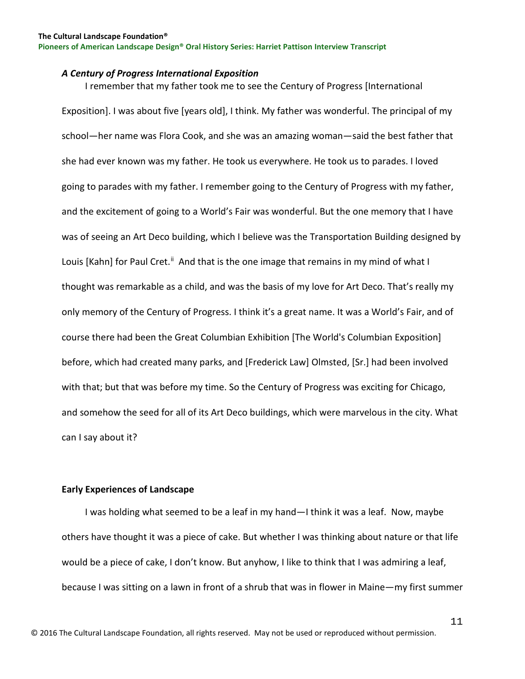#### <span id="page-11-0"></span>*A Century of Progress International Exposition*

 I remember that my father took me to see the Century of Progress [International Exposition]. I was about five [years old], I think. My father was wonderful. The principal of my school—her name was Flora Cook, and she was an amazing woman—said the best father that she had ever known was my father. He took us everywhere. He took us to parades. I loved going to parades with my father. I remember going to the Century of Progress with my father, and the excitement of going to a World's Fair was wonderful. But the one memory that I have was of seeing an Art Deco building, which I believe was the Transportation Building designed by Louis [Kahn] for Paul Cret.<sup>[ii](#page-129-1)</sup> And that is the one image that remains in my mind of what I thought was remarkable as a child, and was the basis of my love for Art Deco. That's really my only memory of the Century of Progress. I think it's a great name. It was a World's Fair, and of course there had been the Great Columbian Exhibition [The World's Columbian Exposition] before, which had created many parks, and [Frederick Law] Olmsted, [Sr.] had been involved with that; but that was before my time. So the Century of Progress was exciting for Chicago, and somehow the seed for all of its Art Deco buildings, which were marvelous in the city. What can I say about it?

#### <span id="page-11-1"></span>**Early Experiences of Landscape**

 I was holding what seemed to be a leaf in my hand—I think it was a leaf. Now, maybe others have thought it was a piece of cake. But whether I was thinking about nature or that life would be a piece of cake, I don't know. But anyhow, I like to think that I was admiring a leaf, because I was sitting on a lawn in front of a shrub that was in flower in Maine—my first summer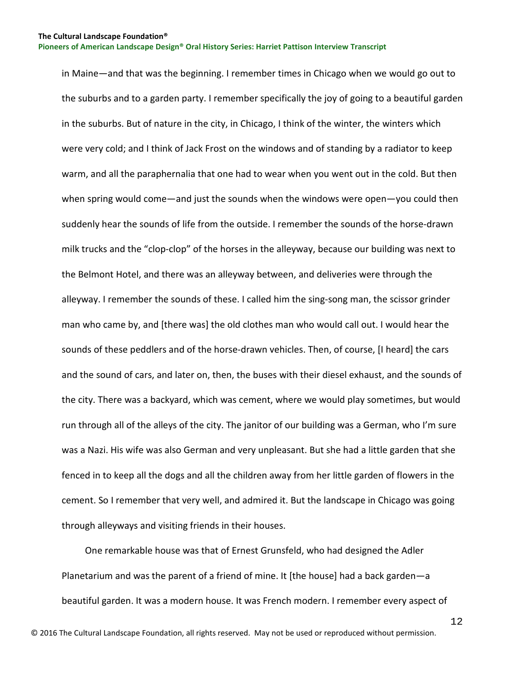in Maine—and that was the beginning. I remember times in Chicago when we would go out to the suburbs and to a garden party. I remember specifically the joy of going to a beautiful garden in the suburbs. But of nature in the city, in Chicago, I think of the winter, the winters which were very cold; and I think of Jack Frost on the windows and of standing by a radiator to keep warm, and all the paraphernalia that one had to wear when you went out in the cold. But then when spring would come—and just the sounds when the windows were open—you could then suddenly hear the sounds of life from the outside. I remember the sounds of the horse-drawn milk trucks and the "clop-clop" of the horses in the alleyway, because our building was next to the Belmont Hotel, and there was an alleyway between, and deliveries were through the alleyway. I remember the sounds of these. I called him the sing-song man, the scissor grinder man who came by, and [there was] the old clothes man who would call out. I would hear the sounds of these peddlers and of the horse-drawn vehicles. Then, of course, [I heard] the cars and the sound of cars, and later on, then, the buses with their diesel exhaust, and the sounds of the city. There was a backyard, which was cement, where we would play sometimes, but would run through all of the alleys of the city. The janitor of our building was a German, who I'm sure was a Nazi. His wife was also German and very unpleasant. But she had a little garden that she fenced in to keep all the dogs and all the children away from her little garden of flowers in the cement. So I remember that very well, and admired it. But the landscape in Chicago was going through alleyways and visiting friends in their houses.

 One remarkable house was that of Ernest Grunsfeld, who had designed the Adler Planetarium and was the parent of a friend of mine. It [the house] had a back garden—a beautiful garden. It was a modern house. It was French modern. I remember every aspect of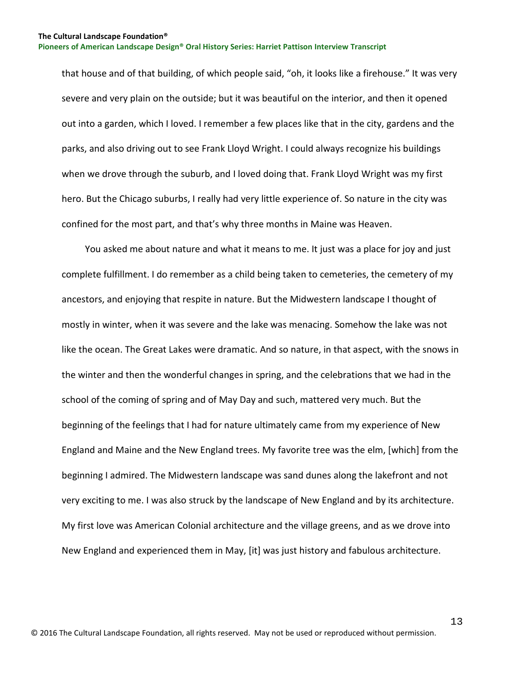that house and of that building, of which people said, "oh, it looks like a firehouse." It was very severe and very plain on the outside; but it was beautiful on the interior, and then it opened out into a garden, which I loved. I remember a few places like that in the city, gardens and the parks, and also driving out to see Frank Lloyd Wright. I could always recognize his buildings when we drove through the suburb, and I loved doing that. Frank Lloyd Wright was my first hero. But the Chicago suburbs, I really had very little experience of. So nature in the city was confined for the most part, and that's why three months in Maine was Heaven.

 You asked me about nature and what it means to me. It just was a place for joy and just complete fulfillment. I do remember as a child being taken to cemeteries, the cemetery of my ancestors, and enjoying that respite in nature. But the Midwestern landscape I thought of mostly in winter, when it was severe and the lake was menacing. Somehow the lake was not like the ocean. The Great Lakes were dramatic. And so nature, in that aspect, with the snows in the winter and then the wonderful changes in spring, and the celebrations that we had in the school of the coming of spring and of May Day and such, mattered very much. But the beginning of the feelings that I had for nature ultimately came from my experience of New England and Maine and the New England trees. My favorite tree was the elm, [which] from the beginning I admired. The Midwestern landscape was sand dunes along the lakefront and not very exciting to me. I was also struck by the landscape of New England and by its architecture. My first love was American Colonial architecture and the village greens, and as we drove into New England and experienced them in May, [it] was just history and fabulous architecture.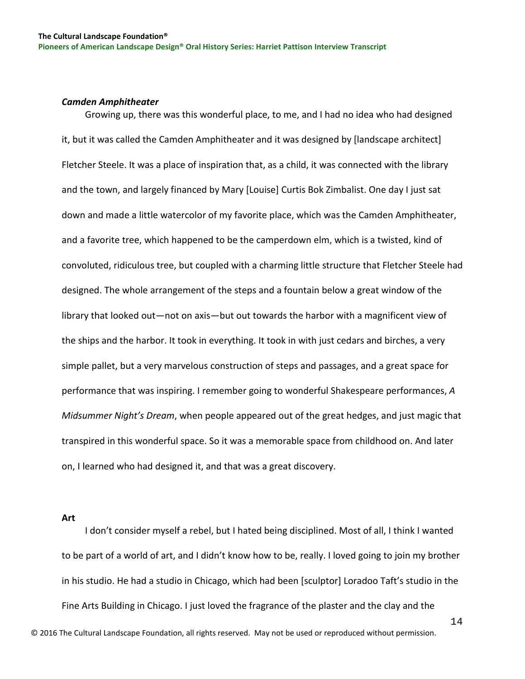#### <span id="page-14-0"></span>*Camden Amphitheater*

 Growing up, there was this wonderful place, to me, and I had no idea who had designed it, but it was called the Camden Amphitheater and it was designed by [landscape architect] Fletcher Steele. It was a place of inspiration that, as a child, it was connected with the library and the town, and largely financed by Mary [Louise] Curtis Bok Zimbalist. One day I just sat down and made a little watercolor of my favorite place, which was the Camden Amphitheater, and a favorite tree, which happened to be the camperdown elm, which is a twisted, kind of convoluted, ridiculous tree, but coupled with a charming little structure that Fletcher Steele had designed. The whole arrangement of the steps and a fountain below a great window of the library that looked out—not on axis—but out towards the harbor with a magnificent view of the ships and the harbor. It took in everything. It took in with just cedars and birches, a very simple pallet, but a very marvelous construction of steps and passages, and a great space for performance that was inspiring. I remember going to wonderful Shakespeare performances, *A Midsummer Night's Dream*, when people appeared out of the great hedges, and just magic that transpired in this wonderful space. So it was a memorable space from childhood on. And later on, I learned who had designed it, and that was a great discovery.

<span id="page-14-1"></span>**Art**

14 I don't consider myself a rebel, but I hated being disciplined. Most of all, I think I wanted to be part of a world of art, and I didn't know how to be, really. I loved going to join my brother in his studio. He had a studio in Chicago, which had been [sculptor] Loradoo Taft's studio in the Fine Arts Building in Chicago. I just loved the fragrance of the plaster and the clay and the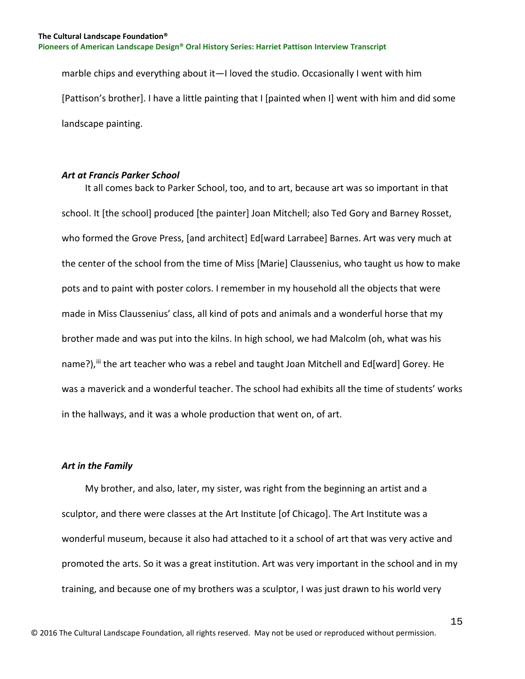marble chips and everything about it—I loved the studio. Occasionally I went with him [Pattison's brother]. I have a little painting that I [painted when I] went with him and did some landscape painting.

### <span id="page-15-0"></span>*Art at Francis Parker School*

 It all comes back to Parker School, too, and to art, because art was so important in that school. It [the school] produced [the painter] Joan Mitchell; also Ted Gory and Barney Rosset, who formed the Grove Press, [and architect] Ed[ward Larrabee] Barnes. Art was very much at the center of the school from the time of Miss [Marie] Claussenius, who taught us how to make pots and to paint with poster colors. I remember in my household all the objects that were made in Miss Claussenius' class, all kind of pots and animals and a wonderful horse that my brother made and was put into the kilns. In high school, we had Malcolm (oh, what was his name?), iij the art teacher who was a rebel and taught Joan Mitchell and Ed[ward] Gorey. He was a maverick and a wonderful teacher. The school had exhibits all the time of students' works in the hallways, and it was a whole production that went on, of art.

## <span id="page-15-1"></span>*Art in the Family*

 My brother, and also, later, my sister, was right from the beginning an artist and a sculptor, and there were classes at the Art Institute [of Chicago]. The Art Institute was a wonderful museum, because it also had attached to it a school of art that was very active and promoted the arts. So it was a great institution. Art was very important in the school and in my training, and because one of my brothers was a sculptor, I was just drawn to his world very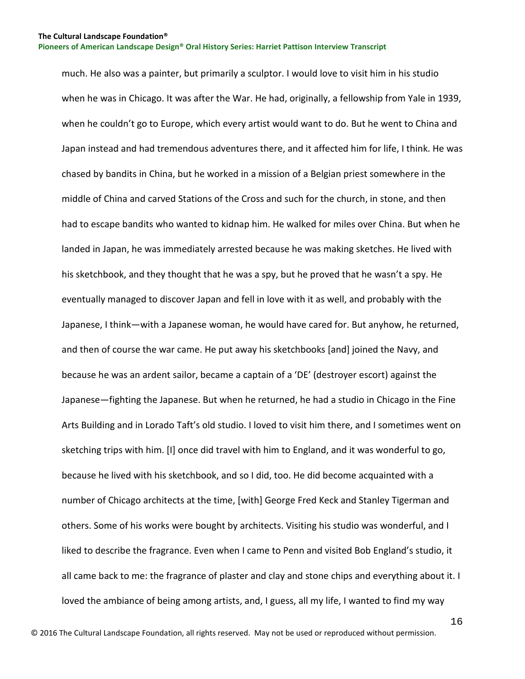much. He also was a painter, but primarily a sculptor. I would love to visit him in his studio when he was in Chicago. It was after the War. He had, originally, a fellowship from Yale in 1939, when he couldn't go to Europe, which every artist would want to do. But he went to China and Japan instead and had tremendous adventures there, and it affected him for life, I think. He was chased by bandits in China, but he worked in a mission of a Belgian priest somewhere in the middle of China and carved Stations of the Cross and such for the church, in stone, and then had to escape bandits who wanted to kidnap him. He walked for miles over China. But when he landed in Japan, he was immediately arrested because he was making sketches. He lived with his sketchbook, and they thought that he was a spy, but he proved that he wasn't a spy. He eventually managed to discover Japan and fell in love with it as well, and probably with the Japanese, I think—with a Japanese woman, he would have cared for. But anyhow, he returned, and then of course the war came. He put away his sketchbooks [and] joined the Navy, and because he was an ardent sailor, became a captain of a 'DE' (destroyer escort) against the Japanese—fighting the Japanese. But when he returned, he had a studio in Chicago in the Fine Arts Building and in Lorado Taft's old studio. I loved to visit him there, and I sometimes went on sketching trips with him. [I] once did travel with him to England, and it was wonderful to go, because he lived with his sketchbook, and so I did, too. He did become acquainted with a number of Chicago architects at the time, [with] George Fred Keck and Stanley Tigerman and others. Some of his works were bought by architects. Visiting his studio was wonderful, and I liked to describe the fragrance. Even when I came to Penn and visited Bob England's studio, it all came back to me: the fragrance of plaster and clay and stone chips and everything about it. I loved the ambiance of being among artists, and, I guess, all my life, I wanted to find my way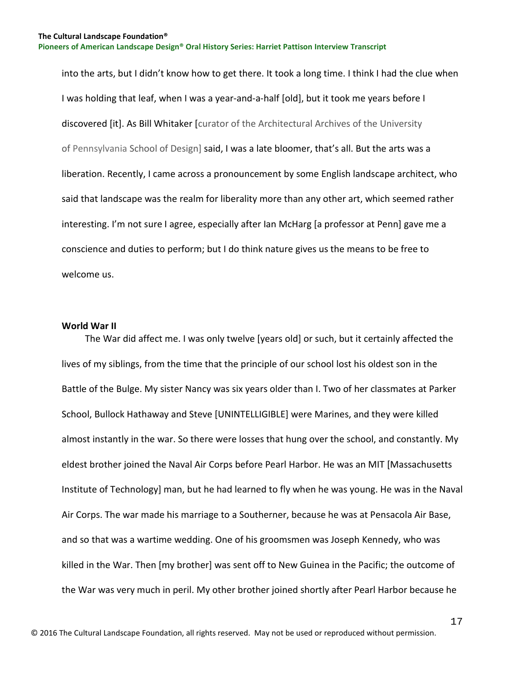into the arts, but I didn't know how to get there. It took a long time. I think I had the clue when I was holding that leaf, when I was a year-and-a-half [old], but it took me years before I discovered [it]. As Bill Whitaker [curator of the Architectural Archives of the University of Pennsylvania School of Design] said, I was a late bloomer, that's all. But the arts was a liberation. Recently, I came across a pronouncement by some English landscape architect, who said that landscape was the realm for liberality more than any other art, which seemed rather interesting. I'm not sure I agree, especially after Ian McHarg [a professor at Penn] gave me a conscience and duties to perform; but I do think nature gives us the means to be free to welcome us.

## <span id="page-17-0"></span>**World War II**

 The War did affect me. I was only twelve [years old] or such, but it certainly affected the lives of my siblings, from the time that the principle of our school lost his oldest son in the Battle of the Bulge. My sister Nancy was six years older than I. Two of her classmates at Parker School, Bullock Hathaway and Steve [UNINTELLIGIBLE] were Marines, and they were killed almost instantly in the war. So there were losses that hung over the school, and constantly. My eldest brother joined the Naval Air Corps before Pearl Harbor. He was an MIT [Massachusetts Institute of Technology] man, but he had learned to fly when he was young. He was in the Naval Air Corps. The war made his marriage to a Southerner, because he was at Pensacola Air Base, and so that was a wartime wedding. One of his groomsmen was Joseph Kennedy, who was killed in the War. Then [my brother] was sent off to New Guinea in the Pacific; the outcome of the War was very much in peril. My other brother joined shortly after Pearl Harbor because he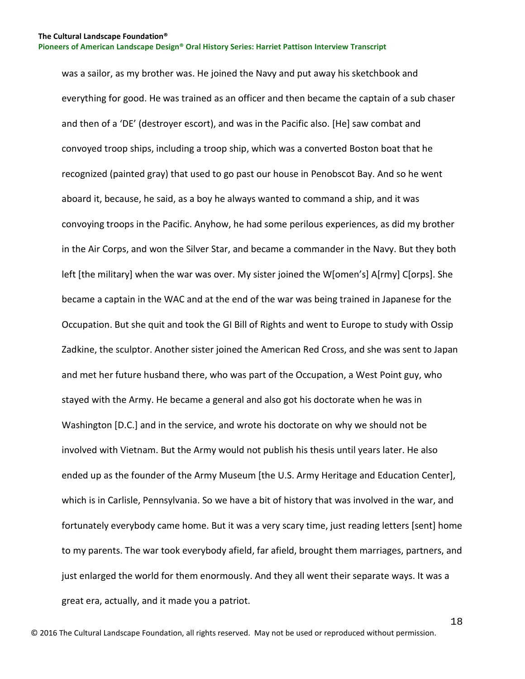was a sailor, as my brother was. He joined the Navy and put away his sketchbook and everything for good. He was trained as an officer and then became the captain of a sub chaser and then of a 'DE' (destroyer escort), and was in the Pacific also. [He] saw combat and convoyed troop ships, including a troop ship, which was a converted Boston boat that he recognized (painted gray) that used to go past our house in Penobscot Bay. And so he went aboard it, because, he said, as a boy he always wanted to command a ship, and it was convoying troops in the Pacific. Anyhow, he had some perilous experiences, as did my brother in the Air Corps, and won the Silver Star, and became a commander in the Navy. But they both left [the military] when the war was over. My sister joined the W[omen's] A[rmy] C[orps]. She became a captain in the WAC and at the end of the war was being trained in Japanese for the Occupation. But she quit and took the GI Bill of Rights and went to Europe to study with Ossip Zadkine, the sculptor. Another sister joined the American Red Cross, and she was sent to Japan and met her future husband there, who was part of the Occupation, a West Point guy, who stayed with the Army. He became a general and also got his doctorate when he was in Washington [D.C.] and in the service, and wrote his doctorate on why we should not be involved with Vietnam. But the Army would not publish his thesis until years later. He also ended up as the founder of the Army Museum [the U.S. Army Heritage and Education Center], which is in Carlisle, Pennsylvania. So we have a bit of history that was involved in the war, and fortunately everybody came home. But it was a very scary time, just reading letters [sent] home to my parents. The war took everybody afield, far afield, brought them marriages, partners, and just enlarged the world for them enormously. And they all went their separate ways. It was a great era, actually, and it made you a patriot.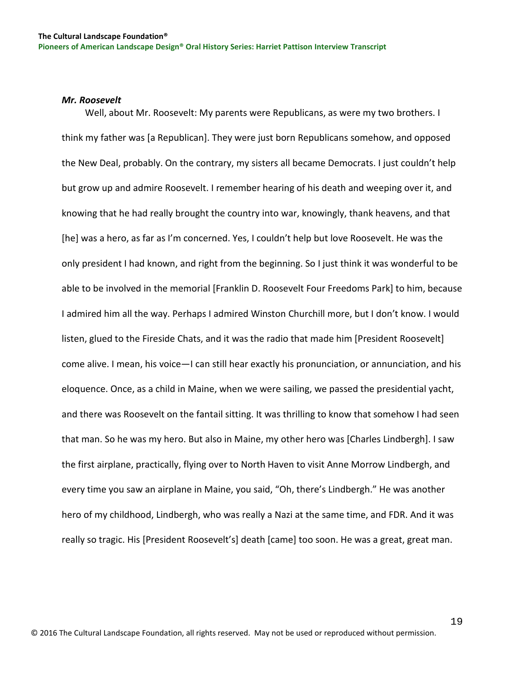## <span id="page-19-0"></span>*Mr. Roosevelt*

 Well, about Mr. Roosevelt: My parents were Republicans, as were my two brothers. I think my father was [a Republican]. They were just born Republicans somehow, and opposed the New Deal, probably. On the contrary, my sisters all became Democrats. I just couldn't help but grow up and admire Roosevelt. I remember hearing of his death and weeping over it, and knowing that he had really brought the country into war, knowingly, thank heavens, and that [he] was a hero, as far as I'm concerned. Yes, I couldn't help but love Roosevelt. He was the only president I had known, and right from the beginning. So I just think it was wonderful to be able to be involved in the memorial [Franklin D. Roosevelt Four Freedoms Park] to him, because I admired him all the way. Perhaps I admired Winston Churchill more, but I don't know. I would listen, glued to the Fireside Chats, and it was the radio that made him [President Roosevelt] come alive. I mean, his voice—I can still hear exactly his pronunciation, or annunciation, and his eloquence. Once, as a child in Maine, when we were sailing, we passed the presidential yacht, and there was Roosevelt on the fantail sitting. It was thrilling to know that somehow I had seen that man. So he was my hero. But also in Maine, my other hero was [Charles Lindbergh]. I saw the first airplane, practically, flying over to North Haven to visit Anne Morrow Lindbergh, and every time you saw an airplane in Maine, you said, "Oh, there's Lindbergh." He was another hero of my childhood, Lindbergh, who was really a Nazi at the same time, and FDR. And it was really so tragic. His [President Roosevelt's] death [came] too soon. He was a great, great man.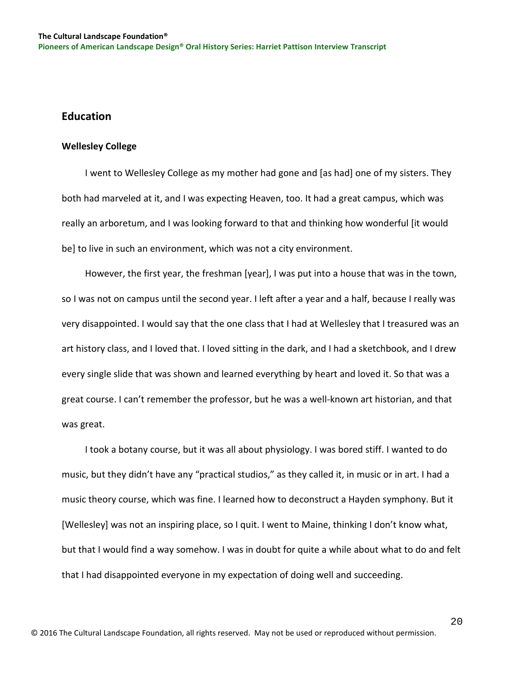# <span id="page-20-0"></span>**Education**

## <span id="page-20-1"></span>**Wellesley College**

 I went to Wellesley College as my mother had gone and [as had] one of my sisters. They both had marveled at it, and I was expecting Heaven, too. It had a great campus, which was really an arboretum, and I was looking forward to that and thinking how wonderful [it would be] to live in such an environment, which was not a city environment.

 However, the first year, the freshman [year], I was put into a house that was in the town, so I was not on campus until the second year. I left after a year and a half, because I really was very disappointed. I would say that the one class that I had at Wellesley that I treasured was an art history class, and I loved that. I loved sitting in the dark, and I had a sketchbook, and I drew every single slide that was shown and learned everything by heart and loved it. So that was a great course. I can't remember the professor, but he was a well-known art historian, and that was great.

 I took a botany course, but it was all about physiology. I was bored stiff. I wanted to do music, but they didn't have any "practical studios," as they called it, in music or in art. I had a music theory course, which was fine. I learned how to deconstruct a Hayden symphony. But it [Wellesley] was not an inspiring place, so I quit. I went to Maine, thinking I don't know what, but that I would find a way somehow. I was in doubt for quite a while about what to do and felt that I had disappointed everyone in my expectation of doing well and succeeding.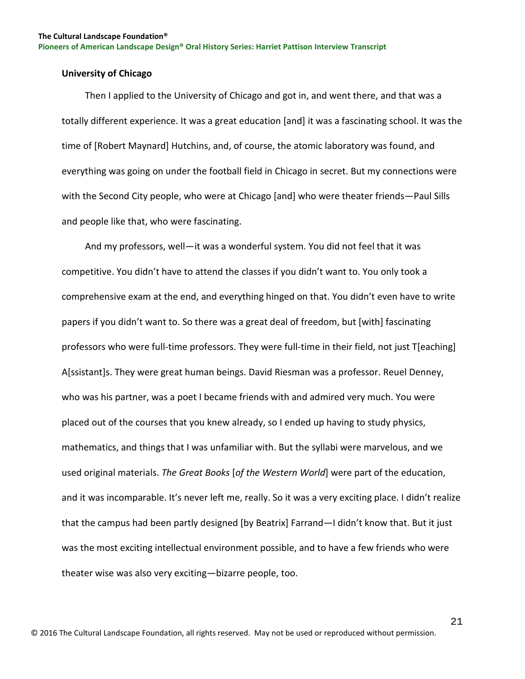## <span id="page-21-0"></span>**University of Chicago**

 Then I applied to the University of Chicago and got in, and went there, and that was a totally different experience. It was a great education [and] it was a fascinating school. It was the time of [Robert Maynard] Hutchins, and, of course, the atomic laboratory was found, and everything was going on under the football field in Chicago in secret. But my connections were with the Second City people, who were at Chicago [and] who were theater friends—Paul Sills and people like that, who were fascinating.

 And my professors, well—it was a wonderful system. You did not feel that it was competitive. You didn't have to attend the classes if you didn't want to. You only took a comprehensive exam at the end, and everything hinged on that. You didn't even have to write papers if you didn't want to. So there was a great deal of freedom, but [with] fascinating professors who were full-time professors. They were full-time in their field, not just T[eaching] A[ssistant]s. They were great human beings. David Riesman was a professor. Reuel Denney, who was his partner, was a poet I became friends with and admired very much. You were placed out of the courses that you knew already, so I ended up having to study physics, mathematics, and things that I was unfamiliar with. But the syllabi were marvelous, and we used original materials. *The Great Books* [*of the Western World*] were part of the education, and it was incomparable. It's never left me, really. So it was a very exciting place. I didn't realize that the campus had been partly designed [by Beatrix] Farrand—I didn't know that. But it just was the most exciting intellectual environment possible, and to have a few friends who were theater wise was also very exciting—bizarre people, too.

21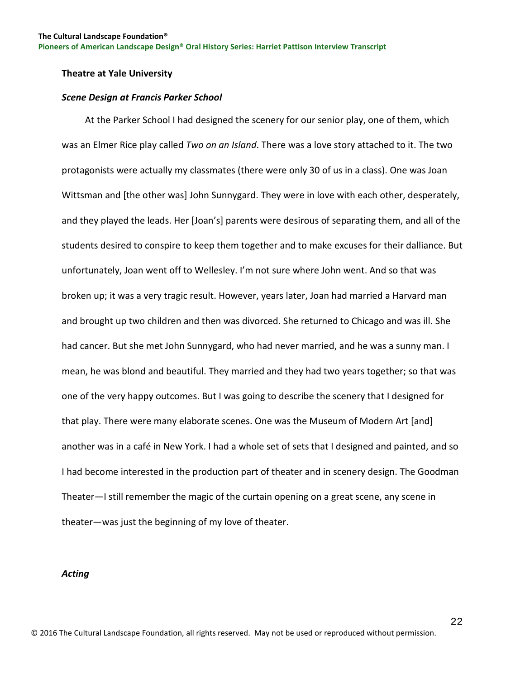## <span id="page-22-0"></span>**Theatre at Yale University**

#### <span id="page-22-1"></span>*Scene Design at Francis Parker School*

 At the Parker School I had designed the scenery for our senior play, one of them, which was an Elmer Rice play called *Two on an Island*. There was a love story attached to it. The two protagonists were actually my classmates (there were only 30 of us in a class). One was Joan Wittsman and [the other was] John Sunnygard. They were in love with each other, desperately, and they played the leads. Her [Joan's] parents were desirous of separating them, and all of the students desired to conspire to keep them together and to make excuses for their dalliance. But unfortunately, Joan went off to Wellesley. I'm not sure where John went. And so that was broken up; it was a very tragic result. However, years later, Joan had married a Harvard man and brought up two children and then was divorced. She returned to Chicago and was ill. She had cancer. But she met John Sunnygard, who had never married, and he was a sunny man. I mean, he was blond and beautiful. They married and they had two years together; so that was one of the very happy outcomes. But I was going to describe the scenery that I designed for that play. There were many elaborate scenes. One was the Museum of Modern Art [and] another was in a café in New York. I had a whole set of sets that I designed and painted, and so I had become interested in the production part of theater and in scenery design. The Goodman Theater—I still remember the magic of the curtain opening on a great scene, any scene in theater—was just the beginning of my love of theater.

#### <span id="page-22-2"></span>*Acting*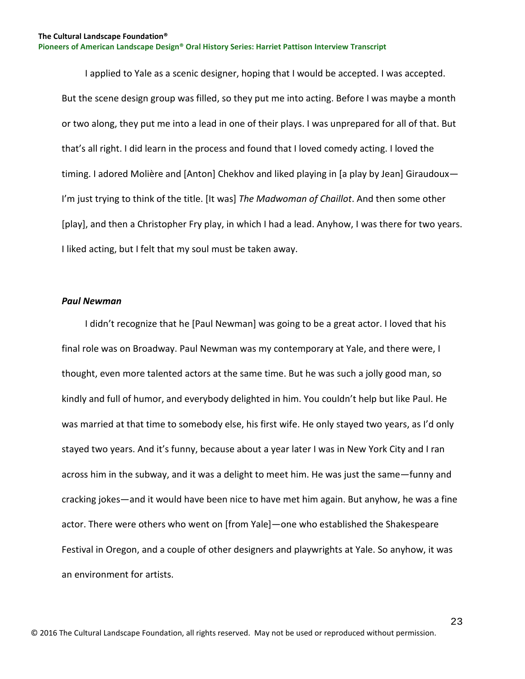I applied to Yale as a scenic designer, hoping that I would be accepted. I was accepted. But the scene design group was filled, so they put me into acting. Before I was maybe a month or two along, they put me into a lead in one of their plays. I was unprepared for all of that. But that's all right. I did learn in the process and found that I loved comedy acting. I loved the timing. I adored Molière and [Anton] Chekhov and liked playing in [a play by Jean] Giraudoux— I'm just trying to think of the title. [It was] *The Madwoman of Chaillot*. And then some other [play], and then a Christopher Fry play, in which I had a lead. Anyhow, I was there for two years. I liked acting, but I felt that my soul must be taken away.

#### <span id="page-23-0"></span>*Paul Newman*

 I didn't recognize that he [Paul Newman] was going to be a great actor. I loved that his final role was on Broadway. Paul Newman was my contemporary at Yale, and there were, I thought, even more talented actors at the same time. But he was such a jolly good man, so kindly and full of humor, and everybody delighted in him. You couldn't help but like Paul. He was married at that time to somebody else, his first wife. He only stayed two years, as I'd only stayed two years. And it's funny, because about a year later I was in New York City and I ran across him in the subway, and it was a delight to meet him. He was just the same—funny and cracking jokes—and it would have been nice to have met him again. But anyhow, he was a fine actor. There were others who went on [from Yale]—one who established the Shakespeare Festival in Oregon, and a couple of other designers and playwrights at Yale. So anyhow, it was an environment for artists.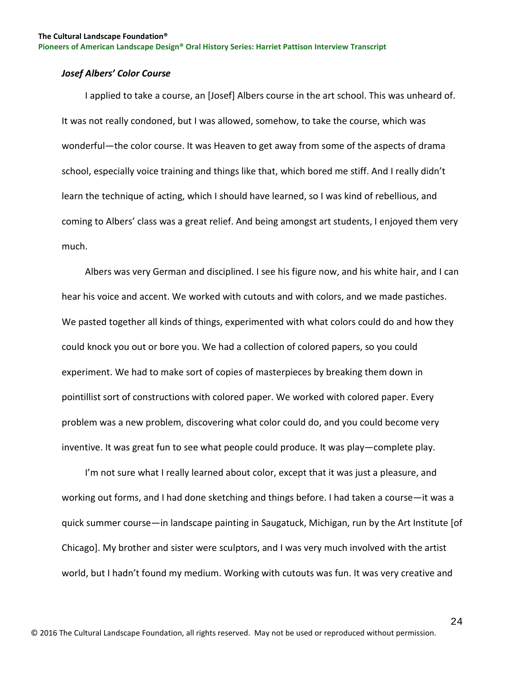## <span id="page-24-0"></span>*Josef Albers' Color Course*

 I applied to take a course, an [Josef] Albers course in the art school. This was unheard of. It was not really condoned, but I was allowed, somehow, to take the course, which was wonderful—the color course. It was Heaven to get away from some of the aspects of drama school, especially voice training and things like that, which bored me stiff. And I really didn't learn the technique of acting, which I should have learned, so I was kind of rebellious, and coming to Albers' class was a great relief. And being amongst art students, I enjoyed them very much.

 Albers was very German and disciplined. I see his figure now, and his white hair, and I can hear his voice and accent. We worked with cutouts and with colors, and we made pastiches. We pasted together all kinds of things, experimented with what colors could do and how they could knock you out or bore you. We had a collection of colored papers, so you could experiment. We had to make sort of copies of masterpieces by breaking them down in pointillist sort of constructions with colored paper. We worked with colored paper. Every problem was a new problem, discovering what color could do, and you could become very inventive. It was great fun to see what people could produce. It was play—complete play.

 I'm not sure what I really learned about color, except that it was just a pleasure, and working out forms, and I had done sketching and things before. I had taken a course—it was a quick summer course—in landscape painting in Saugatuck, Michigan, run by the Art Institute [of Chicago]. My brother and sister were sculptors, and I was very much involved with the artist world, but I hadn't found my medium. Working with cutouts was fun. It was very creative and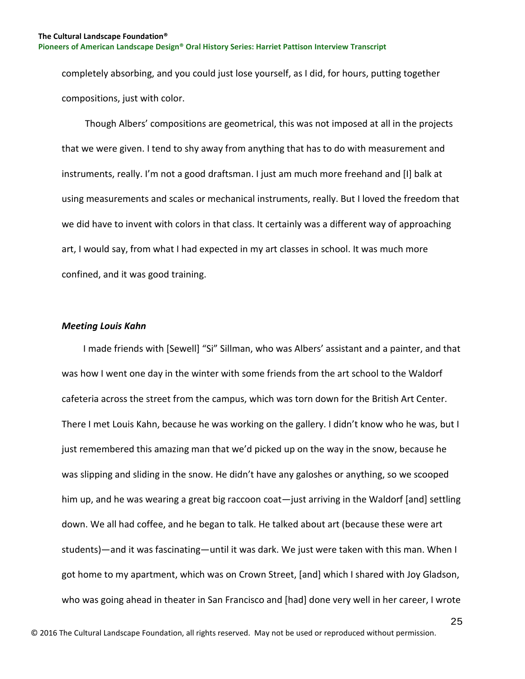completely absorbing, and you could just lose yourself, as I did, for hours, putting together compositions, just with color.

 Though Albers' compositions are geometrical, this was not imposed at all in the projects that we were given. I tend to shy away from anything that has to do with measurement and instruments, really. I'm not a good draftsman. I just am much more freehand and [I] balk at using measurements and scales or mechanical instruments, really. But I loved the freedom that we did have to invent with colors in that class. It certainly was a different way of approaching art, I would say, from what I had expected in my art classes in school. It was much more confined, and it was good training.

## <span id="page-25-0"></span>*Meeting Louis Kahn*

 I made friends with [Sewell] "Si" Sillman, who was Albers' assistant and a painter, and that was how I went one day in the winter with some friends from the art school to the Waldorf cafeteria across the street from the campus, which was torn down for the British Art Center. There I met Louis Kahn, because he was working on the gallery. I didn't know who he was, but I just remembered this amazing man that we'd picked up on the way in the snow, because he was slipping and sliding in the snow. He didn't have any galoshes or anything, so we scooped him up, and he was wearing a great big raccoon coat—just arriving in the Waldorf [and] settling down. We all had coffee, and he began to talk. He talked about art (because these were art students)—and it was fascinating—until it was dark. We just were taken with this man. When I got home to my apartment, which was on Crown Street, [and] which I shared with Joy Gladson, who was going ahead in theater in San Francisco and [had] done very well in her career, I wrote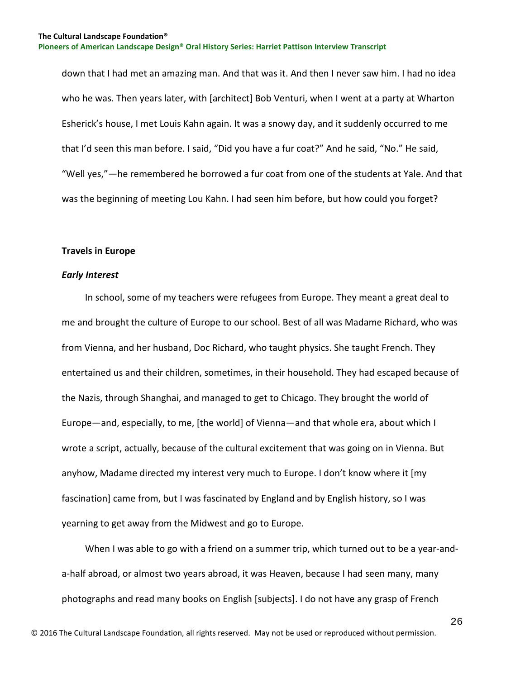down that I had met an amazing man. And that was it. And then I never saw him. I had no idea who he was. Then years later, with [architect] Bob Venturi, when I went at a party at Wharton Esherick's house, I met Louis Kahn again. It was a snowy day, and it suddenly occurred to me that I'd seen this man before. I said, "Did you have a fur coat?" And he said, "No." He said, "Well yes,"—he remembered he borrowed a fur coat from one of the students at Yale. And that was the beginning of meeting Lou Kahn. I had seen him before, but how could you forget?

### <span id="page-26-0"></span>**Travels in Europe**

## <span id="page-26-1"></span>*Early Interest*

 In school, some of my teachers were refugees from Europe. They meant a great deal to me and brought the culture of Europe to our school. Best of all was Madame Richard, who was from Vienna, and her husband, Doc Richard, who taught physics. She taught French. They entertained us and their children, sometimes, in their household. They had escaped because of the Nazis, through Shanghai, and managed to get to Chicago. They brought the world of Europe—and, especially, to me, [the world] of Vienna—and that whole era, about which I wrote a script, actually, because of the cultural excitement that was going on in Vienna. But anyhow, Madame directed my interest very much to Europe. I don't know where it [my fascination] came from, but I was fascinated by England and by English history, so I was yearning to get away from the Midwest and go to Europe.

 When I was able to go with a friend on a summer trip, which turned out to be a year-anda-half abroad, or almost two years abroad, it was Heaven, because I had seen many, many photographs and read many books on English [subjects]. I do not have any grasp of French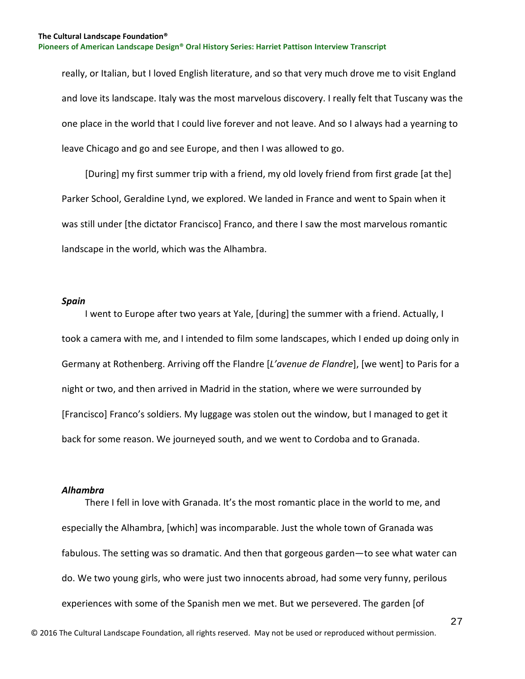really, or Italian, but I loved English literature, and so that very much drove me to visit England and love its landscape. Italy was the most marvelous discovery. I really felt that Tuscany was the one place in the world that I could live forever and not leave. And so I always had a yearning to leave Chicago and go and see Europe, and then I was allowed to go.

 [During] my first summer trip with a friend, my old lovely friend from first grade [at the] Parker School, Geraldine Lynd, we explored. We landed in France and went to Spain when it was still under [the dictator Francisco] Franco, and there I saw the most marvelous romantic landscape in the world, which was the Alhambra.

#### <span id="page-27-0"></span>*Spain*

 I went to Europe after two years at Yale, [during] the summer with a friend. Actually, I took a camera with me, and I intended to film some landscapes, which I ended up doing only in Germany at Rothenberg. Arriving off the Flandre [*L'avenue de Flandre*], [we went] to Paris for a night or two, and then arrived in Madrid in the station, where we were surrounded by [Francisco] Franco's soldiers. My luggage was stolen out the window, but I managed to get it back for some reason. We journeyed south, and we went to Cordoba and to Granada.

## <span id="page-27-1"></span>*Alhambra*

There I fell in love with Granada. It's the most romantic place in the world to me, and especially the Alhambra, [which] was incomparable. Just the whole town of Granada was fabulous. The setting was so dramatic. And then that gorgeous garden—to see what water can do. We two young girls, who were just two innocents abroad, had some very funny, perilous experiences with some of the Spanish men we met. But we persevered. The garden [of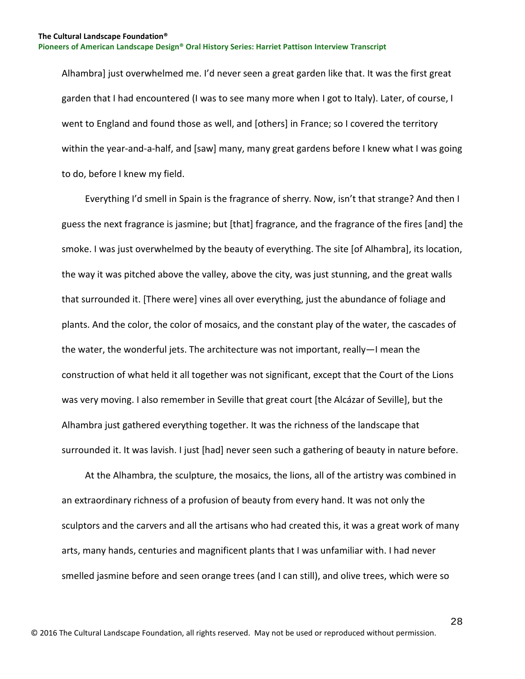Alhambra] just overwhelmed me. I'd never seen a great garden like that. It was the first great garden that I had encountered (I was to see many more when I got to Italy). Later, of course, I went to England and found those as well, and [others] in France; so I covered the territory within the year-and-a-half, and [saw] many, many great gardens before I knew what I was going to do, before I knew my field.

 Everything I'd smell in Spain is the fragrance of sherry. Now, isn't that strange? And then I guess the next fragrance is jasmine; but [that] fragrance, and the fragrance of the fires [and] the smoke. I was just overwhelmed by the beauty of everything. The site [of Alhambra], its location, the way it was pitched above the valley, above the city, was just stunning, and the great walls that surrounded it. [There were] vines all over everything, just the abundance of foliage and plants. And the color, the color of mosaics, and the constant play of the water, the cascades of the water, the wonderful jets. The architecture was not important, really—I mean the construction of what held it all together was not significant, except that the Court of the Lions was very moving. I also remember in Seville that great court [the Alcázar of Seville], but the Alhambra just gathered everything together. It was the richness of the landscape that surrounded it. It was lavish. I just [had] never seen such a gathering of beauty in nature before.

 At the Alhambra, the sculpture, the mosaics, the lions, all of the artistry was combined in an extraordinary richness of a profusion of beauty from every hand. It was not only the sculptors and the carvers and all the artisans who had created this, it was a great work of many arts, many hands, centuries and magnificent plants that I was unfamiliar with. I had never smelled jasmine before and seen orange trees (and I can still), and olive trees, which were so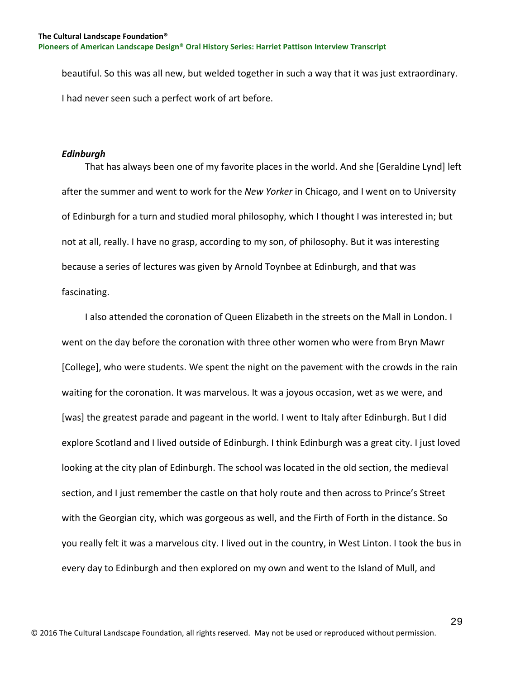beautiful. So this was all new, but welded together in such a way that it was just extraordinary. I had never seen such a perfect work of art before.

## <span id="page-29-0"></span>*Edinburgh*

 That has always been one of my favorite places in the world. And she [Geraldine Lynd] left after the summer and went to work for the *New Yorker* in Chicago, and I went on to University of Edinburgh for a turn and studied moral philosophy, which I thought I was interested in; but not at all, really. I have no grasp, according to my son, of philosophy. But it was interesting because a series of lectures was given by Arnold Toynbee at Edinburgh, and that was fascinating.

 I also attended the coronation of Queen Elizabeth in the streets on the Mall in London. I went on the day before the coronation with three other women who were from Bryn Mawr [College], who were students. We spent the night on the pavement with the crowds in the rain waiting for the coronation. It was marvelous. It was a joyous occasion, wet as we were, and [was] the greatest parade and pageant in the world. I went to Italy after Edinburgh. But I did explore Scotland and I lived outside of Edinburgh. I think Edinburgh was a great city. I just loved looking at the city plan of Edinburgh. The school was located in the old section, the medieval section, and I just remember the castle on that holy route and then across to Prince's Street with the Georgian city, which was gorgeous as well, and the Firth of Forth in the distance. So you really felt it was a marvelous city. I lived out in the country, in West Linton. I took the bus in every day to Edinburgh and then explored on my own and went to the Island of Mull, and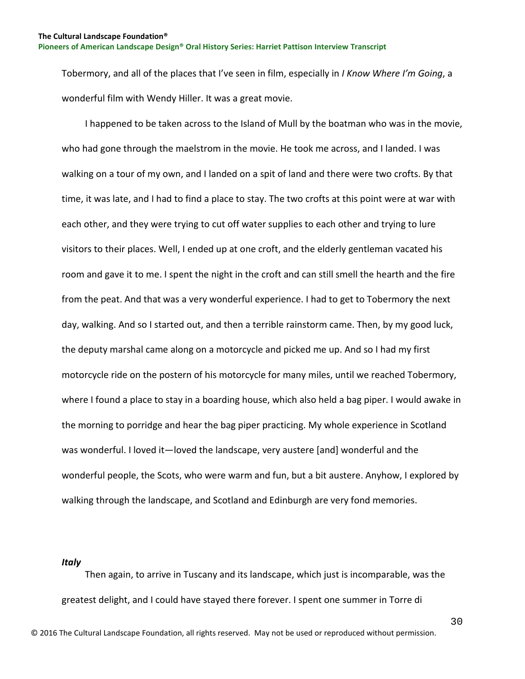Tobermory, and all of the places that I've seen in film, especially in *I Know Where I'm Going*, a wonderful film with Wendy Hiller. It was a great movie.

 I happened to be taken across to the Island of Mull by the boatman who was in the movie, who had gone through the maelstrom in the movie. He took me across, and I landed. I was walking on a tour of my own, and I landed on a spit of land and there were two crofts. By that time, it was late, and I had to find a place to stay. The two crofts at this point were at war with each other, and they were trying to cut off water supplies to each other and trying to lure visitors to their places. Well, I ended up at one croft, and the elderly gentleman vacated his room and gave it to me. I spent the night in the croft and can still smell the hearth and the fire from the peat. And that was a very wonderful experience. I had to get to Tobermory the next day, walking. And so I started out, and then a terrible rainstorm came. Then, by my good luck, the deputy marshal came along on a motorcycle and picked me up. And so I had my first motorcycle ride on the postern of his motorcycle for many miles, until we reached Tobermory, where I found a place to stay in a boarding house, which also held a bag piper. I would awake in the morning to porridge and hear the bag piper practicing. My whole experience in Scotland was wonderful. I loved it—loved the landscape, very austere [and] wonderful and the wonderful people, the Scots, who were warm and fun, but a bit austere. Anyhow, I explored by walking through the landscape, and Scotland and Edinburgh are very fond memories.

## <span id="page-30-0"></span>*Italy*

 Then again, to arrive in Tuscany and its landscape, which just is incomparable, was the greatest delight, and I could have stayed there forever. I spent one summer in Torre di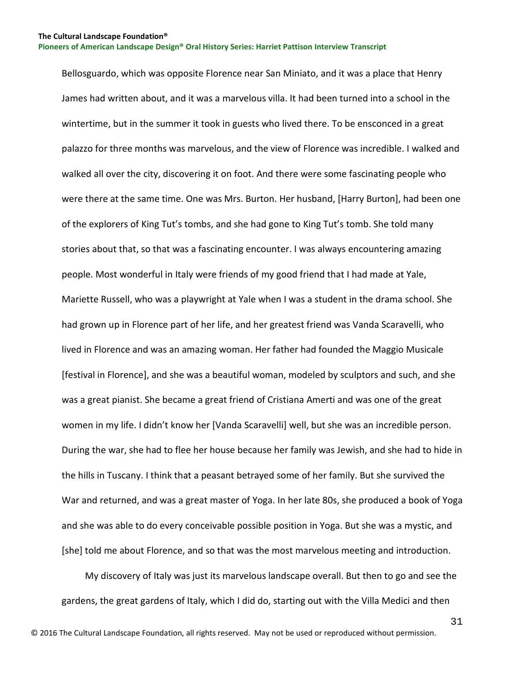Bellosguardo, which was opposite Florence near San Miniato, and it was a place that Henry James had written about, and it was a marvelous villa. It had been turned into a school in the wintertime, but in the summer it took in guests who lived there. To be ensconced in a great palazzo for three months was marvelous, and the view of Florence was incredible. I walked and walked all over the city, discovering it on foot. And there were some fascinating people who were there at the same time. One was Mrs. Burton. Her husband, [Harry Burton], had been one of the explorers of King Tut's tombs, and she had gone to King Tut's tomb. She told many stories about that, so that was a fascinating encounter. I was always encountering amazing people. Most wonderful in Italy were friends of my good friend that I had made at Yale, Mariette Russell, who was a playwright at Yale when I was a student in the drama school. She had grown up in Florence part of her life, and her greatest friend was Vanda Scaravelli, who lived in Florence and was an amazing woman. Her father had founded the Maggio Musicale [festival in Florence], and she was a beautiful woman, modeled by sculptors and such, and she was a great pianist. She became a great friend of Cristiana Amerti and was one of the great women in my life. I didn't know her [Vanda Scaravelli] well, but she was an incredible person. During the war, she had to flee her house because her family was Jewish, and she had to hide in the hills in Tuscany. I think that a peasant betrayed some of her family. But she survived the War and returned, and was a great master of Yoga. In her late 80s, she produced a book of Yoga and she was able to do every conceivable possible position in Yoga. But she was a mystic, and [she] told me about Florence, and so that was the most marvelous meeting and introduction.

 My discovery of Italy was just its marvelous landscape overall. But then to go and see the gardens, the great gardens of Italy, which I did do, starting out with the Villa Medici and then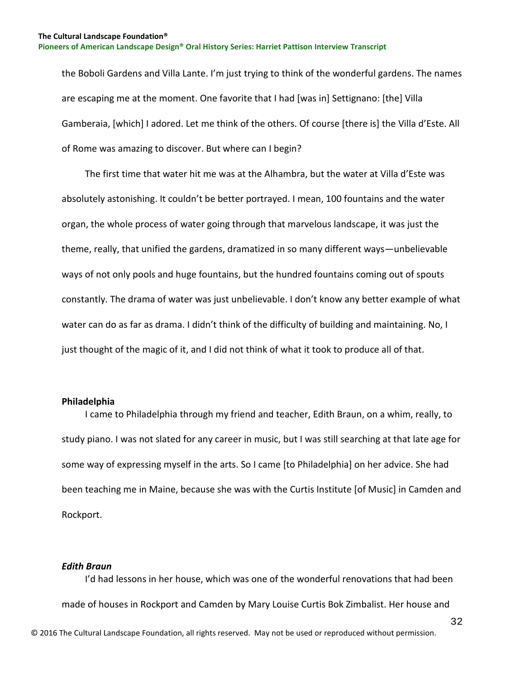the Boboli Gardens and Villa Lante. I'm just trying to think of the wonderful gardens. The names are escaping me at the moment. One favorite that I had [was in] Settignano: [the] Villa Gamberaia, [which] I adored. Let me think of the others. Of course [there is] the Villa d'Este. All of Rome was amazing to discover. But where can I begin?

 The first time that water hit me was at the Alhambra, but the water at Villa d'Este was absolutely astonishing. It couldn't be better portrayed. I mean, 100 fountains and the water organ, the whole process of water going through that marvelous landscape, it was just the theme, really, that unified the gardens, dramatized in so many different ways—unbelievable ways of not only pools and huge fountains, but the hundred fountains coming out of spouts constantly. The drama of water was just unbelievable. I don't know any better example of what water can do as far as drama. I didn't think of the difficulty of building and maintaining. No, I just thought of the magic of it, and I did not think of what it took to produce all of that.

## <span id="page-32-0"></span>**Philadelphia**

 I came to Philadelphia through my friend and teacher, Edith Braun, on a whim, really, to study piano. I was not slated for any career in music, but I was still searching at that late age for some way of expressing myself in the arts. So I came [to Philadelphia] on her advice. She had been teaching me in Maine, because she was with the Curtis Institute [of Music] in Camden and Rockport.

## <span id="page-32-1"></span>*Edith Braun*

© 2016 The Cultural Landscape Foundation, all rights reserved. May not be used or reproduced without permission. I'd had lessons in her house, which was one of the wonderful renovations that had been made of houses in Rockport and Camden by Mary Louise Curtis Bok Zimbalist. Her house and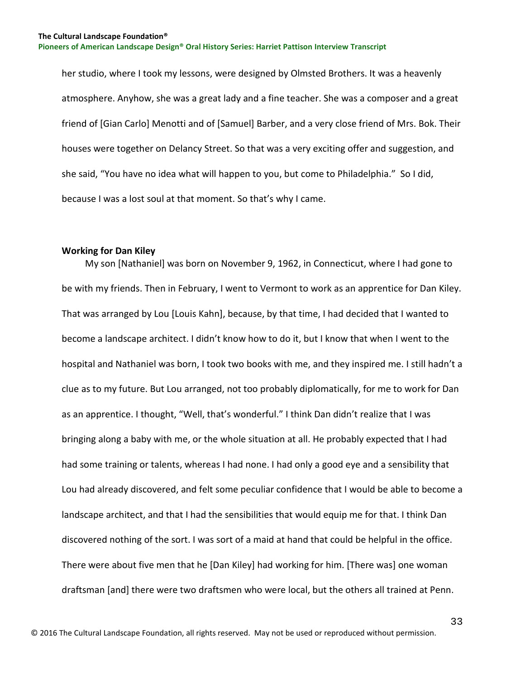her studio, where I took my lessons, were designed by Olmsted Brothers. It was a heavenly atmosphere. Anyhow, she was a great lady and a fine teacher. She was a composer and a great friend of [Gian Carlo] Menotti and of [Samuel] Barber, and a very close friend of Mrs. Bok. Their houses were together on Delancy Street. So that was a very exciting offer and suggestion, and she said, "You have no idea what will happen to you, but come to Philadelphia." So I did, because I was a lost soul at that moment. So that's why I came.

#### <span id="page-33-0"></span>**Working for Dan Kiley**

 My son [Nathaniel] was born on November 9, 1962, in Connecticut, where I had gone to be with my friends. Then in February, I went to Vermont to work as an apprentice for Dan Kiley. That was arranged by Lou [Louis Kahn], because, by that time, I had decided that I wanted to become a landscape architect. I didn't know how to do it, but I know that when I went to the hospital and Nathaniel was born, I took two books with me, and they inspired me. I still hadn't a clue as to my future. But Lou arranged, not too probably diplomatically, for me to work for Dan as an apprentice. I thought, "Well, that's wonderful." I think Dan didn't realize that I was bringing along a baby with me, or the whole situation at all. He probably expected that I had had some training or talents, whereas I had none. I had only a good eye and a sensibility that Lou had already discovered, and felt some peculiar confidence that I would be able to become a landscape architect, and that I had the sensibilities that would equip me for that. I think Dan discovered nothing of the sort. I was sort of a maid at hand that could be helpful in the office. There were about five men that he [Dan Kiley] had working for him. [There was] one woman draftsman [and] there were two draftsmen who were local, but the others all trained at Penn.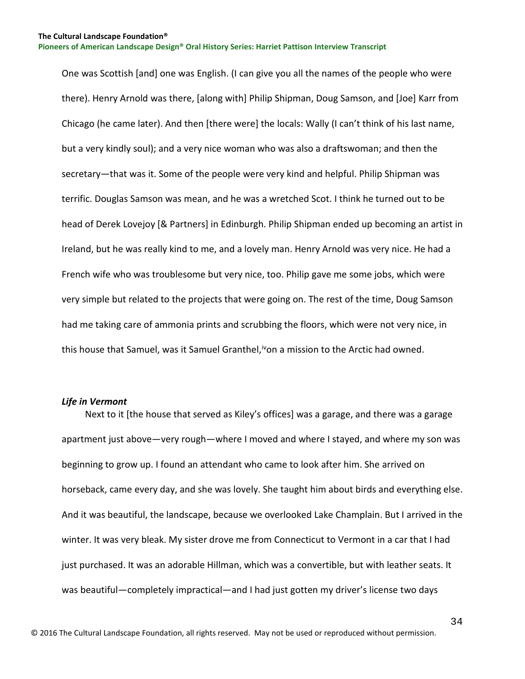One was Scottish [and] one was English. (I can give you all the names of the people who were there). Henry Arnold was there, [along with] Philip Shipman, Doug Samson, and [Joe] Karr from Chicago (he came later). And then [there were] the locals: Wally (I can't think of his last name, but a very kindly soul); and a very nice woman who was also a draftswoman; and then the secretary—that was it. Some of the people were very kind and helpful. Philip Shipman was terrific. Douglas Samson was mean, and he was a wretched Scot. I think he turned out to be head of Derek Lovejoy [& Partners] in Edinburgh. Philip Shipman ended up becoming an artist in Ireland, but he was really kind to me, and a lovely man. Henry Arnold was very nice. He had a French wife who was troublesome but very nice, too. Philip gave me some jobs, which were very simple but related to the projects that were going on. The rest of the time, Doug Samson had me taking care of ammonia prints and scrubbing the floors, which were not very nice, in this house that Samuel, was it Samuel Granthel,<sup>iv</sup>on a mission to the Arctic had owned.

#### <span id="page-34-0"></span>*Life in Vermont*

 Next to it [the house that served as Kiley's offices] was a garage, and there was a garage apartment just above—very rough—where I moved and where I stayed, and where my son was beginning to grow up. I found an attendant who came to look after him. She arrived on horseback, came every day, and she was lovely. She taught him about birds and everything else. And it was beautiful, the landscape, because we overlooked Lake Champlain. But I arrived in the winter. It was very bleak. My sister drove me from Connecticut to Vermont in a car that I had just purchased. It was an adorable Hillman, which was a convertible, but with leather seats. It was beautiful—completely impractical—and I had just gotten my driver's license two days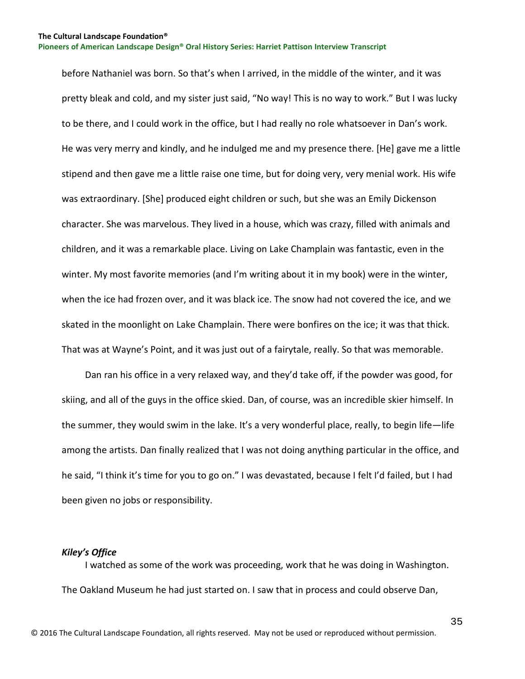before Nathaniel was born. So that's when I arrived, in the middle of the winter, and it was pretty bleak and cold, and my sister just said, "No way! This is no way to work." But I was lucky to be there, and I could work in the office, but I had really no role whatsoever in Dan's work. He was very merry and kindly, and he indulged me and my presence there. [He] gave me a little stipend and then gave me a little raise one time, but for doing very, very menial work. His wife was extraordinary. [She] produced eight children or such, but she was an Emily Dickenson character. She was marvelous. They lived in a house, which was crazy, filled with animals and children, and it was a remarkable place. Living on Lake Champlain was fantastic, even in the winter. My most favorite memories (and I'm writing about it in my book) were in the winter, when the ice had frozen over, and it was black ice. The snow had not covered the ice, and we skated in the moonlight on Lake Champlain. There were bonfires on the ice; it was that thick. That was at Wayne's Point, and it was just out of a fairytale, really. So that was memorable.

 Dan ran his office in a very relaxed way, and they'd take off, if the powder was good, for skiing, and all of the guys in the office skied. Dan, of course, was an incredible skier himself. In the summer, they would swim in the lake. It's a very wonderful place, really, to begin life—life among the artists. Dan finally realized that I was not doing anything particular in the office, and he said, "I think it's time for you to go on." I was devastated, because I felt I'd failed, but I had been given no jobs or responsibility.

#### <span id="page-35-0"></span>*Kiley's Office*

 I watched as some of the work was proceeding, work that he was doing in Washington. The Oakland Museum he had just started on. I saw that in process and could observe Dan,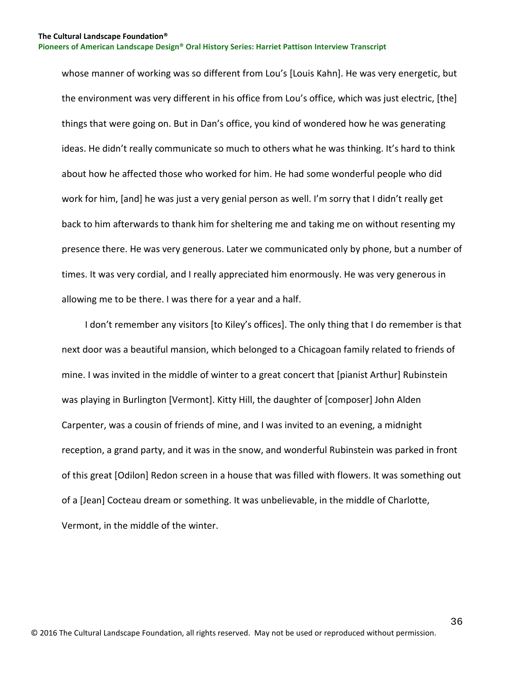whose manner of working was so different from Lou's [Louis Kahn]. He was very energetic, but the environment was very different in his office from Lou's office, which was just electric, [the] things that were going on. But in Dan's office, you kind of wondered how he was generating ideas. He didn't really communicate so much to others what he was thinking. It's hard to think about how he affected those who worked for him. He had some wonderful people who did work for him, [and] he was just a very genial person as well. I'm sorry that I didn't really get back to him afterwards to thank him for sheltering me and taking me on without resenting my presence there. He was very generous. Later we communicated only by phone, but a number of times. It was very cordial, and I really appreciated him enormously. He was very generous in allowing me to be there. I was there for a year and a half.

 I don't remember any visitors [to Kiley's offices]. The only thing that I do remember is that next door was a beautiful mansion, which belonged to a Chicagoan family related to friends of mine. I was invited in the middle of winter to a great concert that [pianist Arthur] Rubinstein was playing in Burlington [Vermont]. Kitty Hill, the daughter of [composer] John Alden Carpenter, was a cousin of friends of mine, and I was invited to an evening, a midnight reception, a grand party, and it was in the snow, and wonderful Rubinstein was parked in front of this great [Odilon] Redon screen in a house that was filled with flowers. It was something out of a [Jean] Cocteau dream or something. It was unbelievable, in the middle of Charlotte, Vermont, in the middle of the winter.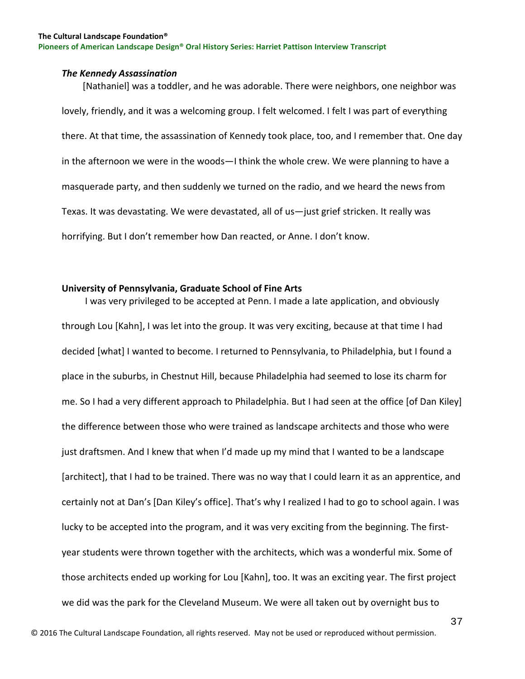#### **The Cultural Landscape Foundation®**

**Pioneers of American Landscape Design® Oral History Series: Harriet Pattison Interview Transcript**

#### *The Kennedy Assassination*

 [Nathaniel] was a toddler, and he was adorable. There were neighbors, one neighbor was lovely, friendly, and it was a welcoming group. I felt welcomed. I felt I was part of everything there. At that time, the assassination of Kennedy took place, too, and I remember that. One day in the afternoon we were in the woods—I think the whole crew. We were planning to have a masquerade party, and then suddenly we turned on the radio, and we heard the news from Texas. It was devastating. We were devastated, all of us—just grief stricken. It really was horrifying. But I don't remember how Dan reacted, or Anne. I don't know.

## **University of Pennsylvania, Graduate School of Fine Arts**

 I was very privileged to be accepted at Penn. I made a late application, and obviously through Lou [Kahn], I was let into the group. It was very exciting, because at that time I had decided [what] I wanted to become. I returned to Pennsylvania, to Philadelphia, but I found a place in the suburbs, in Chestnut Hill, because Philadelphia had seemed to lose its charm for me. So I had a very different approach to Philadelphia. But I had seen at the office [of Dan Kiley] the difference between those who were trained as landscape architects and those who were just draftsmen. And I knew that when I'd made up my mind that I wanted to be a landscape [architect], that I had to be trained. There was no way that I could learn it as an apprentice, and certainly not at Dan's [Dan Kiley's office]. That's why I realized I had to go to school again. I was lucky to be accepted into the program, and it was very exciting from the beginning. The firstyear students were thrown together with the architects, which was a wonderful mix. Some of those architects ended up working for Lou [Kahn], too. It was an exciting year. The first project we did was the park for the Cleveland Museum. We were all taken out by overnight bus to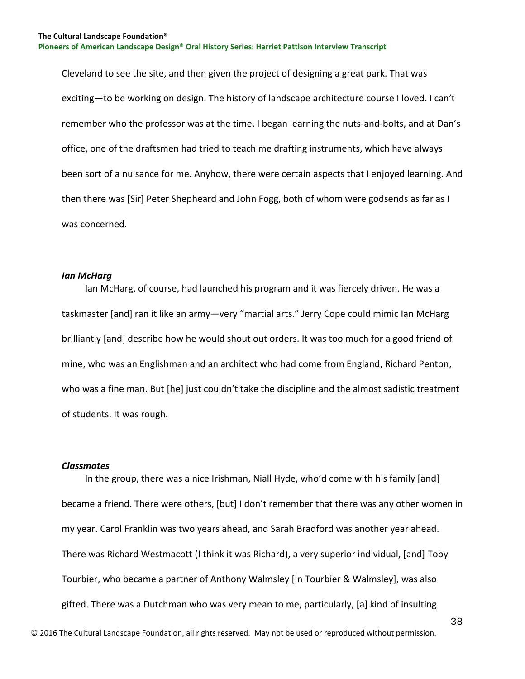Cleveland to see the site, and then given the project of designing a great park. That was exciting—to be working on design. The history of landscape architecture course I loved. I can't remember who the professor was at the time. I began learning the nuts-and-bolts, and at Dan's office, one of the draftsmen had tried to teach me drafting instruments, which have always been sort of a nuisance for me. Anyhow, there were certain aspects that I enjoyed learning. And then there was [Sir] Peter Shepheard and John Fogg, both of whom were godsends as far as I was concerned.

### *Ian McHarg*

 Ian McHarg, of course, had launched his program and it was fiercely driven. He was a taskmaster [and] ran it like an army—very "martial arts." Jerry Cope could mimic Ian McHarg brilliantly [and] describe how he would shout out orders. It was too much for a good friend of mine, who was an Englishman and an architect who had come from England, Richard Penton, who was a fine man. But [he] just couldn't take the discipline and the almost sadistic treatment of students. It was rough.

#### *Classmates*

 In the group, there was a nice Irishman, Niall Hyde, who'd come with his family [and] became a friend. There were others, [but] I don't remember that there was any other women in my year. Carol Franklin was two years ahead, and Sarah Bradford was another year ahead. There was Richard Westmacott (I think it was Richard), a very superior individual, [and] Toby Tourbier, who became a partner of Anthony Walmsley [in Tourbier & Walmsley], was also gifted. There was a Dutchman who was very mean to me, particularly, [a] kind of insulting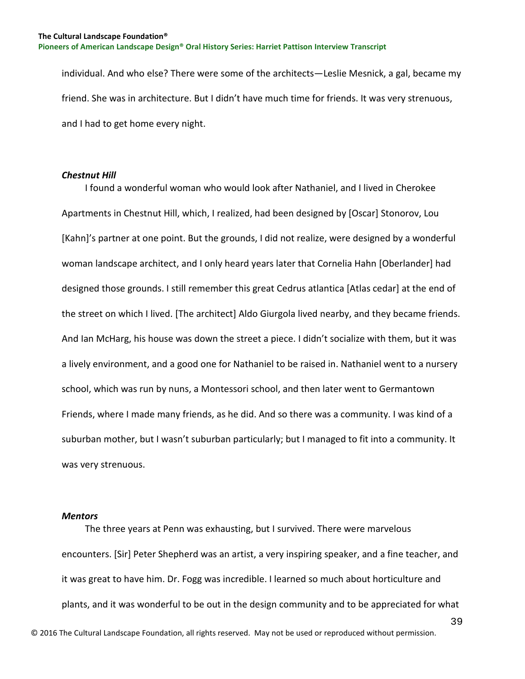individual. And who else? There were some of the architects—Leslie Mesnick, a gal, became my friend. She was in architecture. But I didn't have much time for friends. It was very strenuous, and I had to get home every night.

## *Chestnut Hill*

 I found a wonderful woman who would look after Nathaniel, and I lived in Cherokee Apartments in Chestnut Hill, which, I realized, had been designed by [Oscar] Stonorov, Lou [Kahn]'s partner at one point. But the grounds, I did not realize, were designed by a wonderful woman landscape architect, and I only heard years later that Cornelia Hahn [Oberlander] had designed those grounds. I still remember this great Cedrus atlantica [Atlas cedar] at the end of the street on which I lived. [The architect] Aldo Giurgola lived nearby, and they became friends. And Ian McHarg, his house was down the street a piece. I didn't socialize with them, but it was a lively environment, and a good one for Nathaniel to be raised in. Nathaniel went to a nursery school, which was run by nuns, a Montessori school, and then later went to Germantown Friends, where I made many friends, as he did. And so there was a community. I was kind of a suburban mother, but I wasn't suburban particularly; but I managed to fit into a community. It was very strenuous.

#### *Mentors*

 The three years at Penn was exhausting, but I survived. There were marvelous encounters. [Sir] Peter Shepherd was an artist, a very inspiring speaker, and a fine teacher, and it was great to have him. Dr. Fogg was incredible. I learned so much about horticulture and plants, and it was wonderful to be out in the design community and to be appreciated for what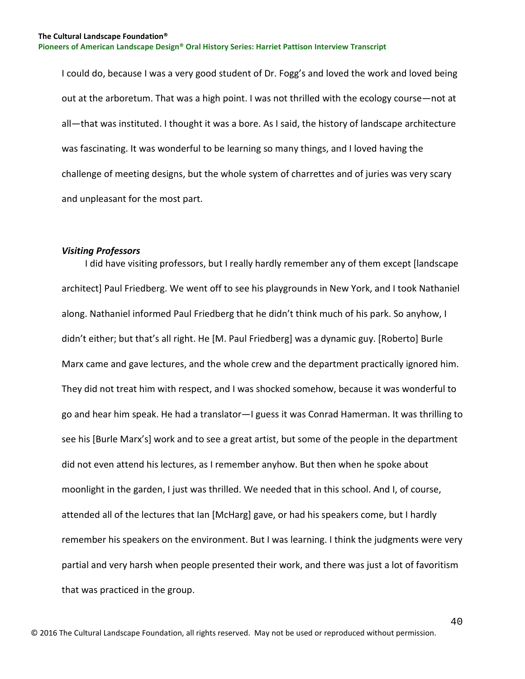I could do, because I was a very good student of Dr. Fogg's and loved the work and loved being out at the arboretum. That was a high point. I was not thrilled with the ecology course—not at all—that was instituted. I thought it was a bore. As I said, the history of landscape architecture was fascinating. It was wonderful to be learning so many things, and I loved having the challenge of meeting designs, but the whole system of charrettes and of juries was very scary and unpleasant for the most part.

#### *Visiting Professors*

 I did have visiting professors, but I really hardly remember any of them except [landscape architect] Paul Friedberg. We went off to see his playgrounds in New York, and I took Nathaniel along. Nathaniel informed Paul Friedberg that he didn't think much of his park. So anyhow, I didn't either; but that's all right. He [M. Paul Friedberg] was a dynamic guy. [Roberto] Burle Marx came and gave lectures, and the whole crew and the department practically ignored him. They did not treat him with respect, and I was shocked somehow, because it was wonderful to go and hear him speak. He had a translator—I guess it was Conrad Hamerman. It was thrilling to see his [Burle Marx's] work and to see a great artist, but some of the people in the department did not even attend his lectures, as I remember anyhow. But then when he spoke about moonlight in the garden, I just was thrilled. We needed that in this school. And I, of course, attended all of the lectures that Ian [McHarg] gave, or had his speakers come, but I hardly remember his speakers on the environment. But I was learning. I think the judgments were very partial and very harsh when people presented their work, and there was just a lot of favoritism that was practiced in the group.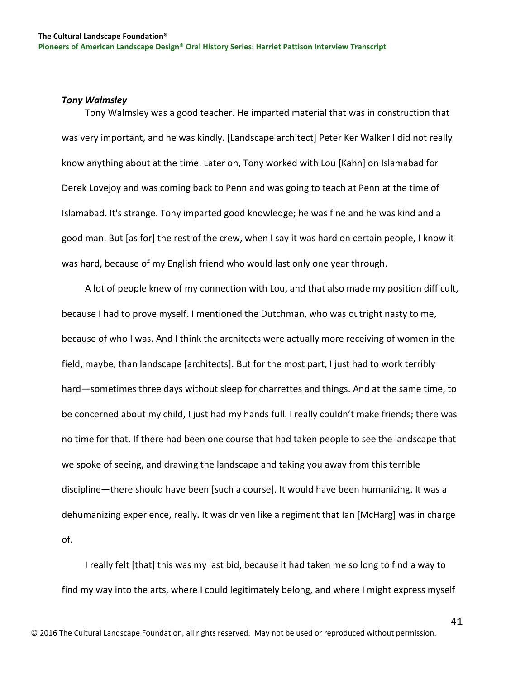## *Tony Walmsley*

 Tony Walmsley was a good teacher. He imparted material that was in construction that was very important, and he was kindly. [Landscape architect] Peter Ker Walker I did not really know anything about at the time. Later on, Tony worked with Lou [Kahn] on Islamabad for Derek Lovejoy and was coming back to Penn and was going to teach at Penn at the time of Islamabad. It's strange. Tony imparted good knowledge; he was fine and he was kind and a good man. But [as for] the rest of the crew, when I say it was hard on certain people, I know it was hard, because of my English friend who would last only one year through.

 A lot of people knew of my connection with Lou, and that also made my position difficult, because I had to prove myself. I mentioned the Dutchman, who was outright nasty to me, because of who I was. And I think the architects were actually more receiving of women in the field, maybe, than landscape [architects]. But for the most part, I just had to work terribly hard—sometimes three days without sleep for charrettes and things. And at the same time, to be concerned about my child, I just had my hands full. I really couldn't make friends; there was no time for that. If there had been one course that had taken people to see the landscape that we spoke of seeing, and drawing the landscape and taking you away from this terrible discipline—there should have been [such a course]. It would have been humanizing. It was a dehumanizing experience, really. It was driven like a regiment that Ian [McHarg] was in charge of.

 I really felt [that] this was my last bid, because it had taken me so long to find a way to find my way into the arts, where I could legitimately belong, and where I might express myself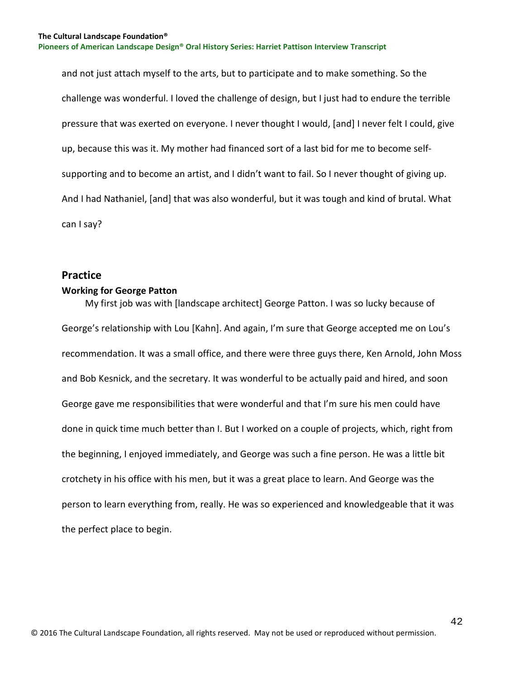and not just attach myself to the arts, but to participate and to make something. So the challenge was wonderful. I loved the challenge of design, but I just had to endure the terrible pressure that was exerted on everyone. I never thought I would, [and] I never felt I could, give up, because this was it. My mother had financed sort of a last bid for me to become selfsupporting and to become an artist, and I didn't want to fail. So I never thought of giving up. And I had Nathaniel, [and] that was also wonderful, but it was tough and kind of brutal. What can I say?

## **Practice**

## **Working for George Patton**

 My first job was with [landscape architect] George Patton. I was so lucky because of George's relationship with Lou [Kahn]. And again, I'm sure that George accepted me on Lou's recommendation. It was a small office, and there were three guys there, Ken Arnold, John Moss and Bob Kesnick, and the secretary. It was wonderful to be actually paid and hired, and soon George gave me responsibilities that were wonderful and that I'm sure his men could have done in quick time much better than I. But I worked on a couple of projects, which, right from the beginning, I enjoyed immediately, and George was such a fine person. He was a little bit crotchety in his office with his men, but it was a great place to learn. And George was the person to learn everything from, really. He was so experienced and knowledgeable that it was the perfect place to begin.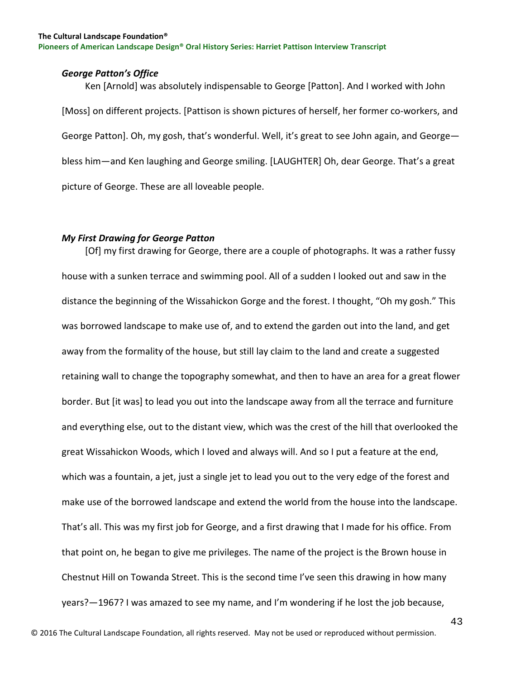## *George Patton's Office*

 Ken [Arnold] was absolutely indispensable to George [Patton]. And I worked with John [Moss] on different projects. [Pattison is shown pictures of herself, her former co-workers, and George Patton]. Oh, my gosh, that's wonderful. Well, it's great to see John again, and George bless him—and Ken laughing and George smiling. [LAUGHTER] Oh, dear George. That's a great picture of George. These are all loveable people.

## *My First Drawing for George Patton*

 [Of] my first drawing for George, there are a couple of photographs. It was a rather fussy house with a sunken terrace and swimming pool. All of a sudden I looked out and saw in the distance the beginning of the Wissahickon Gorge and the forest. I thought, "Oh my gosh." This was borrowed landscape to make use of, and to extend the garden out into the land, and get away from the formality of the house, but still lay claim to the land and create a suggested retaining wall to change the topography somewhat, and then to have an area for a great flower border. But [it was] to lead you out into the landscape away from all the terrace and furniture and everything else, out to the distant view, which was the crest of the hill that overlooked the great Wissahickon Woods, which I loved and always will. And so I put a feature at the end, which was a fountain, a jet, just a single jet to lead you out to the very edge of the forest and make use of the borrowed landscape and extend the world from the house into the landscape. That's all. This was my first job for George, and a first drawing that I made for his office. From that point on, he began to give me privileges. The name of the project is the Brown house in Chestnut Hill on Towanda Street. This is the second time I've seen this drawing in how many years?—1967? I was amazed to see my name, and I'm wondering if he lost the job because,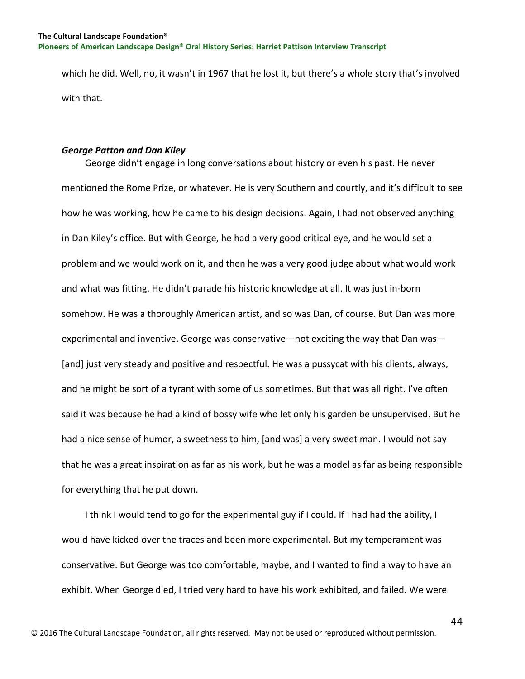which he did. Well, no, it wasn't in 1967 that he lost it, but there's a whole story that's involved with that.

## *George Patton and Dan Kiley*

 George didn't engage in long conversations about history or even his past. He never mentioned the Rome Prize, or whatever. He is very Southern and courtly, and it's difficult to see how he was working, how he came to his design decisions. Again, I had not observed anything in Dan Kiley's office. But with George, he had a very good critical eye, and he would set a problem and we would work on it, and then he was a very good judge about what would work and what was fitting. He didn't parade his historic knowledge at all. It was just in-born somehow. He was a thoroughly American artist, and so was Dan, of course. But Dan was more experimental and inventive. George was conservative—not exciting the way that Dan was— [and] just very steady and positive and respectful. He was a pussycat with his clients, always, and he might be sort of a tyrant with some of us sometimes. But that was all right. I've often said it was because he had a kind of bossy wife who let only his garden be unsupervised. But he had a nice sense of humor, a sweetness to him, [and was] a very sweet man. I would not say that he was a great inspiration as far as his work, but he was a model as far as being responsible for everything that he put down.

 I think I would tend to go for the experimental guy if I could. If I had had the ability, I would have kicked over the traces and been more experimental. But my temperament was conservative. But George was too comfortable, maybe, and I wanted to find a way to have an exhibit. When George died, I tried very hard to have his work exhibited, and failed. We were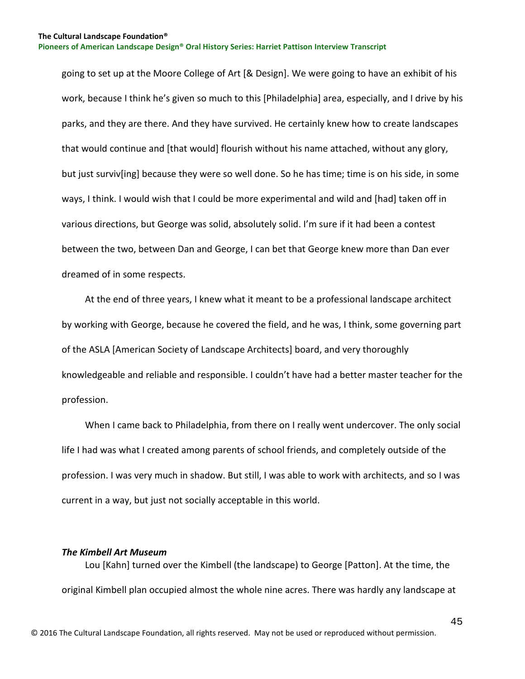going to set up at the Moore College of Art [& Design]. We were going to have an exhibit of his work, because I think he's given so much to this [Philadelphia] area, especially, and I drive by his parks, and they are there. And they have survived. He certainly knew how to create landscapes that would continue and [that would] flourish without his name attached, without any glory, but just surviv[ing] because they were so well done. So he has time; time is on his side, in some ways, I think. I would wish that I could be more experimental and wild and [had] taken off in various directions, but George was solid, absolutely solid. I'm sure if it had been a contest between the two, between Dan and George, I can bet that George knew more than Dan ever dreamed of in some respects.

 At the end of three years, I knew what it meant to be a professional landscape architect by working with George, because he covered the field, and he was, I think, some governing part of the ASLA [American Society of Landscape Architects] board, and very thoroughly knowledgeable and reliable and responsible. I couldn't have had a better master teacher for the profession.

 When I came back to Philadelphia, from there on I really went undercover. The only social life I had was what I created among parents of school friends, and completely outside of the profession. I was very much in shadow. But still, I was able to work with architects, and so I was current in a way, but just not socially acceptable in this world.

## *The Kimbell Art Museum*

 Lou [Kahn] turned over the Kimbell (the landscape) to George [Patton]. At the time, the original Kimbell plan occupied almost the whole nine acres. There was hardly any landscape at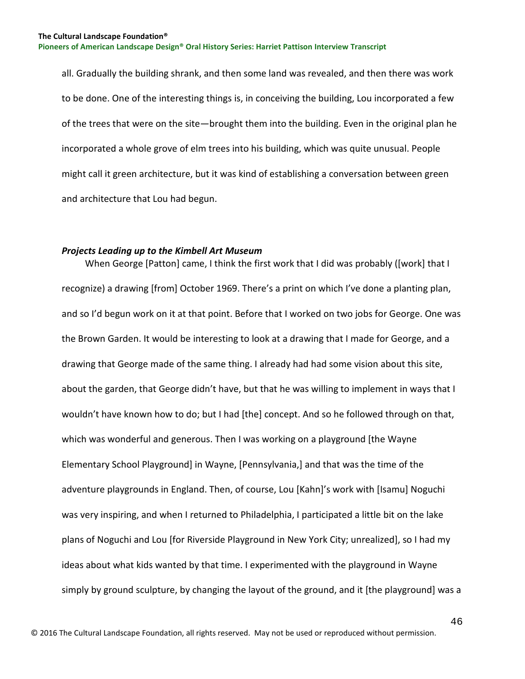all. Gradually the building shrank, and then some land was revealed, and then there was work to be done. One of the interesting things is, in conceiving the building, Lou incorporated a few of the trees that were on the site—brought them into the building. Even in the original plan he incorporated a whole grove of elm trees into his building, which was quite unusual. People might call it green architecture, but it was kind of establishing a conversation between green and architecture that Lou had begun.

## *Projects Leading up to the Kimbell Art Museum*

 When George [Patton] came, I think the first work that I did was probably ([work] that I recognize) a drawing [from] October 1969. There's a print on which I've done a planting plan, and so I'd begun work on it at that point. Before that I worked on two jobs for George. One was the Brown Garden. It would be interesting to look at a drawing that I made for George, and a drawing that George made of the same thing. I already had had some vision about this site, about the garden, that George didn't have, but that he was willing to implement in ways that I wouldn't have known how to do; but I had [the] concept. And so he followed through on that, which was wonderful and generous. Then I was working on a playground [the Wayne Elementary School Playground] in Wayne, [Pennsylvania,] and that was the time of the adventure playgrounds in England. Then, of course, Lou [Kahn]'s work with [Isamu] Noguchi was very inspiring, and when I returned to Philadelphia, I participated a little bit on the lake plans of Noguchi and Lou [for Riverside Playground in New York City; unrealized], so I had my ideas about what kids wanted by that time. I experimented with the playground in Wayne simply by ground sculpture, by changing the layout of the ground, and it [the playground] was a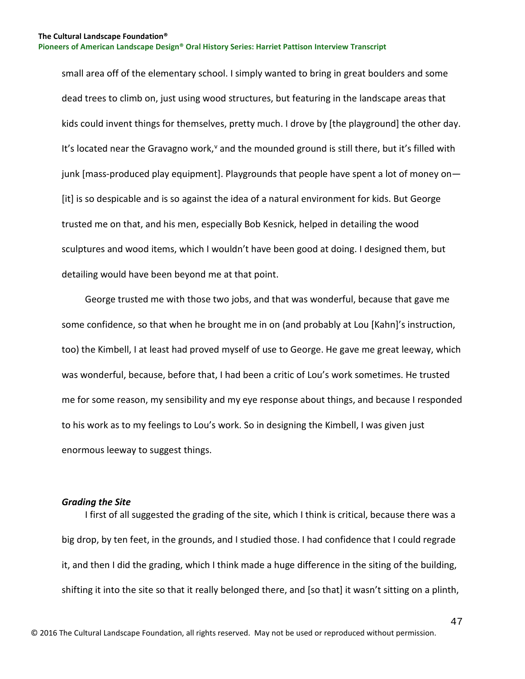small area off of the elementary school. I simply wanted to bring in great boulders and some dead trees to climb on, just using wood structures, but featuring in the landscape areas that kids could invent things for themselves, pretty much. I drove by [the playground] the other day. It's located near the Gra[v](#page-129-0)agno work,<sup>v</sup> and the mounded ground is still there, but it's filled with junk [mass-produced play equipment]. Playgrounds that people have spent a lot of money on— [it] is so despicable and is so against the idea of a natural environment for kids. But George trusted me on that, and his men, especially Bob Kesnick, helped in detailing the wood sculptures and wood items, which I wouldn't have been good at doing. I designed them, but detailing would have been beyond me at that point.

 George trusted me with those two jobs, and that was wonderful, because that gave me some confidence, so that when he brought me in on (and probably at Lou [Kahn]'s instruction, too) the Kimbell, I at least had proved myself of use to George. He gave me great leeway, which was wonderful, because, before that, I had been a critic of Lou's work sometimes. He trusted me for some reason, my sensibility and my eye response about things, and because I responded to his work as to my feelings to Lou's work. So in designing the Kimbell, I was given just enormous leeway to suggest things.

## *Grading the Site*

 I first of all suggested the grading of the site, which I think is critical, because there was a big drop, by ten feet, in the grounds, and I studied those. I had confidence that I could regrade it, and then I did the grading, which I think made a huge difference in the siting of the building, shifting it into the site so that it really belonged there, and [so that] it wasn't sitting on a plinth,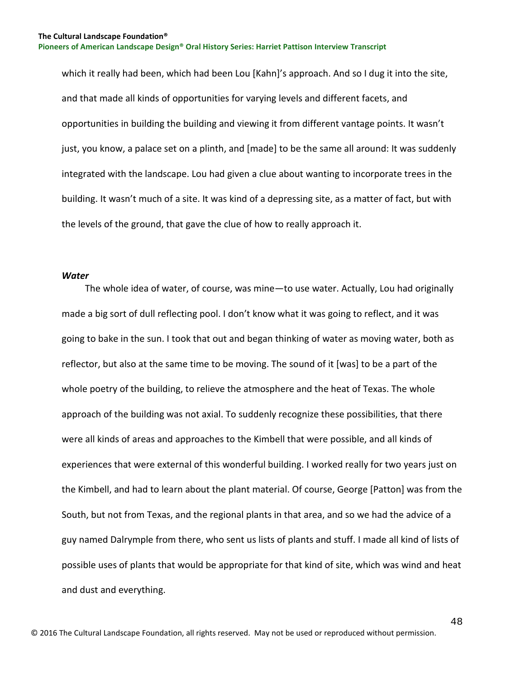which it really had been, which had been Lou [Kahn]'s approach. And so I dug it into the site, and that made all kinds of opportunities for varying levels and different facets, and opportunities in building the building and viewing it from different vantage points. It wasn't just, you know, a palace set on a plinth, and [made] to be the same all around: It was suddenly integrated with the landscape. Lou had given a clue about wanting to incorporate trees in the building. It wasn't much of a site. It was kind of a depressing site, as a matter of fact, but with the levels of the ground, that gave the clue of how to really approach it.

#### *Water*

 The whole idea of water, of course, was mine—to use water. Actually, Lou had originally made a big sort of dull reflecting pool. I don't know what it was going to reflect, and it was going to bake in the sun. I took that out and began thinking of water as moving water, both as reflector, but also at the same time to be moving. The sound of it [was] to be a part of the whole poetry of the building, to relieve the atmosphere and the heat of Texas. The whole approach of the building was not axial. To suddenly recognize these possibilities, that there were all kinds of areas and approaches to the Kimbell that were possible, and all kinds of experiences that were external of this wonderful building. I worked really for two years just on the Kimbell, and had to learn about the plant material. Of course, George [Patton] was from the South, but not from Texas, and the regional plants in that area, and so we had the advice of a guy named Dalrymple from there, who sent us lists of plants and stuff. I made all kind of lists of possible uses of plants that would be appropriate for that kind of site, which was wind and heat and dust and everything.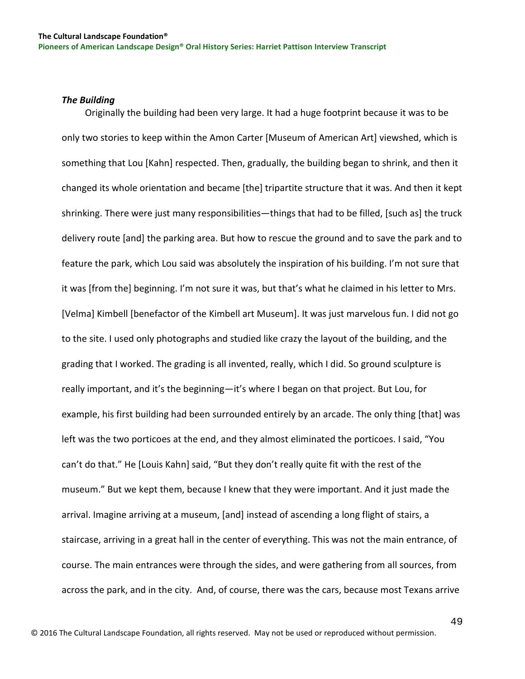## *The Building*

 Originally the building had been very large. It had a huge footprint because it was to be only two stories to keep within the Amon Carter [Museum of American Art] viewshed, which is something that Lou [Kahn] respected. Then, gradually, the building began to shrink, and then it changed its whole orientation and became [the] tripartite structure that it was. And then it kept shrinking. There were just many responsibilities—things that had to be filled, [such as] the truck delivery route [and] the parking area. But how to rescue the ground and to save the park and to feature the park, which Lou said was absolutely the inspiration of his building. I'm not sure that it was [from the] beginning. I'm not sure it was, but that's what he claimed in his letter to Mrs. [Velma] Kimbell [benefactor of the Kimbell art Museum]. It was just marvelous fun. I did not go to the site. I used only photographs and studied like crazy the layout of the building, and the grading that I worked. The grading is all invented, really, which I did. So ground sculpture is really important, and it's the beginning—it's where I began on that project. But Lou, for example, his first building had been surrounded entirely by an arcade. The only thing [that] was left was the two porticoes at the end, and they almost eliminated the porticoes. I said, "You can't do that." He [Louis Kahn] said, "But they don't really quite fit with the rest of the museum." But we kept them, because I knew that they were important. And it just made the arrival. Imagine arriving at a museum, [and] instead of ascending a long flight of stairs, a staircase, arriving in a great hall in the center of everything. This was not the main entrance, of course. The main entrances were through the sides, and were gathering from all sources, from across the park, and in the city. And, of course, there was the cars, because most Texans arrive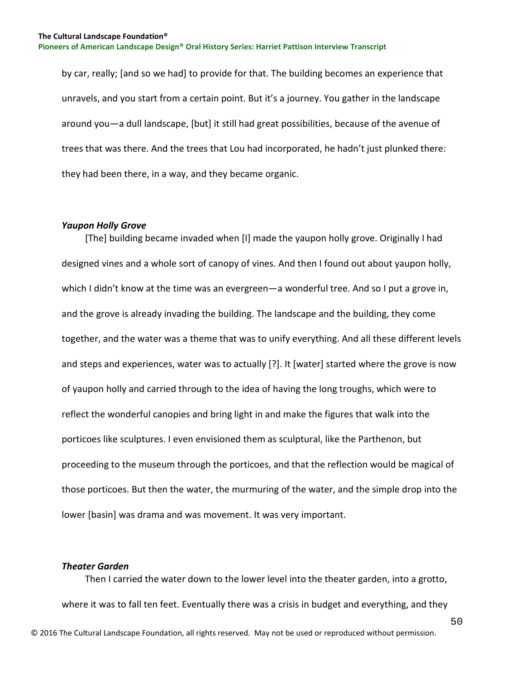by car, really; [and so we had] to provide for that. The building becomes an experience that unravels, and you start from a certain point. But it's a journey. You gather in the landscape around you—a dull landscape, [but] it still had great possibilities, because of the avenue of trees that was there. And the trees that Lou had incorporated, he hadn't just plunked there: they had been there, in a way, and they became organic.

## *Yaupon Holly Grove*

 [The] building became invaded when [I] made the yaupon holly grove. Originally I had designed vines and a whole sort of canopy of vines. And then I found out about yaupon holly, which I didn't know at the time was an evergreen—a wonderful tree. And so I put a grove in, and the grove is already invading the building. The landscape and the building, they come together, and the water was a theme that was to unify everything. And all these different levels and steps and experiences, water was to actually [?]. It [water] started where the grove is now of yaupon holly and carried through to the idea of having the long troughs, which were to reflect the wonderful canopies and bring light in and make the figures that walk into the porticoes like sculptures. I even envisioned them as sculptural, like the Parthenon, but proceeding to the museum through the porticoes, and that the reflection would be magical of those porticoes. But then the water, the murmuring of the water, and the simple drop into the lower [basin] was drama and was movement. It was very important.

## *Theater Garden*

© 2016 The Cultural Landscape Foundation, all rights reserved. May not be used or reproduced without permission. Then I carried the water down to the lower level into the theater garden, into a grotto, where it was to fall ten feet. Eventually there was a crisis in budget and everything, and they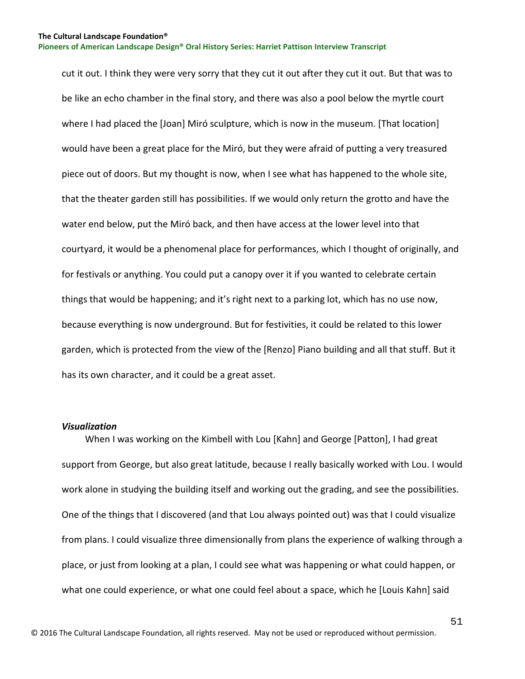cut it out. I think they were very sorry that they cut it out after they cut it out. But that was to be like an echo chamber in the final story, and there was also a pool below the myrtle court where I had placed the [Joan] Miró sculpture, which is now in the museum. [That location] would have been a great place for the Miró, but they were afraid of putting a very treasured piece out of doors. But my thought is now, when I see what has happened to the whole site, that the theater garden still has possibilities. If we would only return the grotto and have the water end below, put the Miró back, and then have access at the lower level into that courtyard, it would be a phenomenal place for performances, which I thought of originally, and for festivals or anything. You could put a canopy over it if you wanted to celebrate certain things that would be happening; and it's right next to a parking lot, which has no use now, because everything is now underground. But for festivities, it could be related to this lower garden, which is protected from the view of the [Renzo] Piano building and all that stuff. But it has its own character, and it could be a great asset.

#### *Visualization*

 When I was working on the Kimbell with Lou [Kahn] and George [Patton], I had great support from George, but also great latitude, because I really basically worked with Lou. I would work alone in studying the building itself and working out the grading, and see the possibilities. One of the things that I discovered (and that Lou always pointed out) was that I could visualize from plans. I could visualize three dimensionally from plans the experience of walking through a place, or just from looking at a plan, I could see what was happening or what could happen, or what one could experience, or what one could feel about a space, which he [Louis Kahn] said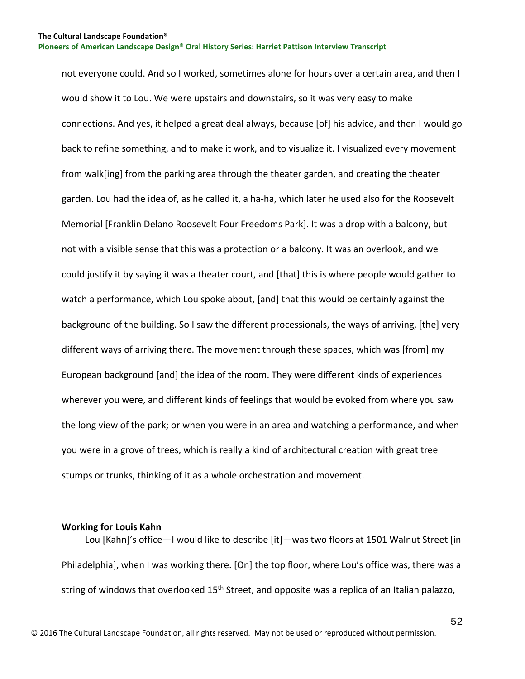not everyone could. And so I worked, sometimes alone for hours over a certain area, and then I would show it to Lou. We were upstairs and downstairs, so it was very easy to make connections. And yes, it helped a great deal always, because [of] his advice, and then I would go back to refine something, and to make it work, and to visualize it. I visualized every movement from walk[ing] from the parking area through the theater garden, and creating the theater garden. Lou had the idea of, as he called it, a ha-ha, which later he used also for the Roosevelt Memorial [Franklin Delano Roosevelt Four Freedoms Park]. It was a drop with a balcony, but not with a visible sense that this was a protection or a balcony. It was an overlook, and we could justify it by saying it was a theater court, and [that] this is where people would gather to watch a performance, which Lou spoke about, [and] that this would be certainly against the background of the building. So I saw the different processionals, the ways of arriving, [the] very different ways of arriving there. The movement through these spaces, which was [from] my European background [and] the idea of the room. They were different kinds of experiences wherever you were, and different kinds of feelings that would be evoked from where you saw the long view of the park; or when you were in an area and watching a performance, and when you were in a grove of trees, which is really a kind of architectural creation with great tree stumps or trunks, thinking of it as a whole orchestration and movement.

## **Working for Louis Kahn**

 Lou [Kahn]'s office—I would like to describe [it]—was two floors at 1501 Walnut Street [in Philadelphia], when I was working there. [On] the top floor, where Lou's office was, there was a string of windows that overlooked 15<sup>th</sup> Street, and opposite was a replica of an Italian palazzo,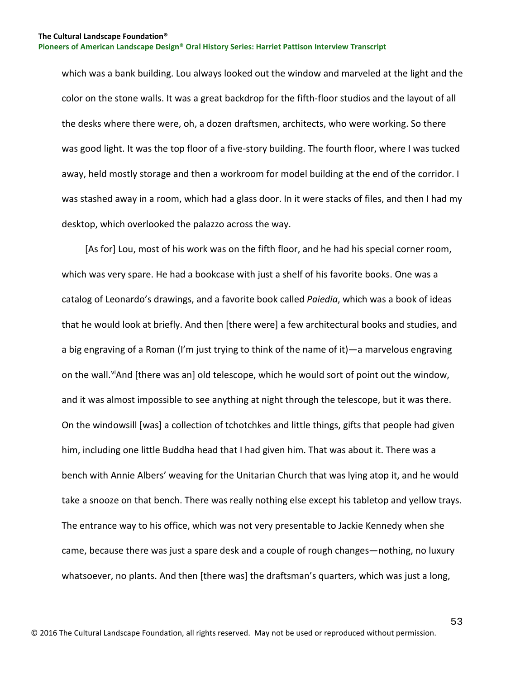which was a bank building. Lou always looked out the window and marveled at the light and the color on the stone walls. It was a great backdrop for the fifth-floor studios and the layout of all the desks where there were, oh, a dozen draftsmen, architects, who were working. So there was good light. It was the top floor of a five-story building. The fourth floor, where I was tucked away, held mostly storage and then a workroom for model building at the end of the corridor. I was stashed away in a room, which had a glass door. In it were stacks of files, and then I had my desktop, which overlooked the palazzo across the way.

 [As for] Lou, most of his work was on the fifth floor, and he had his special corner room, which was very spare. He had a bookcase with just a shelf of his favorite books. One was a catalog of Leonardo's drawings, and a favorite book called *Paiedia*, which was a book of ideas that he would look at briefly. And then [there were] a few architectural books and studies, and a big engraving of a Roman (I'm just trying to think of the name of it)—a marvelous engraving on the wall. "And [there was an] old telescope, which he would sort of point out the window, and it was almost impossible to see anything at night through the telescope, but it was there. On the windowsill [was] a collection of tchotchkes and little things, gifts that people had given him, including one little Buddha head that I had given him. That was about it. There was a bench with Annie Albers' weaving for the Unitarian Church that was lying atop it, and he would take a snooze on that bench. There was really nothing else except his tabletop and yellow trays. The entrance way to his office, which was not very presentable to Jackie Kennedy when she came, because there was just a spare desk and a couple of rough changes—nothing, no luxury whatsoever, no plants. And then [there was] the draftsman's quarters, which was just a long,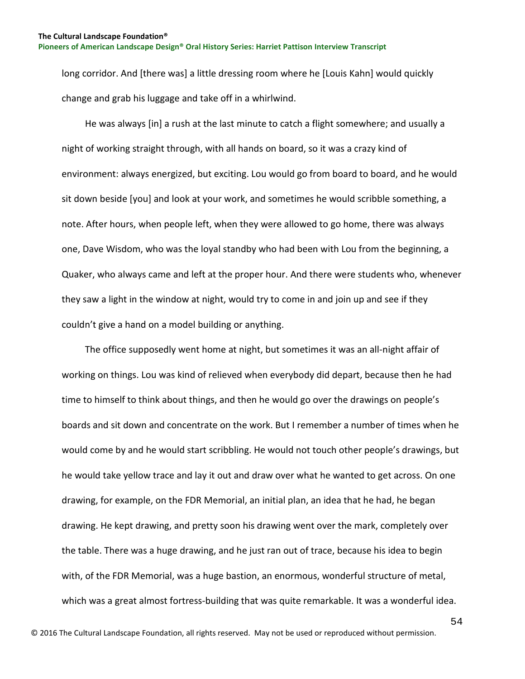long corridor. And [there was] a little dressing room where he [Louis Kahn] would quickly change and grab his luggage and take off in a whirlwind.

 He was always [in] a rush at the last minute to catch a flight somewhere; and usually a night of working straight through, with all hands on board, so it was a crazy kind of environment: always energized, but exciting. Lou would go from board to board, and he would sit down beside [you] and look at your work, and sometimes he would scribble something, a note. After hours, when people left, when they were allowed to go home, there was always one, Dave Wisdom, who was the loyal standby who had been with Lou from the beginning, a Quaker, who always came and left at the proper hour. And there were students who, whenever they saw a light in the window at night, would try to come in and join up and see if they couldn't give a hand on a model building or anything.

 The office supposedly went home at night, but sometimes it was an all-night affair of working on things. Lou was kind of relieved when everybody did depart, because then he had time to himself to think about things, and then he would go over the drawings on people's boards and sit down and concentrate on the work. But I remember a number of times when he would come by and he would start scribbling. He would not touch other people's drawings, but he would take yellow trace and lay it out and draw over what he wanted to get across. On one drawing, for example, on the FDR Memorial, an initial plan, an idea that he had, he began drawing. He kept drawing, and pretty soon his drawing went over the mark, completely over the table. There was a huge drawing, and he just ran out of trace, because his idea to begin with, of the FDR Memorial, was a huge bastion, an enormous, wonderful structure of metal, which was a great almost fortress-building that was quite remarkable. It was a wonderful idea.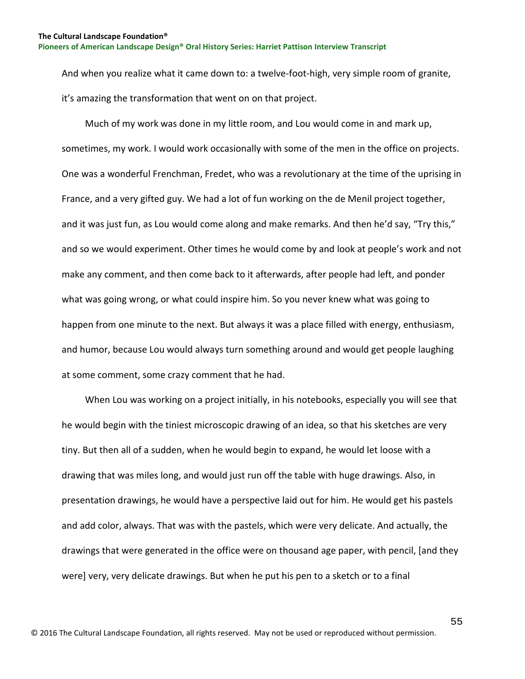And when you realize what it came down to: a twelve-foot-high, very simple room of granite, it's amazing the transformation that went on on that project.

 Much of my work was done in my little room, and Lou would come in and mark up, sometimes, my work. I would work occasionally with some of the men in the office on projects. One was a wonderful Frenchman, Fredet, who was a revolutionary at the time of the uprising in France, and a very gifted guy. We had a lot of fun working on the de Menil project together, and it was just fun, as Lou would come along and make remarks. And then he'd say, "Try this," and so we would experiment. Other times he would come by and look at people's work and not make any comment, and then come back to it afterwards, after people had left, and ponder what was going wrong, or what could inspire him. So you never knew what was going to happen from one minute to the next. But always it was a place filled with energy, enthusiasm, and humor, because Lou would always turn something around and would get people laughing at some comment, some crazy comment that he had.

 When Lou was working on a project initially, in his notebooks, especially you will see that he would begin with the tiniest microscopic drawing of an idea, so that his sketches are very tiny. But then all of a sudden, when he would begin to expand, he would let loose with a drawing that was miles long, and would just run off the table with huge drawings. Also, in presentation drawings, he would have a perspective laid out for him. He would get his pastels and add color, always. That was with the pastels, which were very delicate. And actually, the drawings that were generated in the office were on thousand age paper, with pencil, [and they were] very, very delicate drawings. But when he put his pen to a sketch or to a final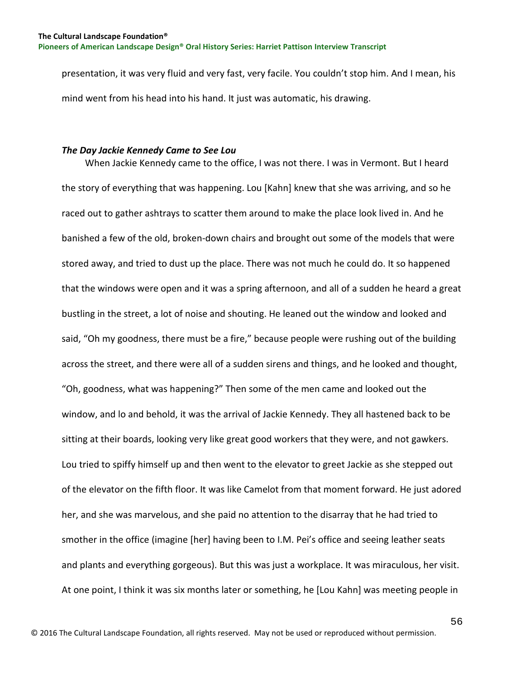presentation, it was very fluid and very fast, very facile. You couldn't stop him. And I mean, his mind went from his head into his hand. It just was automatic, his drawing.

## *The Day Jackie Kennedy Came to See Lou*

 When Jackie Kennedy came to the office, I was not there. I was in Vermont. But I heard the story of everything that was happening. Lou [Kahn] knew that she was arriving, and so he raced out to gather ashtrays to scatter them around to make the place look lived in. And he banished a few of the old, broken-down chairs and brought out some of the models that were stored away, and tried to dust up the place. There was not much he could do. It so happened that the windows were open and it was a spring afternoon, and all of a sudden he heard a great bustling in the street, a lot of noise and shouting. He leaned out the window and looked and said, "Oh my goodness, there must be a fire," because people were rushing out of the building across the street, and there were all of a sudden sirens and things, and he looked and thought, "Oh, goodness, what was happening?" Then some of the men came and looked out the window, and lo and behold, it was the arrival of Jackie Kennedy. They all hastened back to be sitting at their boards, looking very like great good workers that they were, and not gawkers. Lou tried to spiffy himself up and then went to the elevator to greet Jackie as she stepped out of the elevator on the fifth floor. It was like Camelot from that moment forward. He just adored her, and she was marvelous, and she paid no attention to the disarray that he had tried to smother in the office (imagine [her] having been to I.M. Pei's office and seeing leather seats and plants and everything gorgeous). But this was just a workplace. It was miraculous, her visit. At one point, I think it was six months later or something, he [Lou Kahn] was meeting people in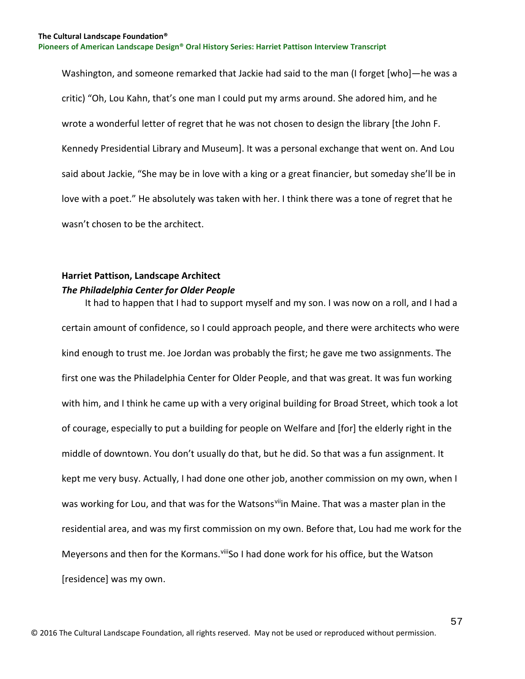Washington, and someone remarked that Jackie had said to the man (I forget [who]—he was a critic) "Oh, Lou Kahn, that's one man I could put my arms around. She adored him, and he wrote a wonderful letter of regret that he was not chosen to design the library [the John F. Kennedy Presidential Library and Museum]. It was a personal exchange that went on. And Lou said about Jackie, "She may be in love with a king or a great financier, but someday she'll be in love with a poet." He absolutely was taken with her. I think there was a tone of regret that he wasn't chosen to be the architect.

# **Harriet Pattison, Landscape Architect** *The Philadelphia Center for Older People*

 It had to happen that I had to support myself and my son. I was now on a roll, and I had a certain amount of confidence, so I could approach people, and there were architects who were kind enough to trust me. Joe Jordan was probably the first; he gave me two assignments. The first one was the Philadelphia Center for Older People, and that was great. It was fun working with him, and I think he came up with a very original building for Broad Street, which took a lot of courage, especially to put a building for people on Welfare and [for] the elderly right in the middle of downtown. You don't usually do that, but he did. So that was a fun assignment. It kept me very busy. Actually, I had done one other job, another commission on my own, when I was working for Lou, and that was for the Watsonsviin Maine. That was a master plan in the residential area, and was my first commission on my own. Before that, Lou had me work for the Meyersons and then for the Kormans. Vill So I had done work for his office, but the Watson [residence] was my own.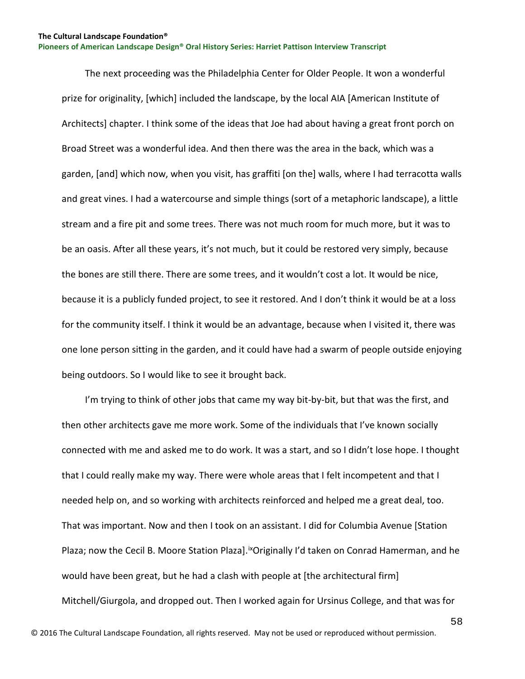The next proceeding was the Philadelphia Center for Older People. It won a wonderful prize for originality, [which] included the landscape, by the local AIA [American Institute of Architects] chapter. I think some of the ideas that Joe had about having a great front porch on Broad Street was a wonderful idea. And then there was the area in the back, which was a garden, [and] which now, when you visit, has graffiti [on the] walls, where I had terracotta walls and great vines. I had a watercourse and simple things (sort of a metaphoric landscape), a little stream and a fire pit and some trees. There was not much room for much more, but it was to be an oasis. After all these years, it's not much, but it could be restored very simply, because the bones are still there. There are some trees, and it wouldn't cost a lot. It would be nice, because it is a publicly funded project, to see it restored. And I don't think it would be at a loss for the community itself. I think it would be an advantage, because when I visited it, there was one lone person sitting in the garden, and it could have had a swarm of people outside enjoying being outdoors. So I would like to see it brought back.

I'm trying to think of other jobs that came my way bit-by-bit, but that was the first, and then other architects gave me more work. Some of the individuals that I've known socially connected with me and asked me to do work. It was a start, and so I didn't lose hope. I thought that I could really make my way. There were whole areas that I felt incompetent and that I needed help on, and so working with architects reinforced and helped me a great deal, too. That was important. Now and then I took on an assistant. I did for Columbia Avenue [Station Plaza; now the Cecil B. Moore Station Plaza]. Xoriginally I'd taken on Conrad Hamerman, and he would have been great, but he had a clash with people at [the architectural firm] Mitchell/Giurgola, and dropped out. Then I worked again for Ursinus College, and that was for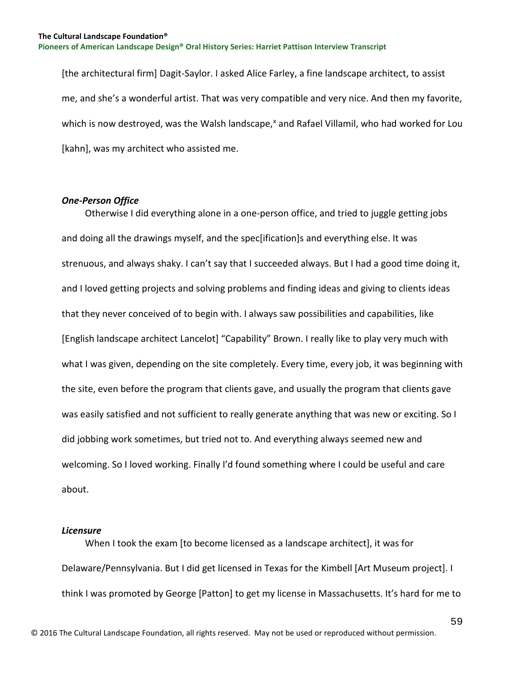[the architectural firm] Dagit-Saylor. I asked Alice Farley, a fine landscape architect, to assist me, and she's a wonderful artist. That was very compatible and very nice. And then my favorite, which is now destroyed, was the Walsh landscape,<sup>[x](#page-129-5)</sup> and Rafael Villamil, who had worked for Lou [kahn], was my architect who assisted me.

#### *One-Person Office*

 Otherwise I did everything alone in a one-person office, and tried to juggle getting jobs and doing all the drawings myself, and the spec[ification]s and everything else. It was strenuous, and always shaky. I can't say that I succeeded always. But I had a good time doing it, and I loved getting projects and solving problems and finding ideas and giving to clients ideas that they never conceived of to begin with. I always saw possibilities and capabilities, like [English landscape architect Lancelot] "Capability" Brown. I really like to play very much with what I was given, depending on the site completely. Every time, every job, it was beginning with the site, even before the program that clients gave, and usually the program that clients gave was easily satisfied and not sufficient to really generate anything that was new or exciting. So I did jobbing work sometimes, but tried not to. And everything always seemed new and welcoming. So I loved working. Finally I'd found something where I could be useful and care about.

## *Licensure*

 When I took the exam [to become licensed as a landscape architect], it was for Delaware/Pennsylvania. But I did get licensed in Texas for the Kimbell [Art Museum project]. I think I was promoted by George [Patton] to get my license in Massachusetts. It's hard for me to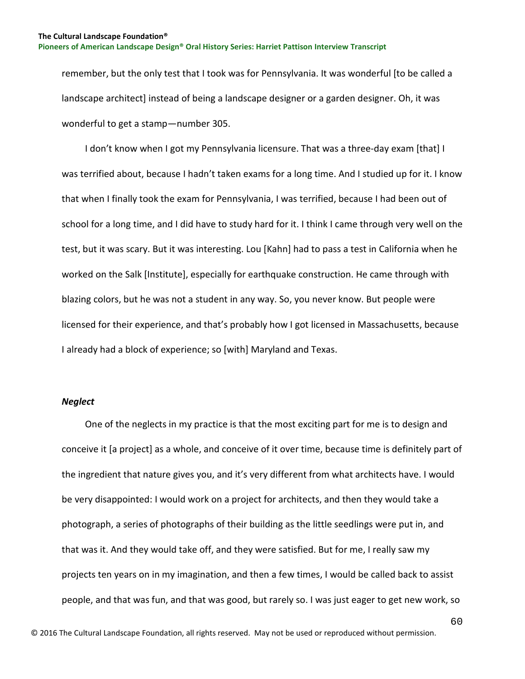remember, but the only test that I took was for Pennsylvania. It was wonderful [to be called a landscape architect] instead of being a landscape designer or a garden designer. Oh, it was wonderful to get a stamp—number 305.

I don't know when I got my Pennsylvania licensure. That was a three-day exam [that] I was terrified about, because I hadn't taken exams for a long time. And I studied up for it. I know that when I finally took the exam for Pennsylvania, I was terrified, because I had been out of school for a long time, and I did have to study hard for it. I think I came through very well on the test, but it was scary. But it was interesting. Lou [Kahn] had to pass a test in California when he worked on the Salk [Institute], especially for earthquake construction. He came through with blazing colors, but he was not a student in any way. So, you never know. But people were licensed for their experience, and that's probably how I got licensed in Massachusetts, because I already had a block of experience; so [with] Maryland and Texas.

## *Neglect*

 One of the neglects in my practice is that the most exciting part for me is to design and conceive it [a project] as a whole, and conceive of it over time, because time is definitely part of the ingredient that nature gives you, and it's very different from what architects have. I would be very disappointed: I would work on a project for architects, and then they would take a photograph, a series of photographs of their building as the little seedlings were put in, and that was it. And they would take off, and they were satisfied. But for me, I really saw my projects ten years on in my imagination, and then a few times, I would be called back to assist people, and that was fun, and that was good, but rarely so. I was just eager to get new work, so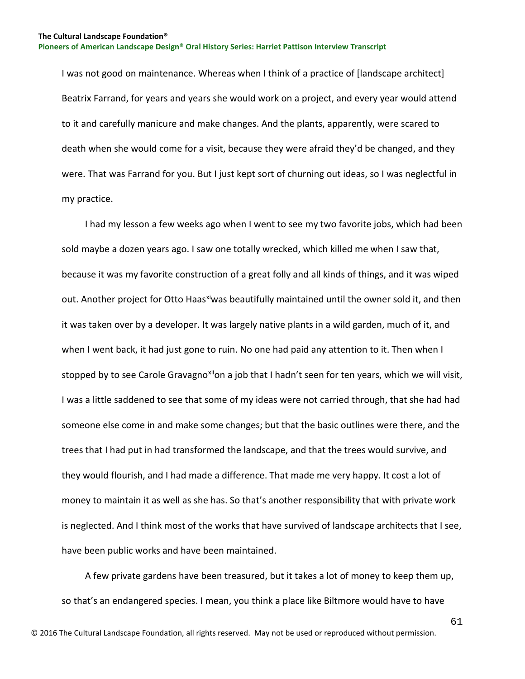I was not good on maintenance. Whereas when I think of a practice of [landscape architect] Beatrix Farrand, for years and years she would work on a project, and every year would attend to it and carefully manicure and make changes. And the plants, apparently, were scared to death when she would come for a visit, because they were afraid they'd be changed, and they were. That was Farrand for you. But I just kept sort of churning out ideas, so I was neglectful in my practice.

 I had my lesson a few weeks ago when I went to see my two favorite jobs, which had been sold maybe a dozen years ago. I saw one totally wrecked, which killed me when I saw that, because it was my favorite construction of a great folly and all kinds of things, and it was wiped out. Another project for Otto Haas[xi](#page-129-6)was beautifully maintained until the owner sold it, and then it was taken over by a developer. It was largely native plants in a wild garden, much of it, and when I went back, it had just gone to ruin. No one had paid any attention to it. Then when I stopped by to see Carole Gravagno<sup>[xii](#page-129-7)</sup>on a job that I hadn't seen for ten years, which we will visit, I was a little saddened to see that some of my ideas were not carried through, that she had had someone else come in and make some changes; but that the basic outlines were there, and the trees that I had put in had transformed the landscape, and that the trees would survive, and they would flourish, and I had made a difference. That made me very happy. It cost a lot of money to maintain it as well as she has. So that's another responsibility that with private work is neglected. And I think most of the works that have survived of landscape architects that I see, have been public works and have been maintained.

 A few private gardens have been treasured, but it takes a lot of money to keep them up, so that's an endangered species. I mean, you think a place like Biltmore would have to have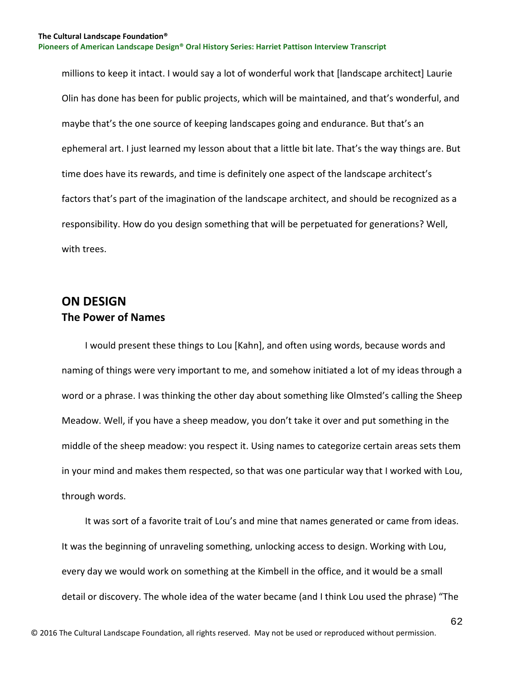millions to keep it intact. I would say a lot of wonderful work that [landscape architect] Laurie Olin has done has been for public projects, which will be maintained, and that's wonderful, and maybe that's the one source of keeping landscapes going and endurance. But that's an ephemeral art. I just learned my lesson about that a little bit late. That's the way things are. But time does have its rewards, and time is definitely one aspect of the landscape architect's factors that's part of the imagination of the landscape architect, and should be recognized as a responsibility. How do you design something that will be perpetuated for generations? Well, with trees.

# **ON DESIGN The Power of Names**

 I would present these things to Lou [Kahn], and often using words, because words and naming of things were very important to me, and somehow initiated a lot of my ideas through a word or a phrase. I was thinking the other day about something like Olmsted's calling the Sheep Meadow. Well, if you have a sheep meadow, you don't take it over and put something in the middle of the sheep meadow: you respect it. Using names to categorize certain areas sets them in your mind and makes them respected, so that was one particular way that I worked with Lou, through words.

 It was sort of a favorite trait of Lou's and mine that names generated or came from ideas. It was the beginning of unraveling something, unlocking access to design. Working with Lou, every day we would work on something at the Kimbell in the office, and it would be a small detail or discovery. The whole idea of the water became (and I think Lou used the phrase) "The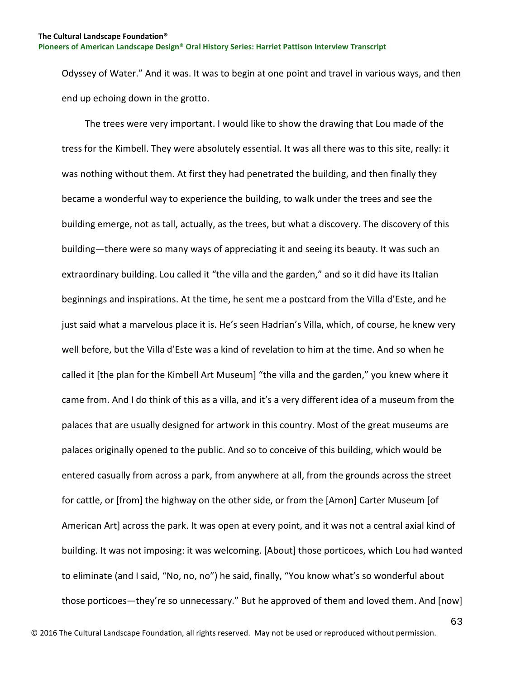Odyssey of Water." And it was. It was to begin at one point and travel in various ways, and then end up echoing down in the grotto.

 The trees were very important. I would like to show the drawing that Lou made of the tress for the Kimbell. They were absolutely essential. It was all there was to this site, really: it was nothing without them. At first they had penetrated the building, and then finally they became a wonderful way to experience the building, to walk under the trees and see the building emerge, not as tall, actually, as the trees, but what a discovery. The discovery of this building—there were so many ways of appreciating it and seeing its beauty. It was such an extraordinary building. Lou called it "the villa and the garden," and so it did have its Italian beginnings and inspirations. At the time, he sent me a postcard from the Villa d'Este, and he just said what a marvelous place it is. He's seen Hadrian's Villa, which, of course, he knew very well before, but the Villa d'Este was a kind of revelation to him at the time. And so when he called it [the plan for the Kimbell Art Museum] "the villa and the garden," you knew where it came from. And I do think of this as a villa, and it's a very different idea of a museum from the palaces that are usually designed for artwork in this country. Most of the great museums are palaces originally opened to the public. And so to conceive of this building, which would be entered casually from across a park, from anywhere at all, from the grounds across the street for cattle, or [from] the highway on the other side, or from the [Amon] Carter Museum [of American Art] across the park. It was open at every point, and it was not a central axial kind of building. It was not imposing: it was welcoming. [About] those porticoes, which Lou had wanted to eliminate (and I said, "No, no, no") he said, finally, "You know what's so wonderful about those porticoes—they're so unnecessary." But he approved of them and loved them. And [now]

63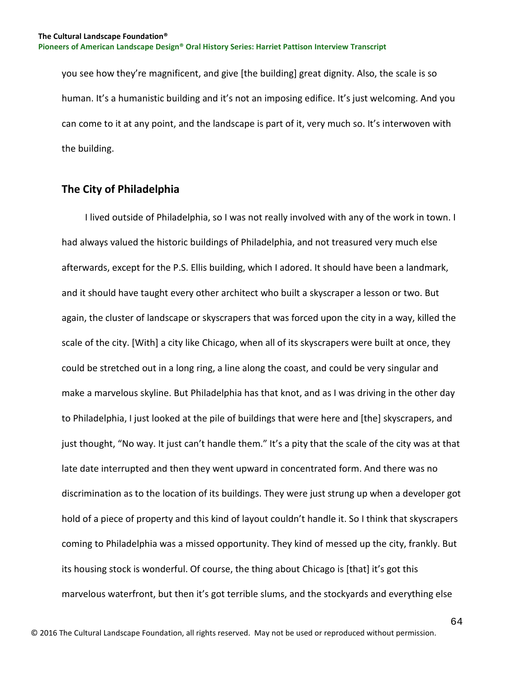you see how they're magnificent, and give [the building] great dignity. Also, the scale is so human. It's a humanistic building and it's not an imposing edifice. It's just welcoming. And you can come to it at any point, and the landscape is part of it, very much so. It's interwoven with the building.

# **The City of Philadelphia**

 I lived outside of Philadelphia, so I was not really involved with any of the work in town. I had always valued the historic buildings of Philadelphia, and not treasured very much else afterwards, except for the P.S. Ellis building, which I adored. It should have been a landmark, and it should have taught every other architect who built a skyscraper a lesson or two. But again, the cluster of landscape or skyscrapers that was forced upon the city in a way, killed the scale of the city. [With] a city like Chicago, when all of its skyscrapers were built at once, they could be stretched out in a long ring, a line along the coast, and could be very singular and make a marvelous skyline. But Philadelphia has that knot, and as I was driving in the other day to Philadelphia, I just looked at the pile of buildings that were here and [the] skyscrapers, and just thought, "No way. It just can't handle them." It's a pity that the scale of the city was at that late date interrupted and then they went upward in concentrated form. And there was no discrimination as to the location of its buildings. They were just strung up when a developer got hold of a piece of property and this kind of layout couldn't handle it. So I think that skyscrapers coming to Philadelphia was a missed opportunity. They kind of messed up the city, frankly. But its housing stock is wonderful. Of course, the thing about Chicago is [that] it's got this marvelous waterfront, but then it's got terrible slums, and the stockyards and everything else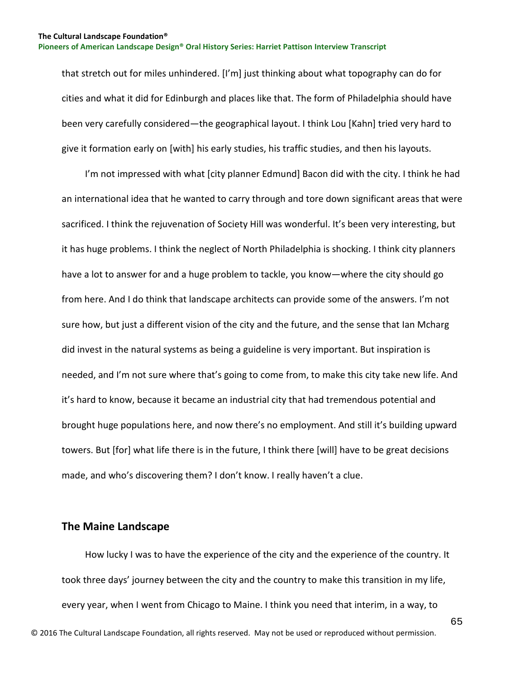that stretch out for miles unhindered. [I'm] just thinking about what topography can do for cities and what it did for Edinburgh and places like that. The form of Philadelphia should have been very carefully considered—the geographical layout. I think Lou [Kahn] tried very hard to give it formation early on [with] his early studies, his traffic studies, and then his layouts.

 I'm not impressed with what [city planner Edmund] Bacon did with the city. I think he had an international idea that he wanted to carry through and tore down significant areas that were sacrificed. I think the rejuvenation of Society Hill was wonderful. It's been very interesting, but it has huge problems. I think the neglect of North Philadelphia is shocking. I think city planners have a lot to answer for and a huge problem to tackle, you know—where the city should go from here. And I do think that landscape architects can provide some of the answers. I'm not sure how, but just a different vision of the city and the future, and the sense that Ian Mcharg did invest in the natural systems as being a guideline is very important. But inspiration is needed, and I'm not sure where that's going to come from, to make this city take new life. And it's hard to know, because it became an industrial city that had tremendous potential and brought huge populations here, and now there's no employment. And still it's building upward towers. But [for] what life there is in the future, I think there [will] have to be great decisions made, and who's discovering them? I don't know. I really haven't a clue.

## **The Maine Landscape**

 How lucky I was to have the experience of the city and the experience of the country. It took three days' journey between the city and the country to make this transition in my life, every year, when I went from Chicago to Maine. I think you need that interim, in a way, to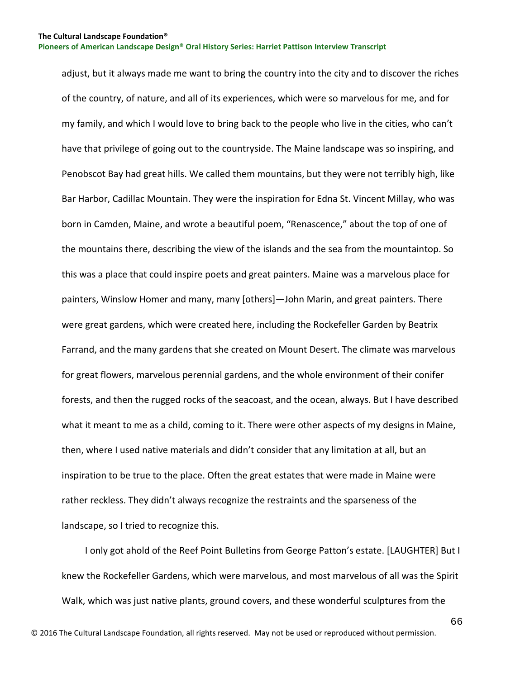adjust, but it always made me want to bring the country into the city and to discover the riches of the country, of nature, and all of its experiences, which were so marvelous for me, and for my family, and which I would love to bring back to the people who live in the cities, who can't have that privilege of going out to the countryside. The Maine landscape was so inspiring, and Penobscot Bay had great hills. We called them mountains, but they were not terribly high, like Bar Harbor, Cadillac Mountain. They were the inspiration for Edna St. Vincent Millay, who was born in Camden, Maine, and wrote a beautiful poem, "Renascence," about the top of one of the mountains there, describing the view of the islands and the sea from the mountaintop. So this was a place that could inspire poets and great painters. Maine was a marvelous place for painters, Winslow Homer and many, many [others]—John Marin, and great painters. There were great gardens, which were created here, including the Rockefeller Garden by Beatrix Farrand, and the many gardens that she created on Mount Desert. The climate was marvelous for great flowers, marvelous perennial gardens, and the whole environment of their conifer forests, and then the rugged rocks of the seacoast, and the ocean, always. But I have described what it meant to me as a child, coming to it. There were other aspects of my designs in Maine, then, where I used native materials and didn't consider that any limitation at all, but an inspiration to be true to the place. Often the great estates that were made in Maine were rather reckless. They didn't always recognize the restraints and the sparseness of the landscape, so I tried to recognize this.

 I only got ahold of the Reef Point Bulletins from George Patton's estate. [LAUGHTER] But I knew the Rockefeller Gardens, which were marvelous, and most marvelous of all was the Spirit Walk, which was just native plants, ground covers, and these wonderful sculptures from the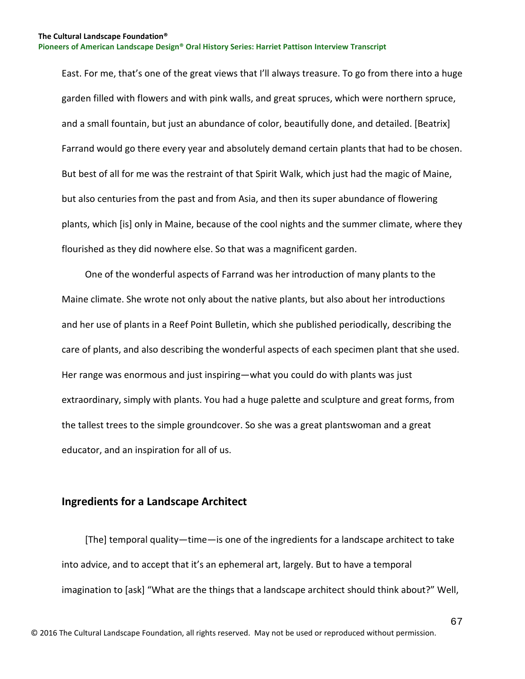East. For me, that's one of the great views that I'll always treasure. To go from there into a huge garden filled with flowers and with pink walls, and great spruces, which were northern spruce, and a small fountain, but just an abundance of color, beautifully done, and detailed. [Beatrix] Farrand would go there every year and absolutely demand certain plants that had to be chosen. But best of all for me was the restraint of that Spirit Walk, which just had the magic of Maine, but also centuries from the past and from Asia, and then its super abundance of flowering plants, which [is] only in Maine, because of the cool nights and the summer climate, where they flourished as they did nowhere else. So that was a magnificent garden.

 One of the wonderful aspects of Farrand was her introduction of many plants to the Maine climate. She wrote not only about the native plants, but also about her introductions and her use of plants in a Reef Point Bulletin, which she published periodically, describing the care of plants, and also describing the wonderful aspects of each specimen plant that she used. Her range was enormous and just inspiring—what you could do with plants was just extraordinary, simply with plants. You had a huge palette and sculpture and great forms, from the tallest trees to the simple groundcover. So she was a great plantswoman and a great educator, and an inspiration for all of us.

# **Ingredients for a Landscape Architect**

 [The] temporal quality—time—is one of the ingredients for a landscape architect to take into advice, and to accept that it's an ephemeral art, largely. But to have a temporal imagination to [ask] "What are the things that a landscape architect should think about?" Well,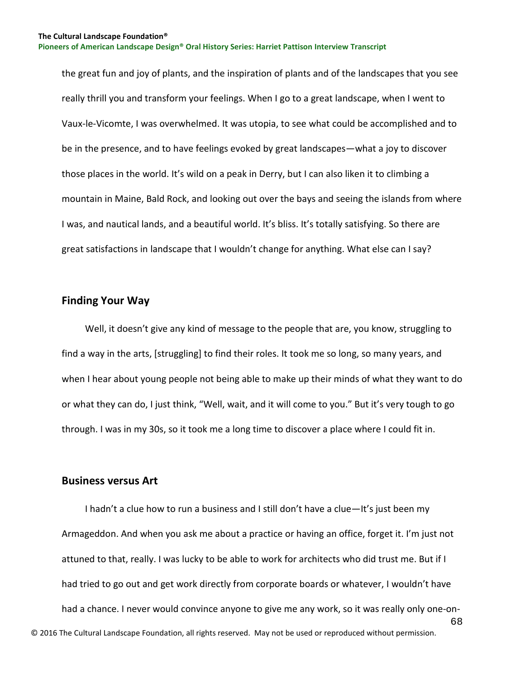the great fun and joy of plants, and the inspiration of plants and of the landscapes that you see really thrill you and transform your feelings. When I go to a great landscape, when I went to Vaux-le-Vicomte, I was overwhelmed. It was utopia, to see what could be accomplished and to be in the presence, and to have feelings evoked by great landscapes—what a joy to discover those places in the world. It's wild on a peak in Derry, but I can also liken it to climbing a mountain in Maine, Bald Rock, and looking out over the bays and seeing the islands from where I was, and nautical lands, and a beautiful world. It's bliss. It's totally satisfying. So there are great satisfactions in landscape that I wouldn't change for anything. What else can I say?

# **Finding Your Way**

 Well, it doesn't give any kind of message to the people that are, you know, struggling to find a way in the arts, [struggling] to find their roles. It took me so long, so many years, and when I hear about young people not being able to make up their minds of what they want to do or what they can do, I just think, "Well, wait, and it will come to you." But it's very tough to go through. I was in my 30s, so it took me a long time to discover a place where I could fit in.

## **Business versus Art**

68 © 2016 The Cultural Landscape Foundation, all rights reserved. May not be used or reproduced without permission. I hadn't a clue how to run a business and I still don't have a clue—It's just been my Armageddon. And when you ask me about a practice or having an office, forget it. I'm just not attuned to that, really. I was lucky to be able to work for architects who did trust me. But if I had tried to go out and get work directly from corporate boards or whatever, I wouldn't have had a chance. I never would convince anyone to give me any work, so it was really only one-on-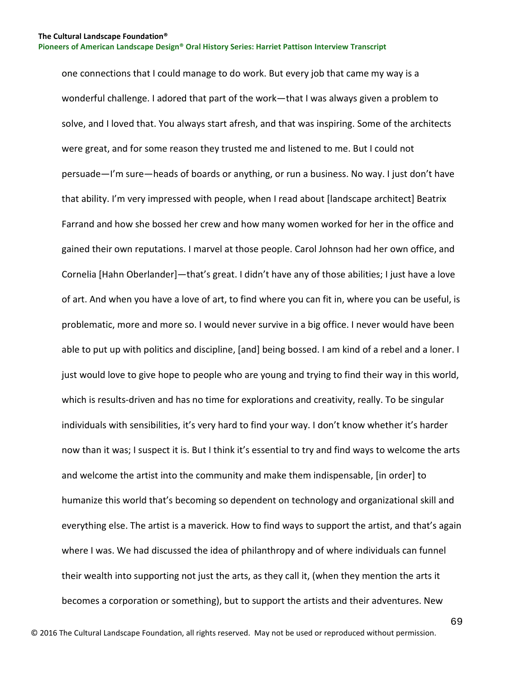one connections that I could manage to do work. But every job that came my way is a wonderful challenge. I adored that part of the work—that I was always given a problem to solve, and I loved that. You always start afresh, and that was inspiring. Some of the architects were great, and for some reason they trusted me and listened to me. But I could not persuade—I'm sure—heads of boards or anything, or run a business. No way. I just don't have that ability. I'm very impressed with people, when I read about [landscape architect] Beatrix Farrand and how she bossed her crew and how many women worked for her in the office and gained their own reputations. I marvel at those people. Carol Johnson had her own office, and Cornelia [Hahn Oberlander]—that's great. I didn't have any of those abilities; I just have a love of art. And when you have a love of art, to find where you can fit in, where you can be useful, is problematic, more and more so. I would never survive in a big office. I never would have been able to put up with politics and discipline, [and] being bossed. I am kind of a rebel and a loner. I just would love to give hope to people who are young and trying to find their way in this world, which is results-driven and has no time for explorations and creativity, really. To be singular individuals with sensibilities, it's very hard to find your way. I don't know whether it's harder now than it was; I suspect it is. But I think it's essential to try and find ways to welcome the arts and welcome the artist into the community and make them indispensable, [in order] to humanize this world that's becoming so dependent on technology and organizational skill and everything else. The artist is a maverick. How to find ways to support the artist, and that's again where I was. We had discussed the idea of philanthropy and of where individuals can funnel their wealth into supporting not just the arts, as they call it, (when they mention the arts it becomes a corporation or something), but to support the artists and their adventures. New

69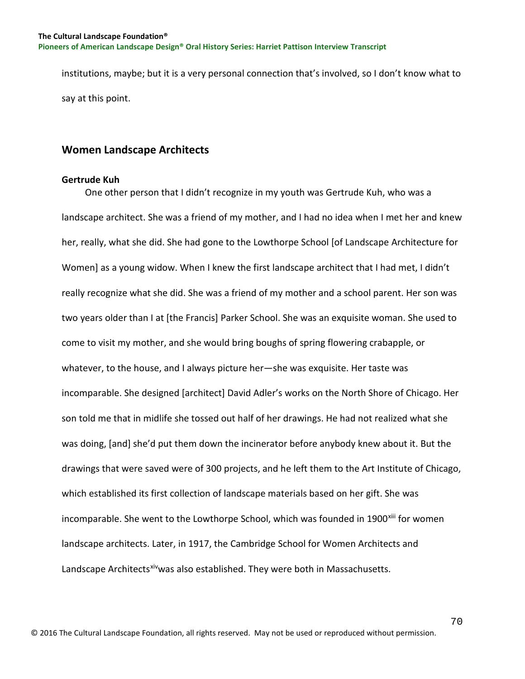institutions, maybe; but it is a very personal connection that's involved, so I don't know what to say at this point.

# **Women Landscape Architects**

## **Gertrude Kuh**

 One other person that I didn't recognize in my youth was Gertrude Kuh, who was a landscape architect. She was a friend of my mother, and I had no idea when I met her and knew her, really, what she did. She had gone to the Lowthorpe School [of Landscape Architecture for Women] as a young widow. When I knew the first landscape architect that I had met, I didn't really recognize what she did. She was a friend of my mother and a school parent. Her son was two years older than I at [the Francis] Parker School. She was an exquisite woman. She used to come to visit my mother, and she would bring boughs of spring flowering crabapple, or whatever, to the house, and I always picture her—she was exquisite. Her taste was incomparable. She designed [architect] David Adler's works on the North Shore of Chicago. Her son told me that in midlife she tossed out half of her drawings. He had not realized what she was doing, [and] she'd put them down the incinerator before anybody knew about it. But the drawings that were saved were of 300 projects, and he left them to the Art Institute of Chicago, which established its first collection of landscape materials based on her gift. She was incomparable. She went to the Lowthorpe School, which was founded in 1900<sup>[xiii](#page-129-8)</sup> for women landscape architects. Later, in 1917, the Cambridge School for Women Architects and Landscape Architect[sxiv](#page-129-9) was also established. They were both in Massachusetts.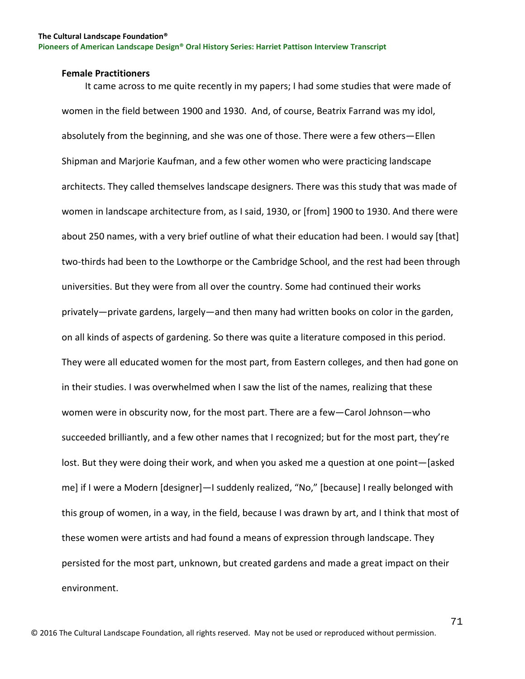#### **Female Practitioners**

 It came across to me quite recently in my papers; I had some studies that were made of women in the field between 1900 and 1930. And, of course, Beatrix Farrand was my idol, absolutely from the beginning, and she was one of those. There were a few others—Ellen Shipman and Marjorie Kaufman, and a few other women who were practicing landscape architects. They called themselves landscape designers. There was this study that was made of women in landscape architecture from, as I said, 1930, or [from] 1900 to 1930. And there were about 250 names, with a very brief outline of what their education had been. I would say [that] two-thirds had been to the Lowthorpe or the Cambridge School, and the rest had been through universities. But they were from all over the country. Some had continued their works privately—private gardens, largely—and then many had written books on color in the garden, on all kinds of aspects of gardening. So there was quite a literature composed in this period. They were all educated women for the most part, from Eastern colleges, and then had gone on in their studies. I was overwhelmed when I saw the list of the names, realizing that these women were in obscurity now, for the most part. There are a few—Carol Johnson—who succeeded brilliantly, and a few other names that I recognized; but for the most part, they're lost. But they were doing their work, and when you asked me a question at one point—[asked me] if I were a Modern [designer]—I suddenly realized, "No," [because] I really belonged with this group of women, in a way, in the field, because I was drawn by art, and I think that most of these women were artists and had found a means of expression through landscape. They persisted for the most part, unknown, but created gardens and made a great impact on their environment.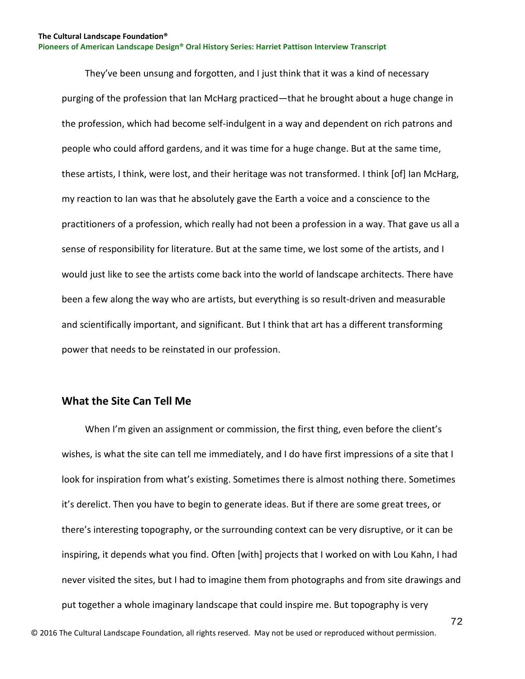They've been unsung and forgotten, and I just think that it was a kind of necessary purging of the profession that Ian McHarg practiced—that he brought about a huge change in the profession, which had become self-indulgent in a way and dependent on rich patrons and people who could afford gardens, and it was time for a huge change. But at the same time, these artists, I think, were lost, and their heritage was not transformed. I think [of] Ian McHarg, my reaction to Ian was that he absolutely gave the Earth a voice and a conscience to the practitioners of a profession, which really had not been a profession in a way. That gave us all a sense of responsibility for literature. But at the same time, we lost some of the artists, and I would just like to see the artists come back into the world of landscape architects. There have been a few along the way who are artists, but everything is so result-driven and measurable and scientifically important, and significant. But I think that art has a different transforming power that needs to be reinstated in our profession.

## **What the Site Can Tell Me**

 When I'm given an assignment or commission, the first thing, even before the client's wishes, is what the site can tell me immediately, and I do have first impressions of a site that I look for inspiration from what's existing. Sometimes there is almost nothing there. Sometimes it's derelict. Then you have to begin to generate ideas. But if there are some great trees, or there's interesting topography, or the surrounding context can be very disruptive, or it can be inspiring, it depends what you find. Often [with] projects that I worked on with Lou Kahn, I had never visited the sites, but I had to imagine them from photographs and from site drawings and put together a whole imaginary landscape that could inspire me. But topography is very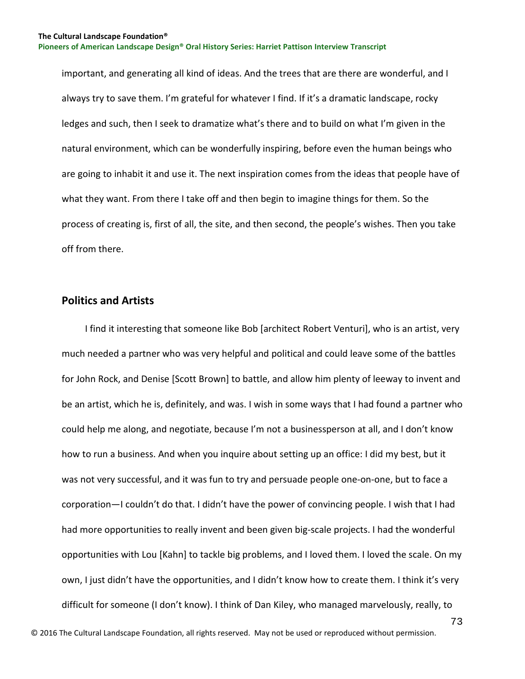important, and generating all kind of ideas. And the trees that are there are wonderful, and I always try to save them. I'm grateful for whatever I find. If it's a dramatic landscape, rocky ledges and such, then I seek to dramatize what's there and to build on what I'm given in the natural environment, which can be wonderfully inspiring, before even the human beings who are going to inhabit it and use it. The next inspiration comes from the ideas that people have of what they want. From there I take off and then begin to imagine things for them. So the process of creating is, first of all, the site, and then second, the people's wishes. Then you take off from there.

### **Politics and Artists**

 I find it interesting that someone like Bob [architect Robert Venturi], who is an artist, very much needed a partner who was very helpful and political and could leave some of the battles for John Rock, and Denise [Scott Brown] to battle, and allow him plenty of leeway to invent and be an artist, which he is, definitely, and was. I wish in some ways that I had found a partner who could help me along, and negotiate, because I'm not a businessperson at all, and I don't know how to run a business. And when you inquire about setting up an office: I did my best, but it was not very successful, and it was fun to try and persuade people one-on-one, but to face a corporation—I couldn't do that. I didn't have the power of convincing people. I wish that I had had more opportunities to really invent and been given big-scale projects. I had the wonderful opportunities with Lou [Kahn] to tackle big problems, and I loved them. I loved the scale. On my own, I just didn't have the opportunities, and I didn't know how to create them. I think it's very difficult for someone (I don't know). I think of Dan Kiley, who managed marvelously, really, to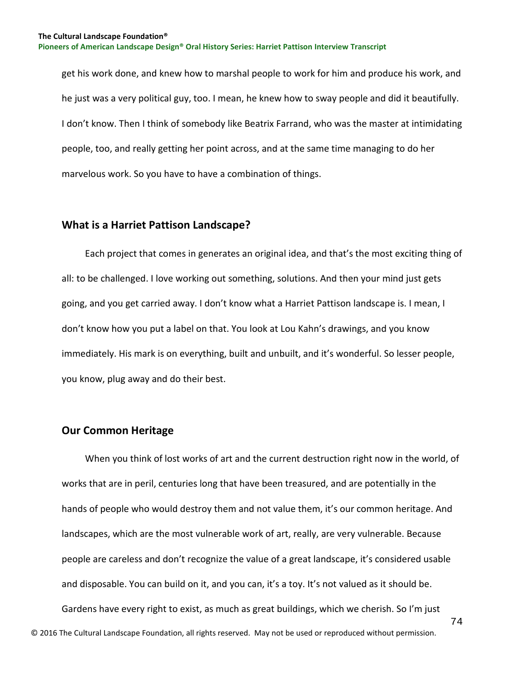get his work done, and knew how to marshal people to work for him and produce his work, and he just was a very political guy, too. I mean, he knew how to sway people and did it beautifully. I don't know. Then I think of somebody like Beatrix Farrand, who was the master at intimidating people, too, and really getting her point across, and at the same time managing to do her marvelous work. So you have to have a combination of things.

#### **What is a Harriet Pattison Landscape?**

 Each project that comes in generates an original idea, and that's the most exciting thing of all: to be challenged. I love working out something, solutions. And then your mind just gets going, and you get carried away. I don't know what a Harriet Pattison landscape is. I mean, I don't know how you put a label on that. You look at Lou Kahn's drawings, and you know immediately. His mark is on everything, built and unbuilt, and it's wonderful. So lesser people, you know, plug away and do their best.

### **Our Common Heritage**

 When you think of lost works of art and the current destruction right now in the world, of works that are in peril, centuries long that have been treasured, and are potentially in the hands of people who would destroy them and not value them, it's our common heritage. And landscapes, which are the most vulnerable work of art, really, are very vulnerable. Because people are careless and don't recognize the value of a great landscape, it's considered usable and disposable. You can build on it, and you can, it's a toy. It's not valued as it should be. Gardens have every right to exist, as much as great buildings, which we cherish. So I'm just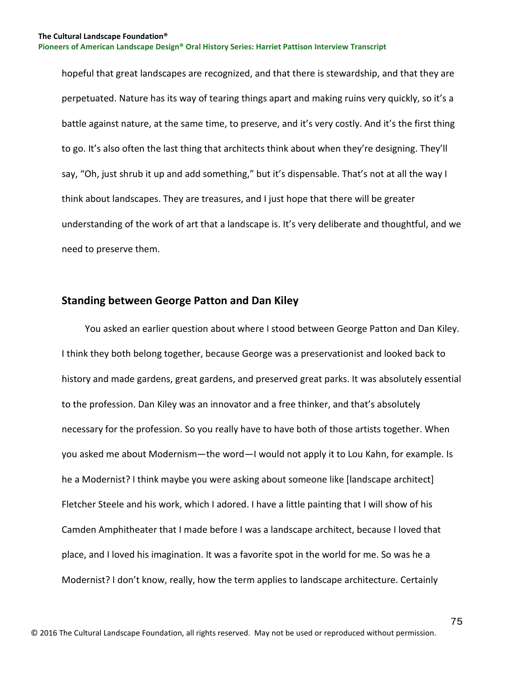hopeful that great landscapes are recognized, and that there is stewardship, and that they are perpetuated. Nature has its way of tearing things apart and making ruins very quickly, so it's a battle against nature, at the same time, to preserve, and it's very costly. And it's the first thing to go. It's also often the last thing that architects think about when they're designing. They'll say, "Oh, just shrub it up and add something," but it's dispensable. That's not at all the way I think about landscapes. They are treasures, and I just hope that there will be greater understanding of the work of art that a landscape is. It's very deliberate and thoughtful, and we need to preserve them.

### **Standing between George Patton and Dan Kiley**

 You asked an earlier question about where I stood between George Patton and Dan Kiley. I think they both belong together, because George was a preservationist and looked back to history and made gardens, great gardens, and preserved great parks. It was absolutely essential to the profession. Dan Kiley was an innovator and a free thinker, and that's absolutely necessary for the profession. So you really have to have both of those artists together. When you asked me about Modernism—the word—I would not apply it to Lou Kahn, for example. Is he a Modernist? I think maybe you were asking about someone like [landscape architect] Fletcher Steele and his work, which I adored. I have a little painting that I will show of his Camden Amphitheater that I made before I was a landscape architect, because I loved that place, and I loved his imagination. It was a favorite spot in the world for me. So was he a Modernist? I don't know, really, how the term applies to landscape architecture. Certainly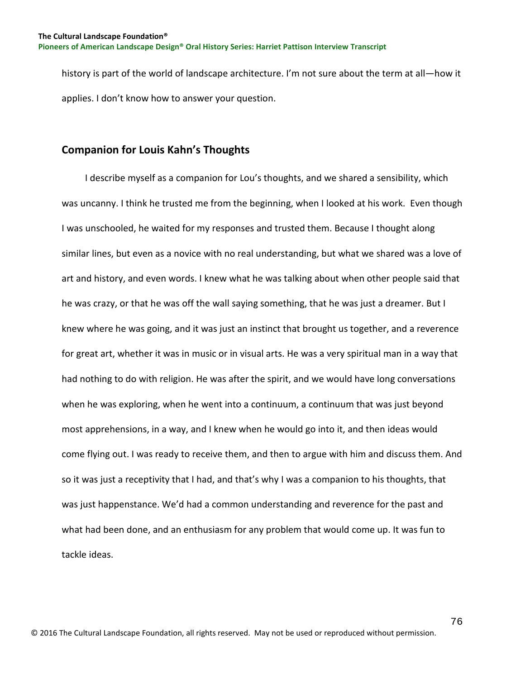history is part of the world of landscape architecture. I'm not sure about the term at all—how it applies. I don't know how to answer your question.

## **Companion for Louis Kahn's Thoughts**

 I describe myself as a companion for Lou's thoughts, and we shared a sensibility, which was uncanny. I think he trusted me from the beginning, when I looked at his work. Even though I was unschooled, he waited for my responses and trusted them. Because I thought along similar lines, but even as a novice with no real understanding, but what we shared was a love of art and history, and even words. I knew what he was talking about when other people said that he was crazy, or that he was off the wall saying something, that he was just a dreamer. But I knew where he was going, and it was just an instinct that brought us together, and a reverence for great art, whether it was in music or in visual arts. He was a very spiritual man in a way that had nothing to do with religion. He was after the spirit, and we would have long conversations when he was exploring, when he went into a continuum, a continuum that was just beyond most apprehensions, in a way, and I knew when he would go into it, and then ideas would come flying out. I was ready to receive them, and then to argue with him and discuss them. And so it was just a receptivity that I had, and that's why I was a companion to his thoughts, that was just happenstance. We'd had a common understanding and reverence for the past and what had been done, and an enthusiasm for any problem that would come up. It was fun to tackle ideas.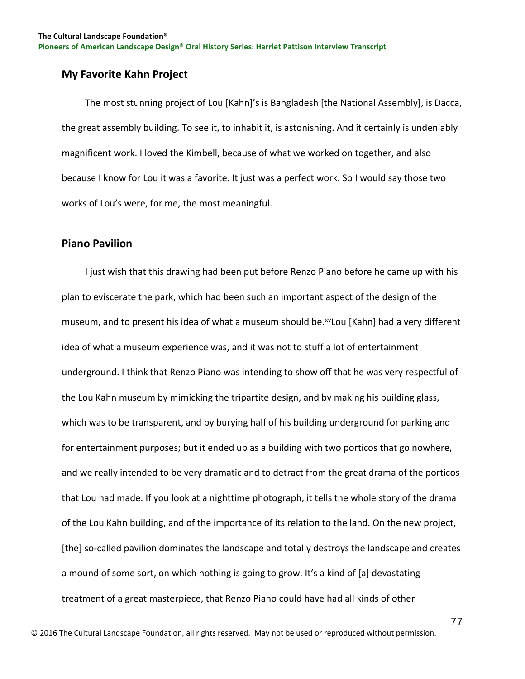## **My Favorite Kahn Project**

 The most stunning project of Lou [Kahn]'s is Bangladesh [the National Assembly], is Dacca, the great assembly building. To see it, to inhabit it, is astonishing. And it certainly is undeniably magnificent work. I loved the Kimbell, because of what we worked on together, and also because I know for Lou it was a favorite. It just was a perfect work. So I would say those two works of Lou's were, for me, the most meaningful.

## **Piano Pavilion**

 I just wish that this drawing had been put before Renzo Piano before he came up with his plan to eviscerate the park, which had been such an important aspect of the design of the museum, and to present his idea of what a museum should be.<sup>[xv](#page-129-0)</sup>Lou [Kahn] had a very different idea of what a museum experience was, and it was not to stuff a lot of entertainment underground. I think that Renzo Piano was intending to show off that he was very respectful of the Lou Kahn museum by mimicking the tripartite design, and by making his building glass, which was to be transparent, and by burying half of his building underground for parking and for entertainment purposes; but it ended up as a building with two porticos that go nowhere, and we really intended to be very dramatic and to detract from the great drama of the porticos that Lou had made. If you look at a nighttime photograph, it tells the whole story of the drama of the Lou Kahn building, and of the importance of its relation to the land. On the new project, [the] so-called pavilion dominates the landscape and totally destroys the landscape and creates a mound of some sort, on which nothing is going to grow. It's a kind of [a] devastating treatment of a great masterpiece, that Renzo Piano could have had all kinds of other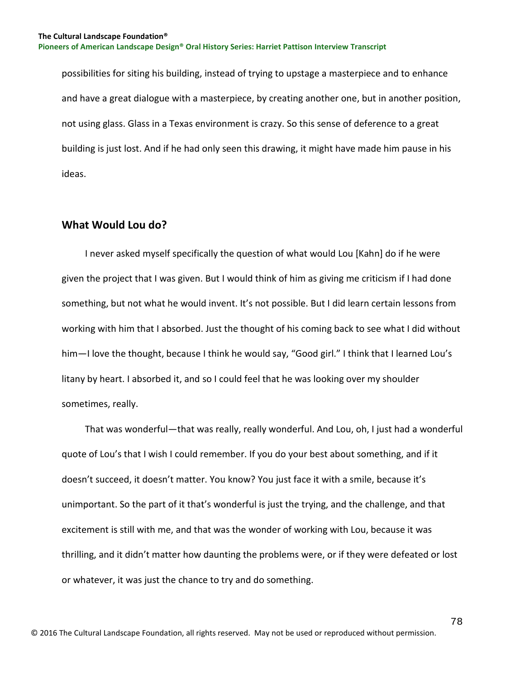possibilities for siting his building, instead of trying to upstage a masterpiece and to enhance and have a great dialogue with a masterpiece, by creating another one, but in another position, not using glass. Glass in a Texas environment is crazy. So this sense of deference to a great building is just lost. And if he had only seen this drawing, it might have made him pause in his ideas.

## **What Would Lou do?**

 I never asked myself specifically the question of what would Lou [Kahn] do if he were given the project that I was given. But I would think of him as giving me criticism if I had done something, but not what he would invent. It's not possible. But I did learn certain lessons from working with him that I absorbed. Just the thought of his coming back to see what I did without him—I love the thought, because I think he would say, "Good girl." I think that I learned Lou's litany by heart. I absorbed it, and so I could feel that he was looking over my shoulder sometimes, really.

 That was wonderful—that was really, really wonderful. And Lou, oh, I just had a wonderful quote of Lou's that I wish I could remember. If you do your best about something, and if it doesn't succeed, it doesn't matter. You know? You just face it with a smile, because it's unimportant. So the part of it that's wonderful is just the trying, and the challenge, and that excitement is still with me, and that was the wonder of working with Lou, because it was thrilling, and it didn't matter how daunting the problems were, or if they were defeated or lost or whatever, it was just the chance to try and do something.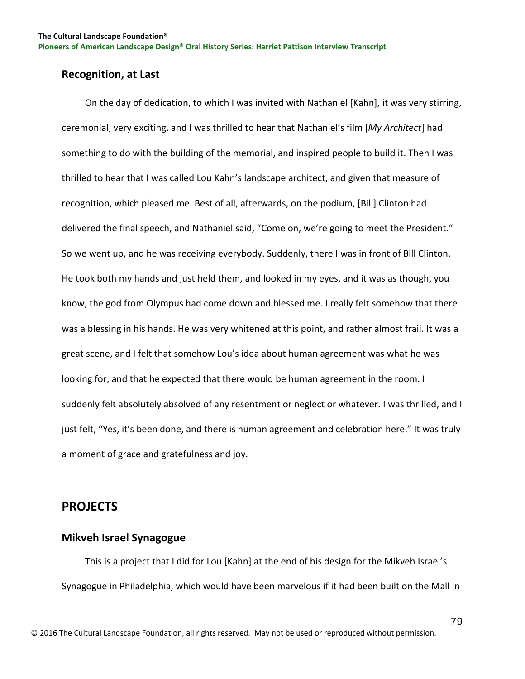### **Recognition, at Last**

 On the day of dedication, to which I was invited with Nathaniel [Kahn], it was very stirring, ceremonial, very exciting, and I was thrilled to hear that Nathaniel's film [*My Architect*] had something to do with the building of the memorial, and inspired people to build it. Then I was thrilled to hear that I was called Lou Kahn's landscape architect, and given that measure of recognition, which pleased me. Best of all, afterwards, on the podium, [Bill] Clinton had delivered the final speech, and Nathaniel said, "Come on, we're going to meet the President." So we went up, and he was receiving everybody. Suddenly, there I was in front of Bill Clinton. He took both my hands and just held them, and looked in my eyes, and it was as though, you know, the god from Olympus had come down and blessed me. I really felt somehow that there was a blessing in his hands. He was very whitened at this point, and rather almost frail. It was a great scene, and I felt that somehow Lou's idea about human agreement was what he was looking for, and that he expected that there would be human agreement in the room. I suddenly felt absolutely absolved of any resentment or neglect or whatever. I was thrilled, and I just felt, "Yes, it's been done, and there is human agreement and celebration here." It was truly a moment of grace and gratefulness and joy.

# **PROJECTS**

### **Mikveh Israel Synagogue**

 This is a project that I did for Lou [Kahn] at the end of his design for the Mikveh Israel's Synagogue in Philadelphia, which would have been marvelous if it had been built on the Mall in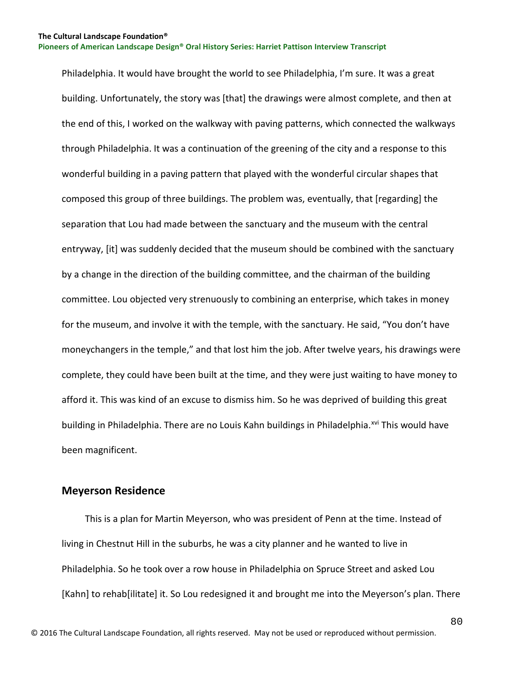Philadelphia. It would have brought the world to see Philadelphia, I'm sure. It was a great building. Unfortunately, the story was [that] the drawings were almost complete, and then at the end of this, I worked on the walkway with paving patterns, which connected the walkways through Philadelphia. It was a continuation of the greening of the city and a response to this wonderful building in a paving pattern that played with the wonderful circular shapes that composed this group of three buildings. The problem was, eventually, that [regarding] the separation that Lou had made between the sanctuary and the museum with the central entryway, [it] was suddenly decided that the museum should be combined with the sanctuary by a change in the direction of the building committee, and the chairman of the building committee. Lou objected very strenuously to combining an enterprise, which takes in money for the museum, and involve it with the temple, with the sanctuary. He said, "You don't have moneychangers in the temple," and that lost him the job. After twelve years, his drawings were complete, they could have been built at the time, and they were just waiting to have money to afford it. This was kind of an excuse to dismiss him. So he was deprived of building this great building in Philadelphia. There are no Louis Kahn buildings in Philadelphia.<sup>[xvi](#page-129-1)</sup> This would have been magnificent.

### **Meyerson Residence**

 This is a plan for Martin Meyerson, who was president of Penn at the time. Instead of living in Chestnut Hill in the suburbs, he was a city planner and he wanted to live in Philadelphia. So he took over a row house in Philadelphia on Spruce Street and asked Lou [Kahn] to rehab[ilitate] it. So Lou redesigned it and brought me into the Meyerson's plan. There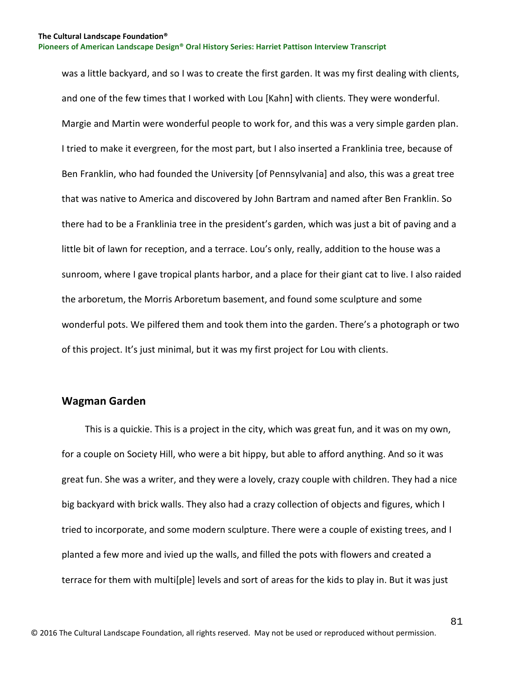was a little backyard, and so I was to create the first garden. It was my first dealing with clients, and one of the few times that I worked with Lou [Kahn] with clients. They were wonderful. Margie and Martin were wonderful people to work for, and this was a very simple garden plan. I tried to make it evergreen, for the most part, but I also inserted a Franklinia tree, because of Ben Franklin, who had founded the University [of Pennsylvania] and also, this was a great tree that was native to America and discovered by John Bartram and named after Ben Franklin. So there had to be a Franklinia tree in the president's garden, which was just a bit of paving and a little bit of lawn for reception, and a terrace. Lou's only, really, addition to the house was a sunroom, where I gave tropical plants harbor, and a place for their giant cat to live. I also raided the arboretum, the Morris Arboretum basement, and found some sculpture and some wonderful pots. We pilfered them and took them into the garden. There's a photograph or two of this project. It's just minimal, but it was my first project for Lou with clients.

#### **Wagman Garden**

 This is a quickie. This is a project in the city, which was great fun, and it was on my own, for a couple on Society Hill, who were a bit hippy, but able to afford anything. And so it was great fun. She was a writer, and they were a lovely, crazy couple with children. They had a nice big backyard with brick walls. They also had a crazy collection of objects and figures, which I tried to incorporate, and some modern sculpture. There were a couple of existing trees, and I planted a few more and ivied up the walls, and filled the pots with flowers and created a terrace for them with multi[ple] levels and sort of areas for the kids to play in. But it was just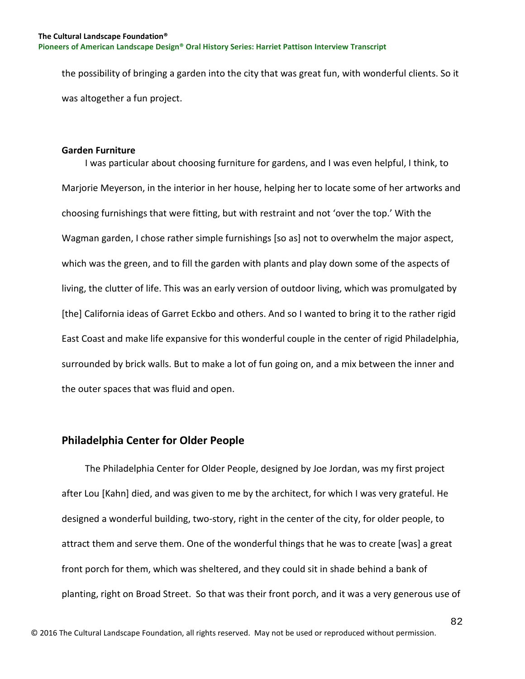the possibility of bringing a garden into the city that was great fun, with wonderful clients. So it was altogether a fun project.

#### **Garden Furniture**

 I was particular about choosing furniture for gardens, and I was even helpful, I think, to Marjorie Meyerson, in the interior in her house, helping her to locate some of her artworks and choosing furnishings that were fitting, but with restraint and not 'over the top.' With the Wagman garden, I chose rather simple furnishings [so as] not to overwhelm the major aspect, which was the green, and to fill the garden with plants and play down some of the aspects of living, the clutter of life. This was an early version of outdoor living, which was promulgated by [the] California ideas of Garret Eckbo and others. And so I wanted to bring it to the rather rigid East Coast and make life expansive for this wonderful couple in the center of rigid Philadelphia, surrounded by brick walls. But to make a lot of fun going on, and a mix between the inner and the outer spaces that was fluid and open.

#### **Philadelphia Center for Older People**

 The Philadelphia Center for Older People, designed by Joe Jordan, was my first project after Lou [Kahn] died, and was given to me by the architect, for which I was very grateful. He designed a wonderful building, two-story, right in the center of the city, for older people, to attract them and serve them. One of the wonderful things that he was to create [was] a great front porch for them, which was sheltered, and they could sit in shade behind a bank of planting, right on Broad Street. So that was their front porch, and it was a very generous use of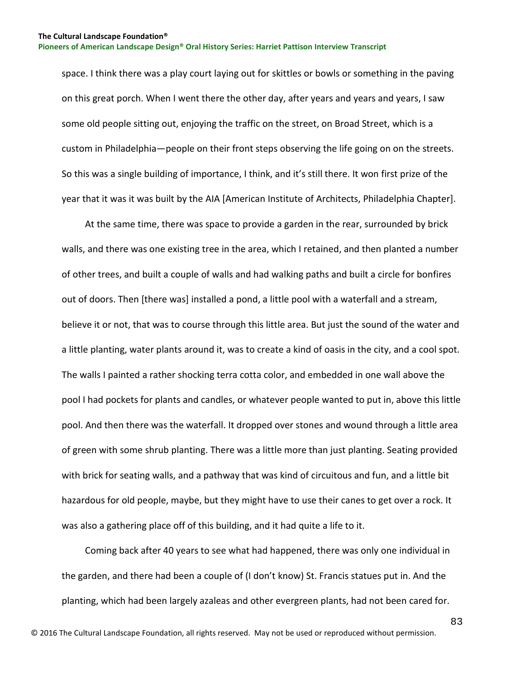space. I think there was a play court laying out for skittles or bowls or something in the paving on this great porch. When I went there the other day, after years and years and years, I saw some old people sitting out, enjoying the traffic on the street, on Broad Street, which is a custom in Philadelphia—people on their front steps observing the life going on on the streets. So this was a single building of importance, I think, and it's still there. It won first prize of the year that it was it was built by the AIA [American Institute of Architects, Philadelphia Chapter].

 At the same time, there was space to provide a garden in the rear, surrounded by brick walls, and there was one existing tree in the area, which I retained, and then planted a number of other trees, and built a couple of walls and had walking paths and built a circle for bonfires out of doors. Then [there was] installed a pond, a little pool with a waterfall and a stream, believe it or not, that was to course through this little area. But just the sound of the water and a little planting, water plants around it, was to create a kind of oasis in the city, and a cool spot. The walls I painted a rather shocking terra cotta color, and embedded in one wall above the pool I had pockets for plants and candles, or whatever people wanted to put in, above this little pool. And then there was the waterfall. It dropped over stones and wound through a little area of green with some shrub planting. There was a little more than just planting. Seating provided with brick for seating walls, and a pathway that was kind of circuitous and fun, and a little bit hazardous for old people, maybe, but they might have to use their canes to get over a rock. It was also a gathering place off of this building, and it had quite a life to it.

 Coming back after 40 years to see what had happened, there was only one individual in the garden, and there had been a couple of (I don't know) St. Francis statues put in. And the planting, which had been largely azaleas and other evergreen plants, had not been cared for.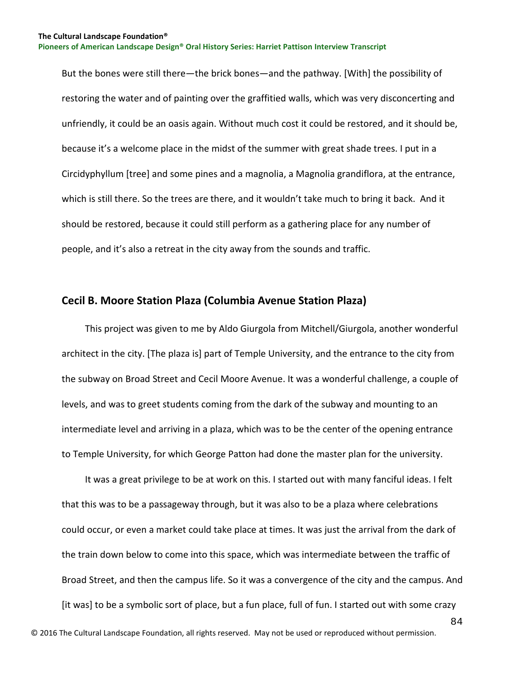But the bones were still there—the brick bones—and the pathway. [With] the possibility of restoring the water and of painting over the graffitied walls, which was very disconcerting and unfriendly, it could be an oasis again. Without much cost it could be restored, and it should be, because it's a welcome place in the midst of the summer with great shade trees. I put in a Circidyphyllum [tree] and some pines and a magnolia, a Magnolia grandiflora, at the entrance, which is still there. So the trees are there, and it wouldn't take much to bring it back. And it should be restored, because it could still perform as a gathering place for any number of people, and it's also a retreat in the city away from the sounds and traffic.

### **Cecil B. Moore Station Plaza (Columbia Avenue Station Plaza)**

 This project was given to me by Aldo Giurgola from Mitchell/Giurgola, another wonderful architect in the city. [The plaza is] part of Temple University, and the entrance to the city from the subway on Broad Street and Cecil Moore Avenue. It was a wonderful challenge, a couple of levels, and was to greet students coming from the dark of the subway and mounting to an intermediate level and arriving in a plaza, which was to be the center of the opening entrance to Temple University, for which George Patton had done the master plan for the university.

 It was a great privilege to be at work on this. I started out with many fanciful ideas. I felt that this was to be a passageway through, but it was also to be a plaza where celebrations could occur, or even a market could take place at times. It was just the arrival from the dark of the train down below to come into this space, which was intermediate between the traffic of Broad Street, and then the campus life. So it was a convergence of the city and the campus. And [it was] to be a symbolic sort of place, but a fun place, full of fun. I started out with some crazy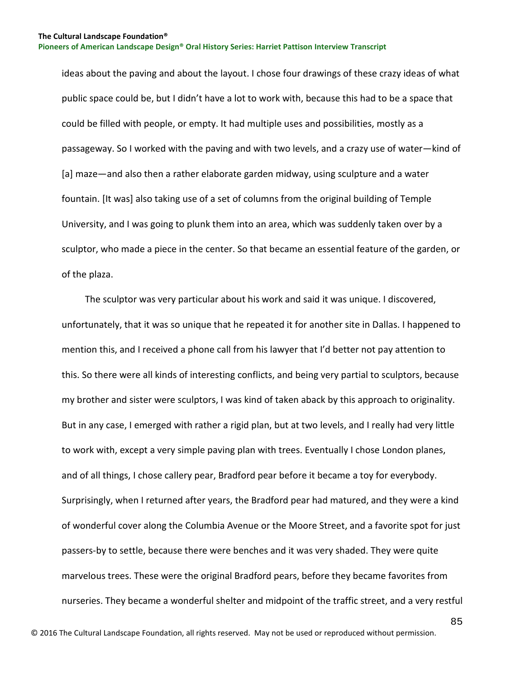ideas about the paving and about the layout. I chose four drawings of these crazy ideas of what public space could be, but I didn't have a lot to work with, because this had to be a space that could be filled with people, or empty. It had multiple uses and possibilities, mostly as a passageway. So I worked with the paving and with two levels, and a crazy use of water—kind of [a] maze—and also then a rather elaborate garden midway, using sculpture and a water fountain. [It was] also taking use of a set of columns from the original building of Temple University, and I was going to plunk them into an area, which was suddenly taken over by a sculptor, who made a piece in the center. So that became an essential feature of the garden, or of the plaza.

 The sculptor was very particular about his work and said it was unique. I discovered, unfortunately, that it was so unique that he repeated it for another site in Dallas. I happened to mention this, and I received a phone call from his lawyer that I'd better not pay attention to this. So there were all kinds of interesting conflicts, and being very partial to sculptors, because my brother and sister were sculptors, I was kind of taken aback by this approach to originality. But in any case, I emerged with rather a rigid plan, but at two levels, and I really had very little to work with, except a very simple paving plan with trees. Eventually I chose London planes, and of all things, I chose callery pear, Bradford pear before it became a toy for everybody. Surprisingly, when I returned after years, the Bradford pear had matured, and they were a kind of wonderful cover along the Columbia Avenue or the Moore Street, and a favorite spot for just passers-by to settle, because there were benches and it was very shaded. They were quite marvelous trees. These were the original Bradford pears, before they became favorites from nurseries. They became a wonderful shelter and midpoint of the traffic street, and a very restful

85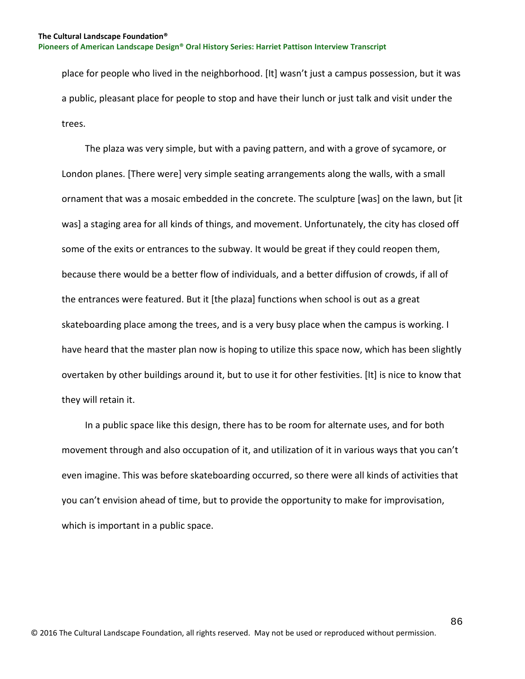place for people who lived in the neighborhood. [It] wasn't just a campus possession, but it was a public, pleasant place for people to stop and have their lunch or just talk and visit under the trees.

 The plaza was very simple, but with a paving pattern, and with a grove of sycamore, or London planes. [There were] very simple seating arrangements along the walls, with a small ornament that was a mosaic embedded in the concrete. The sculpture [was] on the lawn, but [it was] a staging area for all kinds of things, and movement. Unfortunately, the city has closed off some of the exits or entrances to the subway. It would be great if they could reopen them, because there would be a better flow of individuals, and a better diffusion of crowds, if all of the entrances were featured. But it [the plaza] functions when school is out as a great skateboarding place among the trees, and is a very busy place when the campus is working. I have heard that the master plan now is hoping to utilize this space now, which has been slightly overtaken by other buildings around it, but to use it for other festivities. [It] is nice to know that they will retain it.

 In a public space like this design, there has to be room for alternate uses, and for both movement through and also occupation of it, and utilization of it in various ways that you can't even imagine. This was before skateboarding occurred, so there were all kinds of activities that you can't envision ahead of time, but to provide the opportunity to make for improvisation, which is important in a public space.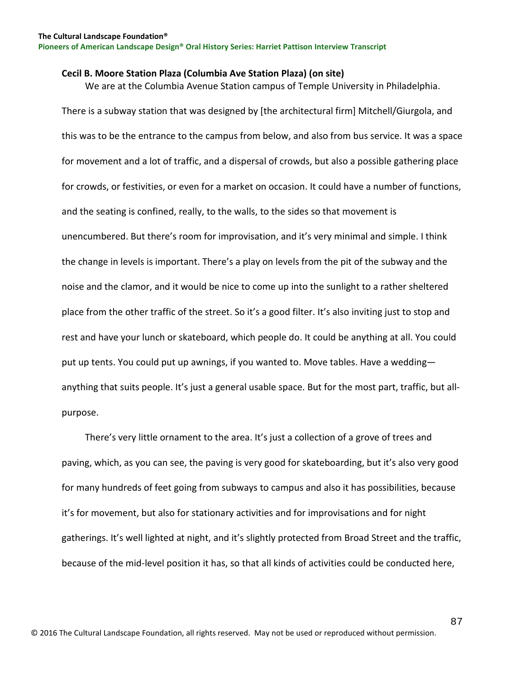#### **Cecil B. Moore Station Plaza (Columbia Ave Station Plaza) (on site)**

We are at the Columbia Avenue Station campus of Temple University in Philadelphia.

There is a subway station that was designed by [the architectural firm] Mitchell/Giurgola, and this was to be the entrance to the campus from below, and also from bus service. It was a space for movement and a lot of traffic, and a dispersal of crowds, but also a possible gathering place for crowds, or festivities, or even for a market on occasion. It could have a number of functions, and the seating is confined, really, to the walls, to the sides so that movement is unencumbered. But there's room for improvisation, and it's very minimal and simple. I think the change in levels is important. There's a play on levels from the pit of the subway and the noise and the clamor, and it would be nice to come up into the sunlight to a rather sheltered place from the other traffic of the street. So it's a good filter. It's also inviting just to stop and rest and have your lunch or skateboard, which people do. It could be anything at all. You could put up tents. You could put up awnings, if you wanted to. Move tables. Have a wedding anything that suits people. It's just a general usable space. But for the most part, traffic, but allpurpose.

 There's very little ornament to the area. It's just a collection of a grove of trees and paving, which, as you can see, the paving is very good for skateboarding, but it's also very good for many hundreds of feet going from subways to campus and also it has possibilities, because it's for movement, but also for stationary activities and for improvisations and for night gatherings. It's well lighted at night, and it's slightly protected from Broad Street and the traffic, because of the mid-level position it has, so that all kinds of activities could be conducted here,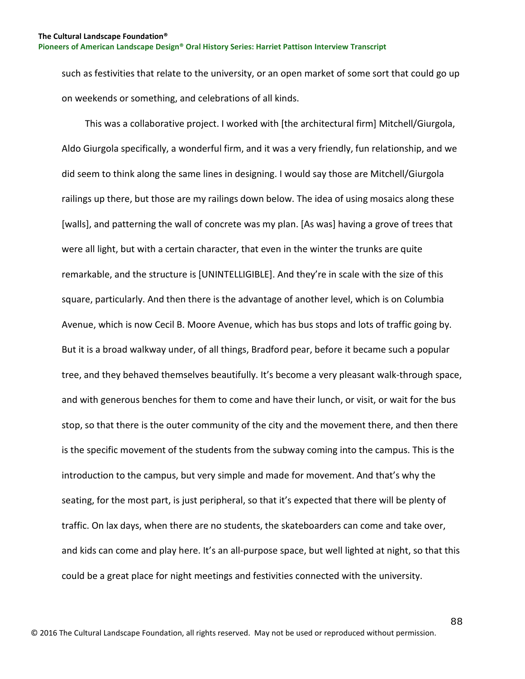such as festivities that relate to the university, or an open market of some sort that could go up on weekends or something, and celebrations of all kinds.

 This was a collaborative project. I worked with [the architectural firm] Mitchell/Giurgola, Aldo Giurgola specifically, a wonderful firm, and it was a very friendly, fun relationship, and we did seem to think along the same lines in designing. I would say those are Mitchell/Giurgola railings up there, but those are my railings down below. The idea of using mosaics along these [walls], and patterning the wall of concrete was my plan. [As was] having a grove of trees that were all light, but with a certain character, that even in the winter the trunks are quite remarkable, and the structure is [UNINTELLIGIBLE]. And they're in scale with the size of this square, particularly. And then there is the advantage of another level, which is on Columbia Avenue, which is now Cecil B. Moore Avenue, which has bus stops and lots of traffic going by. But it is a broad walkway under, of all things, Bradford pear, before it became such a popular tree, and they behaved themselves beautifully. It's become a very pleasant walk-through space, and with generous benches for them to come and have their lunch, or visit, or wait for the bus stop, so that there is the outer community of the city and the movement there, and then there is the specific movement of the students from the subway coming into the campus. This is the introduction to the campus, but very simple and made for movement. And that's why the seating, for the most part, is just peripheral, so that it's expected that there will be plenty of traffic. On lax days, when there are no students, the skateboarders can come and take over, and kids can come and play here. It's an all-purpose space, but well lighted at night, so that this could be a great place for night meetings and festivities connected with the university.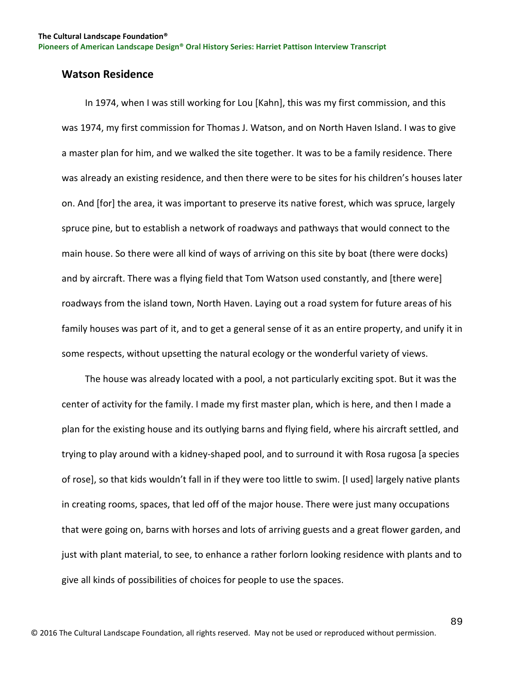### **Watson Residence**

 In 1974, when I was still working for Lou [Kahn], this was my first commission, and this was 1974, my first commission for Thomas J. Watson, and on North Haven Island. I was to give a master plan for him, and we walked the site together. It was to be a family residence. There was already an existing residence, and then there were to be sites for his children's houses later on. And [for] the area, it was important to preserve its native forest, which was spruce, largely spruce pine, but to establish a network of roadways and pathways that would connect to the main house. So there were all kind of ways of arriving on this site by boat (there were docks) and by aircraft. There was a flying field that Tom Watson used constantly, and [there were] roadways from the island town, North Haven. Laying out a road system for future areas of his family houses was part of it, and to get a general sense of it as an entire property, and unify it in some respects, without upsetting the natural ecology or the wonderful variety of views.

 The house was already located with a pool, a not particularly exciting spot. But it was the center of activity for the family. I made my first master plan, which is here, and then I made a plan for the existing house and its outlying barns and flying field, where his aircraft settled, and trying to play around with a kidney-shaped pool, and to surround it with Rosa rugosa [a species of rose], so that kids wouldn't fall in if they were too little to swim. [I used] largely native plants in creating rooms, spaces, that led off of the major house. There were just many occupations that were going on, barns with horses and lots of arriving guests and a great flower garden, and just with plant material, to see, to enhance a rather forlorn looking residence with plants and to give all kinds of possibilities of choices for people to use the spaces.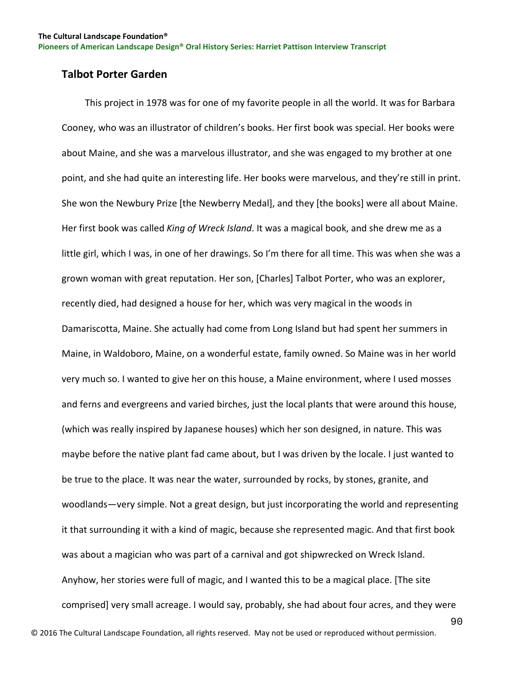## **Talbot Porter Garden**

 This project in 1978 was for one of my favorite people in all the world. It was for Barbara Cooney, who was an illustrator of children's books. Her first book was special. Her books were about Maine, and she was a marvelous illustrator, and she was engaged to my brother at one point, and she had quite an interesting life. Her books were marvelous, and they're still in print. She won the Newbury Prize [the Newberry Medal], and they [the books] were all about Maine. Her first book was called *King of Wreck Island*. It was a magical book, and she drew me as a little girl, which I was, in one of her drawings. So I'm there for all time. This was when she was a grown woman with great reputation. Her son, [Charles] Talbot Porter, who was an explorer, recently died, had designed a house for her, which was very magical in the woods in Damariscotta, Maine. She actually had come from Long Island but had spent her summers in Maine, in Waldoboro, Maine, on a wonderful estate, family owned. So Maine was in her world very much so. I wanted to give her on this house, a Maine environment, where I used mosses and ferns and evergreens and varied birches, just the local plants that were around this house, (which was really inspired by Japanese houses) which her son designed, in nature. This was maybe before the native plant fad came about, but I was driven by the locale. I just wanted to be true to the place. It was near the water, surrounded by rocks, by stones, granite, and woodlands—very simple. Not a great design, but just incorporating the world and representing it that surrounding it with a kind of magic, because she represented magic. And that first book was about a magician who was part of a carnival and got shipwrecked on Wreck Island. Anyhow, her stories were full of magic, and I wanted this to be a magical place. [The site comprised] very small acreage. I would say, probably, she had about four acres, and they were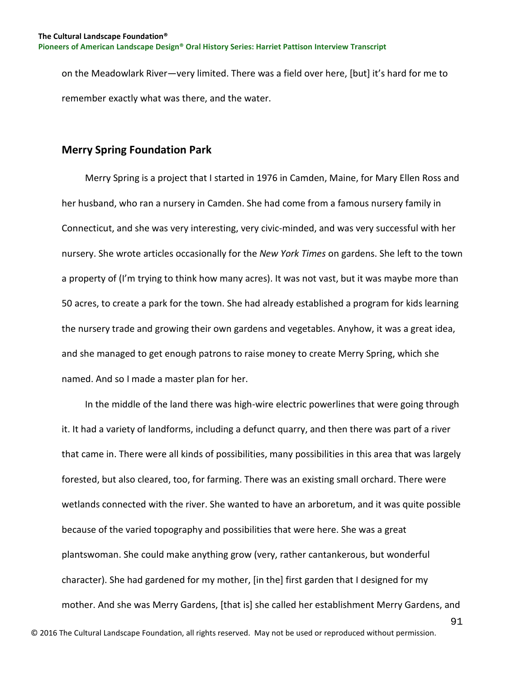on the Meadowlark River—very limited. There was a field over here, [but] it's hard for me to remember exactly what was there, and the water.

### **Merry Spring Foundation Park**

 Merry Spring is a project that I started in 1976 in Camden, Maine, for Mary Ellen Ross and her husband, who ran a nursery in Camden. She had come from a famous nursery family in Connecticut, and she was very interesting, very civic-minded, and was very successful with her nursery. She wrote articles occasionally for the *New York Times* on gardens. She left to the town a property of (I'm trying to think how many acres). It was not vast, but it was maybe more than 50 acres, to create a park for the town. She had already established a program for kids learning the nursery trade and growing their own gardens and vegetables. Anyhow, it was a great idea, and she managed to get enough patrons to raise money to create Merry Spring, which she named. And so I made a master plan for her.

 In the middle of the land there was high-wire electric powerlines that were going through it. It had a variety of landforms, including a defunct quarry, and then there was part of a river that came in. There were all kinds of possibilities, many possibilities in this area that was largely forested, but also cleared, too, for farming. There was an existing small orchard. There were wetlands connected with the river. She wanted to have an arboretum, and it was quite possible because of the varied topography and possibilities that were here. She was a great plantswoman. She could make anything grow (very, rather cantankerous, but wonderful character). She had gardened for my mother, [in the] first garden that I designed for my mother. And she was Merry Gardens, [that is] she called her establishment Merry Gardens, and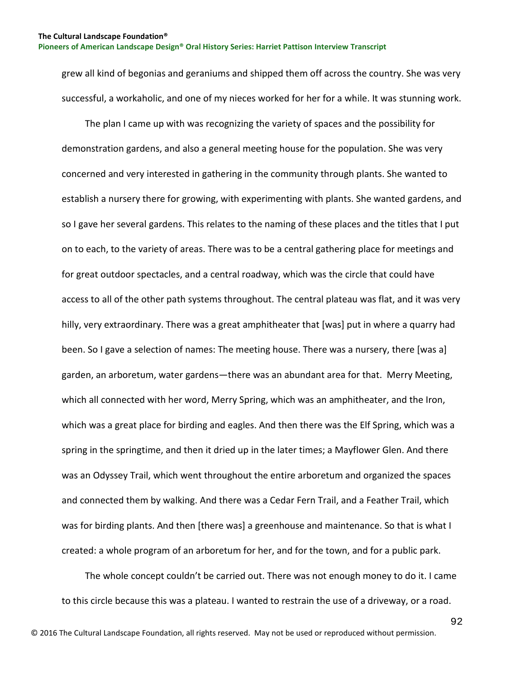grew all kind of begonias and geraniums and shipped them off across the country. She was very successful, a workaholic, and one of my nieces worked for her for a while. It was stunning work.

 The plan I came up with was recognizing the variety of spaces and the possibility for demonstration gardens, and also a general meeting house for the population. She was very concerned and very interested in gathering in the community through plants. She wanted to establish a nursery there for growing, with experimenting with plants. She wanted gardens, and so I gave her several gardens. This relates to the naming of these places and the titles that I put on to each, to the variety of areas. There was to be a central gathering place for meetings and for great outdoor spectacles, and a central roadway, which was the circle that could have access to all of the other path systems throughout. The central plateau was flat, and it was very hilly, very extraordinary. There was a great amphitheater that [was] put in where a quarry had been. So I gave a selection of names: The meeting house. There was a nursery, there [was a] garden, an arboretum, water gardens—there was an abundant area for that. Merry Meeting, which all connected with her word, Merry Spring, which was an amphitheater, and the Iron, which was a great place for birding and eagles. And then there was the Elf Spring, which was a spring in the springtime, and then it dried up in the later times; a Mayflower Glen. And there was an Odyssey Trail, which went throughout the entire arboretum and organized the spaces and connected them by walking. And there was a Cedar Fern Trail, and a Feather Trail, which was for birding plants. And then [there was] a greenhouse and maintenance. So that is what I created: a whole program of an arboretum for her, and for the town, and for a public park.

 The whole concept couldn't be carried out. There was not enough money to do it. I came to this circle because this was a plateau. I wanted to restrain the use of a driveway, or a road.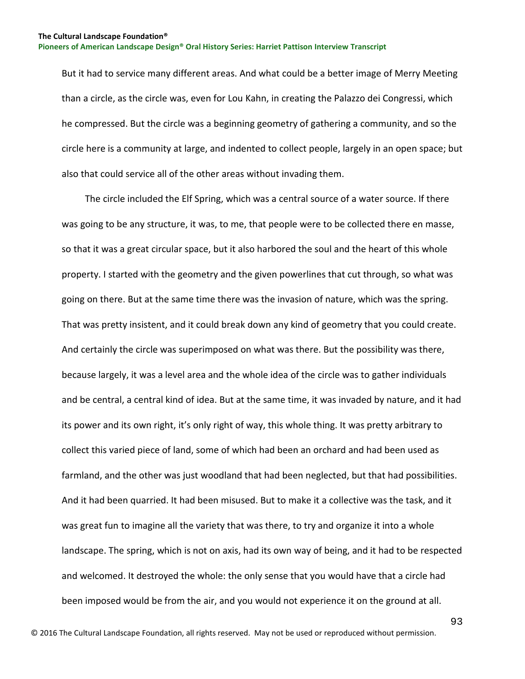But it had to service many different areas. And what could be a better image of Merry Meeting than a circle, as the circle was, even for Lou Kahn, in creating the Palazzo dei Congressi, which he compressed. But the circle was a beginning geometry of gathering a community, and so the circle here is a community at large, and indented to collect people, largely in an open space; but also that could service all of the other areas without invading them.

 The circle included the Elf Spring, which was a central source of a water source. If there was going to be any structure, it was, to me, that people were to be collected there en masse, so that it was a great circular space, but it also harbored the soul and the heart of this whole property. I started with the geometry and the given powerlines that cut through, so what was going on there. But at the same time there was the invasion of nature, which was the spring. That was pretty insistent, and it could break down any kind of geometry that you could create. And certainly the circle was superimposed on what was there. But the possibility was there, because largely, it was a level area and the whole idea of the circle was to gather individuals and be central, a central kind of idea. But at the same time, it was invaded by nature, and it had its power and its own right, it's only right of way, this whole thing. It was pretty arbitrary to collect this varied piece of land, some of which had been an orchard and had been used as farmland, and the other was just woodland that had been neglected, but that had possibilities. And it had been quarried. It had been misused. But to make it a collective was the task, and it was great fun to imagine all the variety that was there, to try and organize it into a whole landscape. The spring, which is not on axis, had its own way of being, and it had to be respected and welcomed. It destroyed the whole: the only sense that you would have that a circle had been imposed would be from the air, and you would not experience it on the ground at all.

93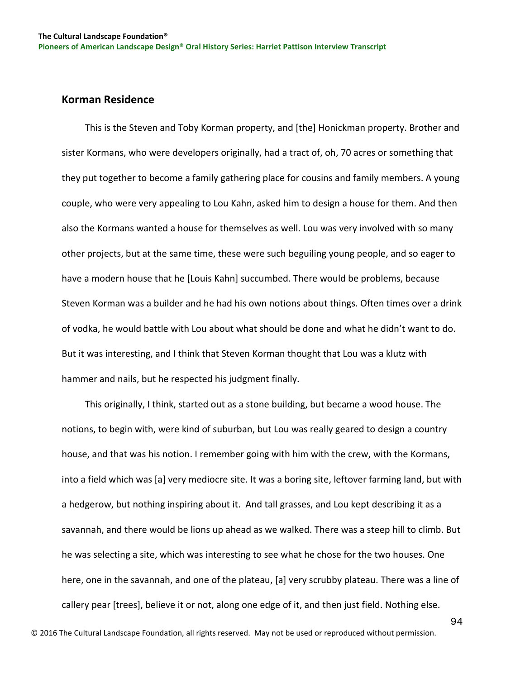### **Korman Residence**

 This is the Steven and Toby Korman property, and [the] Honickman property. Brother and sister Kormans, who were developers originally, had a tract of, oh, 70 acres or something that they put together to become a family gathering place for cousins and family members. A young couple, who were very appealing to Lou Kahn, asked him to design a house for them. And then also the Kormans wanted a house for themselves as well. Lou was very involved with so many other projects, but at the same time, these were such beguiling young people, and so eager to have a modern house that he [Louis Kahn] succumbed. There would be problems, because Steven Korman was a builder and he had his own notions about things. Often times over a drink of vodka, he would battle with Lou about what should be done and what he didn't want to do. But it was interesting, and I think that Steven Korman thought that Lou was a klutz with hammer and nails, but he respected his judgment finally.

 This originally, I think, started out as a stone building, but became a wood house. The notions, to begin with, were kind of suburban, but Lou was really geared to design a country house, and that was his notion. I remember going with him with the crew, with the Kormans, into a field which was [a] very mediocre site. It was a boring site, leftover farming land, but with a hedgerow, but nothing inspiring about it. And tall grasses, and Lou kept describing it as a savannah, and there would be lions up ahead as we walked. There was a steep hill to climb. But he was selecting a site, which was interesting to see what he chose for the two houses. One here, one in the savannah, and one of the plateau, [a] very scrubby plateau. There was a line of callery pear [trees], believe it or not, along one edge of it, and then just field. Nothing else.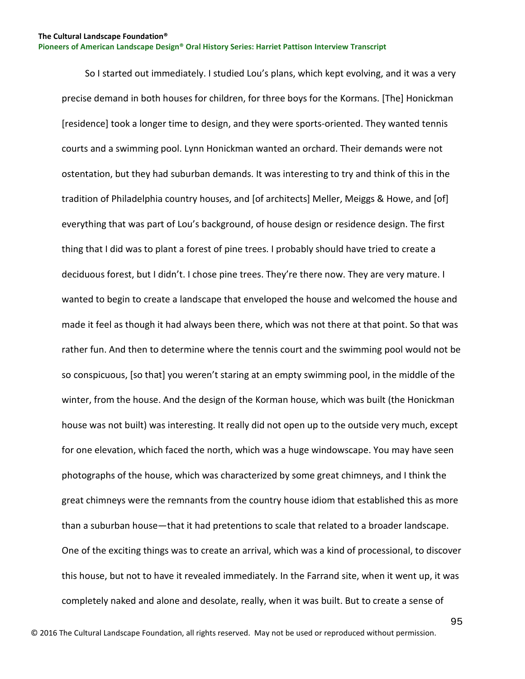So I started out immediately. I studied Lou's plans, which kept evolving, and it was a very precise demand in both houses for children, for three boys for the Kormans. [The] Honickman [residence] took a longer time to design, and they were sports-oriented. They wanted tennis courts and a swimming pool. Lynn Honickman wanted an orchard. Their demands were not ostentation, but they had suburban demands. It was interesting to try and think of this in the tradition of Philadelphia country houses, and [of architects] Meller, Meiggs & Howe, and [of] everything that was part of Lou's background, of house design or residence design. The first thing that I did was to plant a forest of pine trees. I probably should have tried to create a deciduous forest, but I didn't. I chose pine trees. They're there now. They are very mature. I wanted to begin to create a landscape that enveloped the house and welcomed the house and made it feel as though it had always been there, which was not there at that point. So that was rather fun. And then to determine where the tennis court and the swimming pool would not be so conspicuous, [so that] you weren't staring at an empty swimming pool, in the middle of the winter, from the house. And the design of the Korman house, which was built (the Honickman house was not built) was interesting. It really did not open up to the outside very much, except for one elevation, which faced the north, which was a huge windowscape. You may have seen photographs of the house, which was characterized by some great chimneys, and I think the great chimneys were the remnants from the country house idiom that established this as more than a suburban house—that it had pretentions to scale that related to a broader landscape. One of the exciting things was to create an arrival, which was a kind of processional, to discover this house, but not to have it revealed immediately. In the Farrand site, when it went up, it was completely naked and alone and desolate, really, when it was built. But to create a sense of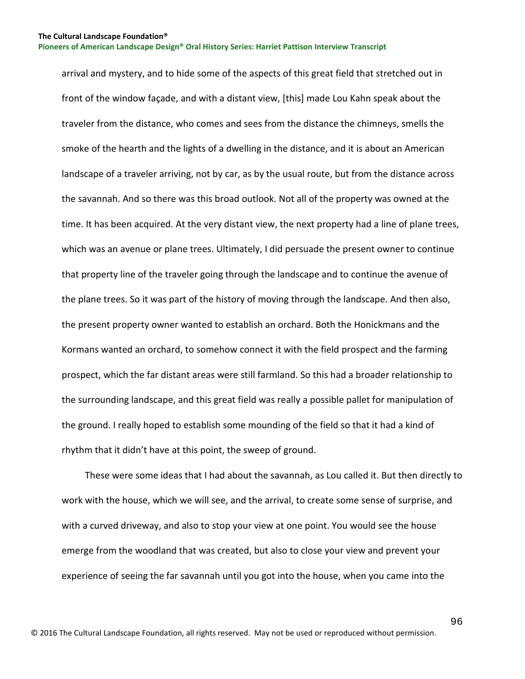arrival and mystery, and to hide some of the aspects of this great field that stretched out in front of the window façade, and with a distant view, [this] made Lou Kahn speak about the traveler from the distance, who comes and sees from the distance the chimneys, smells the smoke of the hearth and the lights of a dwelling in the distance, and it is about an American landscape of a traveler arriving, not by car, as by the usual route, but from the distance across the savannah. And so there was this broad outlook. Not all of the property was owned at the time. It has been acquired. At the very distant view, the next property had a line of plane trees, which was an avenue or plane trees. Ultimately, I did persuade the present owner to continue that property line of the traveler going through the landscape and to continue the avenue of the plane trees. So it was part of the history of moving through the landscape. And then also, the present property owner wanted to establish an orchard. Both the Honickmans and the Kormans wanted an orchard, to somehow connect it with the field prospect and the farming prospect, which the far distant areas were still farmland. So this had a broader relationship to the surrounding landscape, and this great field was really a possible pallet for manipulation of the ground. I really hoped to establish some mounding of the field so that it had a kind of rhythm that it didn't have at this point, the sweep of ground.

 These were some ideas that I had about the savannah, as Lou called it. But then directly to work with the house, which we will see, and the arrival, to create some sense of surprise, and with a curved driveway, and also to stop your view at one point. You would see the house emerge from the woodland that was created, but also to close your view and prevent your experience of seeing the far savannah until you got into the house, when you came into the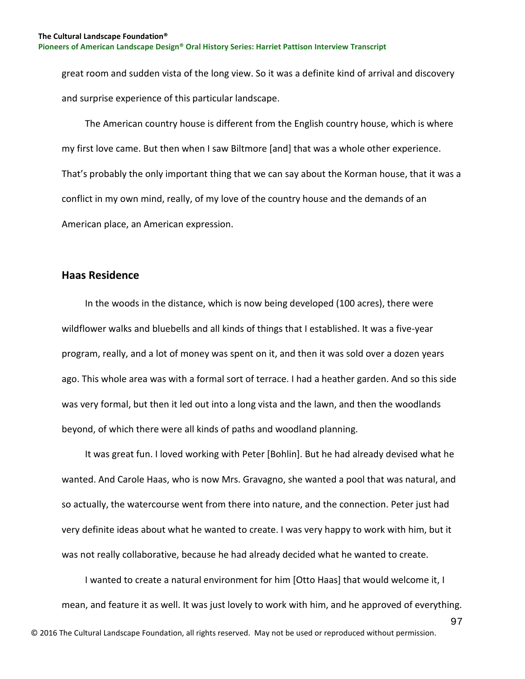great room and sudden vista of the long view. So it was a definite kind of arrival and discovery and surprise experience of this particular landscape.

 The American country house is different from the English country house, which is where my first love came. But then when I saw Biltmore [and] that was a whole other experience. That's probably the only important thing that we can say about the Korman house, that it was a conflict in my own mind, really, of my love of the country house and the demands of an American place, an American expression.

## **Haas Residence**

 In the woods in the distance, which is now being developed (100 acres), there were wildflower walks and bluebells and all kinds of things that I established. It was a five-year program, really, and a lot of money was spent on it, and then it was sold over a dozen years ago. This whole area was with a formal sort of terrace. I had a heather garden. And so this side was very formal, but then it led out into a long vista and the lawn, and then the woodlands beyond, of which there were all kinds of paths and woodland planning.

 It was great fun. I loved working with Peter [Bohlin]. But he had already devised what he wanted. And Carole Haas, who is now Mrs. Gravagno, she wanted a pool that was natural, and so actually, the watercourse went from there into nature, and the connection. Peter just had very definite ideas about what he wanted to create. I was very happy to work with him, but it was not really collaborative, because he had already decided what he wanted to create.

 I wanted to create a natural environment for him [Otto Haas] that would welcome it, I mean, and feature it as well. It was just lovely to work with him, and he approved of everything.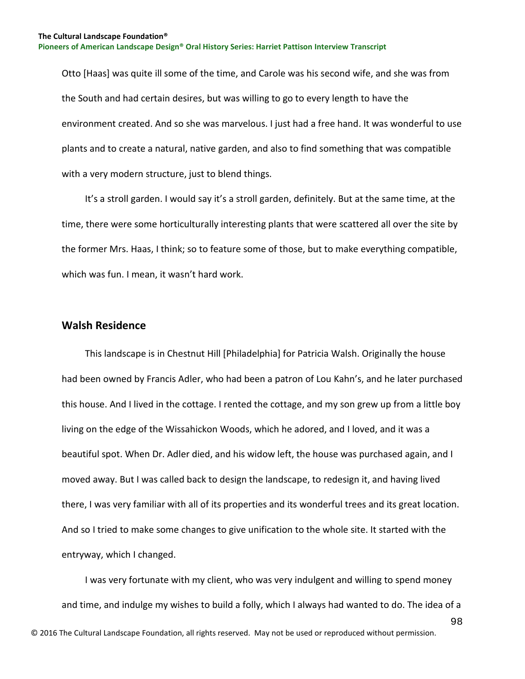Otto [Haas] was quite ill some of the time, and Carole was his second wife, and she was from the South and had certain desires, but was willing to go to every length to have the environment created. And so she was marvelous. I just had a free hand. It was wonderful to use plants and to create a natural, native garden, and also to find something that was compatible with a very modern structure, just to blend things.

 It's a stroll garden. I would say it's a stroll garden, definitely. But at the same time, at the time, there were some horticulturally interesting plants that were scattered all over the site by the former Mrs. Haas, I think; so to feature some of those, but to make everything compatible, which was fun. I mean, it wasn't hard work.

## **Walsh Residence**

 This landscape is in Chestnut Hill [Philadelphia] for Patricia Walsh. Originally the house had been owned by Francis Adler, who had been a patron of Lou Kahn's, and he later purchased this house. And I lived in the cottage. I rented the cottage, and my son grew up from a little boy living on the edge of the Wissahickon Woods, which he adored, and I loved, and it was a beautiful spot. When Dr. Adler died, and his widow left, the house was purchased again, and I moved away. But I was called back to design the landscape, to redesign it, and having lived there, I was very familiar with all of its properties and its wonderful trees and its great location. And so I tried to make some changes to give unification to the whole site. It started with the entryway, which I changed.

98 I was very fortunate with my client, who was very indulgent and willing to spend money and time, and indulge my wishes to build a folly, which I always had wanted to do. The idea of a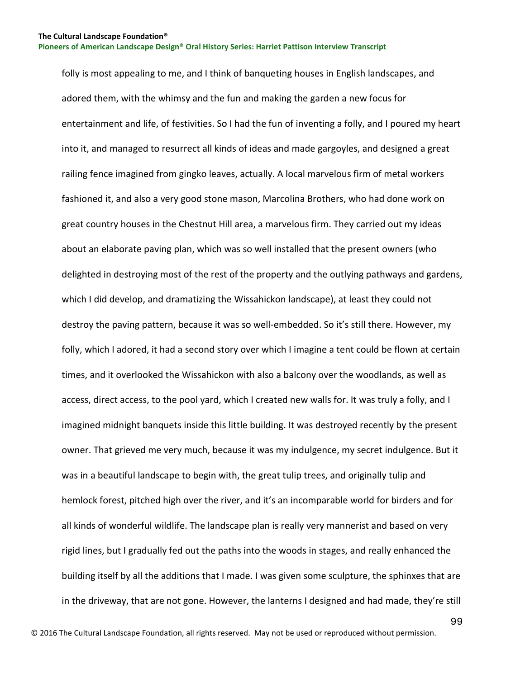folly is most appealing to me, and I think of banqueting houses in English landscapes, and adored them, with the whimsy and the fun and making the garden a new focus for entertainment and life, of festivities. So I had the fun of inventing a folly, and I poured my heart into it, and managed to resurrect all kinds of ideas and made gargoyles, and designed a great railing fence imagined from gingko leaves, actually. A local marvelous firm of metal workers fashioned it, and also a very good stone mason, Marcolina Brothers, who had done work on great country houses in the Chestnut Hill area, a marvelous firm. They carried out my ideas about an elaborate paving plan, which was so well installed that the present owners (who delighted in destroying most of the rest of the property and the outlying pathways and gardens, which I did develop, and dramatizing the Wissahickon landscape), at least they could not destroy the paving pattern, because it was so well-embedded. So it's still there. However, my folly, which I adored, it had a second story over which I imagine a tent could be flown at certain times, and it overlooked the Wissahickon with also a balcony over the woodlands, as well as access, direct access, to the pool yard, which I created new walls for. It was truly a folly, and I imagined midnight banquets inside this little building. It was destroyed recently by the present owner. That grieved me very much, because it was my indulgence, my secret indulgence. But it was in a beautiful landscape to begin with, the great tulip trees, and originally tulip and hemlock forest, pitched high over the river, and it's an incomparable world for birders and for all kinds of wonderful wildlife. The landscape plan is really very mannerist and based on very rigid lines, but I gradually fed out the paths into the woods in stages, and really enhanced the building itself by all the additions that I made. I was given some sculpture, the sphinxes that are in the driveway, that are not gone. However, the lanterns I designed and had made, they're still

99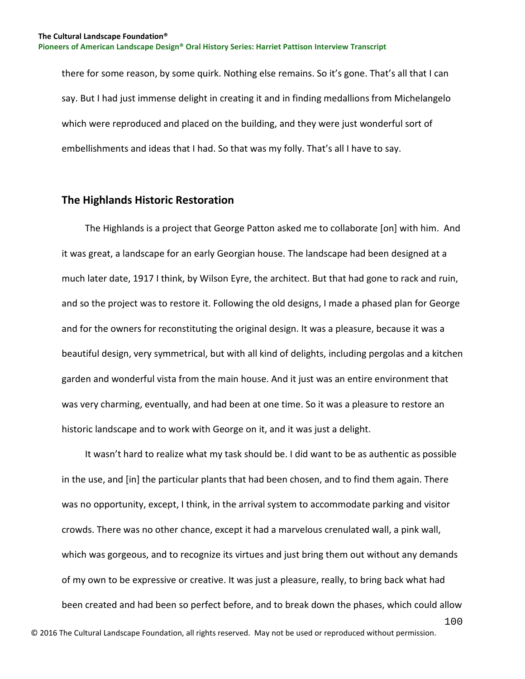there for some reason, by some quirk. Nothing else remains. So it's gone. That's all that I can say. But I had just immense delight in creating it and in finding medallions from Michelangelo which were reproduced and placed on the building, and they were just wonderful sort of embellishments and ideas that I had. So that was my folly. That's all I have to say.

#### **The Highlands Historic Restoration**

 The Highlands is a project that George Patton asked me to collaborate [on] with him. And it was great, a landscape for an early Georgian house. The landscape had been designed at a much later date, 1917 I think, by Wilson Eyre, the architect. But that had gone to rack and ruin, and so the project was to restore it. Following the old designs, I made a phased plan for George and for the owners for reconstituting the original design. It was a pleasure, because it was a beautiful design, very symmetrical, but with all kind of delights, including pergolas and a kitchen garden and wonderful vista from the main house. And it just was an entire environment that was very charming, eventually, and had been at one time. So it was a pleasure to restore an historic landscape and to work with George on it, and it was just a delight.

100 It wasn't hard to realize what my task should be. I did want to be as authentic as possible in the use, and [in] the particular plants that had been chosen, and to find them again. There was no opportunity, except, I think, in the arrival system to accommodate parking and visitor crowds. There was no other chance, except it had a marvelous crenulated wall, a pink wall, which was gorgeous, and to recognize its virtues and just bring them out without any demands of my own to be expressive or creative. It was just a pleasure, really, to bring back what had been created and had been so perfect before, and to break down the phases, which could allow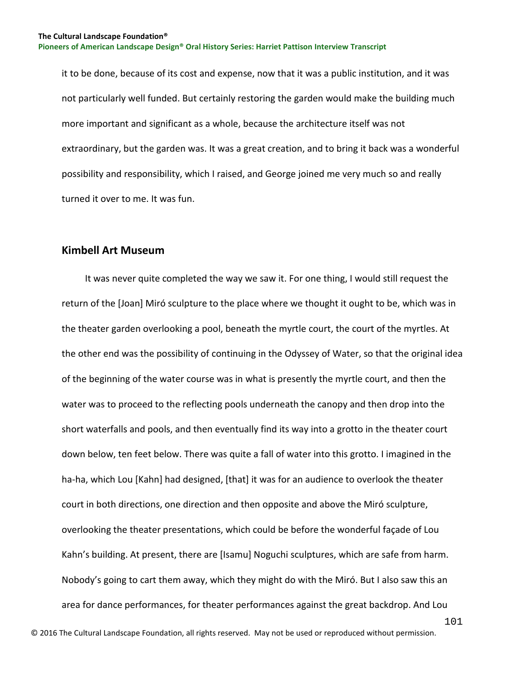it to be done, because of its cost and expense, now that it was a public institution, and it was not particularly well funded. But certainly restoring the garden would make the building much more important and significant as a whole, because the architecture itself was not extraordinary, but the garden was. It was a great creation, and to bring it back was a wonderful possibility and responsibility, which I raised, and George joined me very much so and really turned it over to me. It was fun.

## **Kimbell Art Museum**

 It was never quite completed the way we saw it. For one thing, I would still request the return of the [Joan] Miró sculpture to the place where we thought it ought to be, which was in the theater garden overlooking a pool, beneath the myrtle court, the court of the myrtles. At the other end was the possibility of continuing in the Odyssey of Water, so that the original idea of the beginning of the water course was in what is presently the myrtle court, and then the water was to proceed to the reflecting pools underneath the canopy and then drop into the short waterfalls and pools, and then eventually find its way into a grotto in the theater court down below, ten feet below. There was quite a fall of water into this grotto. I imagined in the ha-ha, which Lou [Kahn] had designed, [that] it was for an audience to overlook the theater court in both directions, one direction and then opposite and above the Miró sculpture, overlooking the theater presentations, which could be before the wonderful façade of Lou Kahn's building. At present, there are [Isamu] Noguchi sculptures, which are safe from harm. Nobody's going to cart them away, which they might do with the Miró. But I also saw this an area for dance performances, for theater performances against the great backdrop. And Lou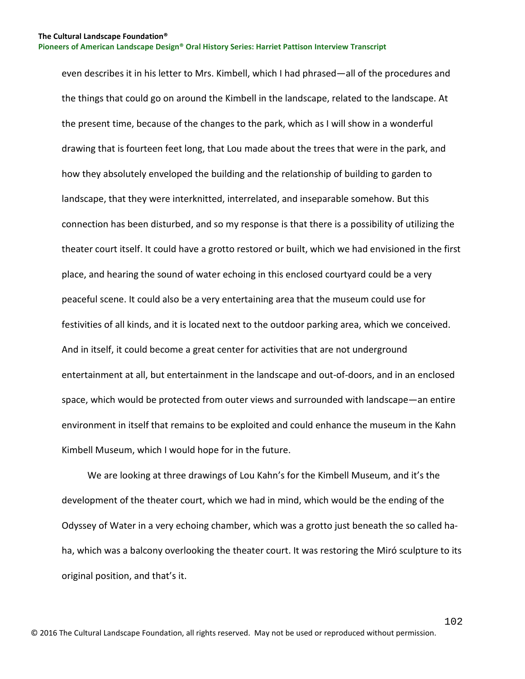even describes it in his letter to Mrs. Kimbell, which I had phrased—all of the procedures and the things that could go on around the Kimbell in the landscape, related to the landscape. At the present time, because of the changes to the park, which as I will show in a wonderful drawing that is fourteen feet long, that Lou made about the trees that were in the park, and how they absolutely enveloped the building and the relationship of building to garden to landscape, that they were interknitted, interrelated, and inseparable somehow. But this connection has been disturbed, and so my response is that there is a possibility of utilizing the theater court itself. It could have a grotto restored or built, which we had envisioned in the first place, and hearing the sound of water echoing in this enclosed courtyard could be a very peaceful scene. It could also be a very entertaining area that the museum could use for festivities of all kinds, and it is located next to the outdoor parking area, which we conceived. And in itself, it could become a great center for activities that are not underground entertainment at all, but entertainment in the landscape and out-of-doors, and in an enclosed space, which would be protected from outer views and surrounded with landscape—an entire environment in itself that remains to be exploited and could enhance the museum in the Kahn Kimbell Museum, which I would hope for in the future.

 We are looking at three drawings of Lou Kahn's for the Kimbell Museum, and it's the development of the theater court, which we had in mind, which would be the ending of the Odyssey of Water in a very echoing chamber, which was a grotto just beneath the so called haha, which was a balcony overlooking the theater court. It was restoring the Miró sculpture to its original position, and that's it.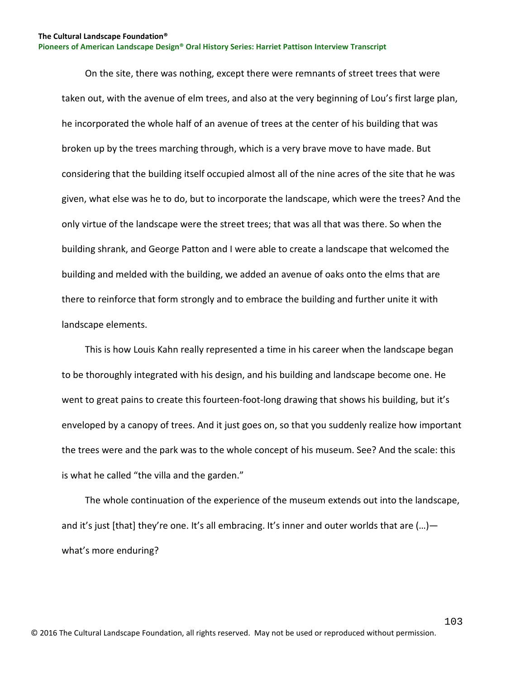On the site, there was nothing, except there were remnants of street trees that were taken out, with the avenue of elm trees, and also at the very beginning of Lou's first large plan, he incorporated the whole half of an avenue of trees at the center of his building that was broken up by the trees marching through, which is a very brave move to have made. But considering that the building itself occupied almost all of the nine acres of the site that he was given, what else was he to do, but to incorporate the landscape, which were the trees? And the only virtue of the landscape were the street trees; that was all that was there. So when the building shrank, and George Patton and I were able to create a landscape that welcomed the building and melded with the building, we added an avenue of oaks onto the elms that are there to reinforce that form strongly and to embrace the building and further unite it with landscape elements.

 This is how Louis Kahn really represented a time in his career when the landscape began to be thoroughly integrated with his design, and his building and landscape become one. He went to great pains to create this fourteen-foot-long drawing that shows his building, but it's enveloped by a canopy of trees. And it just goes on, so that you suddenly realize how important the trees were and the park was to the whole concept of his museum. See? And the scale: this is what he called "the villa and the garden."

 The whole continuation of the experience of the museum extends out into the landscape, and it's just [that] they're one. It's all embracing. It's inner and outer worlds that are  $(...)$  what's more enduring?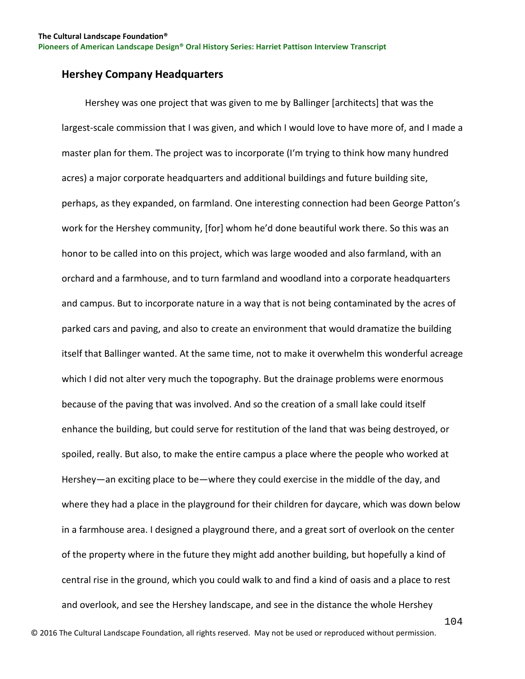### **Hershey Company Headquarters**

 Hershey was one project that was given to me by Ballinger [architects] that was the largest-scale commission that I was given, and which I would love to have more of, and I made a master plan for them. The project was to incorporate (I'm trying to think how many hundred acres) a major corporate headquarters and additional buildings and future building site, perhaps, as they expanded, on farmland. One interesting connection had been George Patton's work for the Hershey community, [for] whom he'd done beautiful work there. So this was an honor to be called into on this project, which was large wooded and also farmland, with an orchard and a farmhouse, and to turn farmland and woodland into a corporate headquarters and campus. But to incorporate nature in a way that is not being contaminated by the acres of parked cars and paving, and also to create an environment that would dramatize the building itself that Ballinger wanted. At the same time, not to make it overwhelm this wonderful acreage which I did not alter very much the topography. But the drainage problems were enormous because of the paving that was involved. And so the creation of a small lake could itself enhance the building, but could serve for restitution of the land that was being destroyed, or spoiled, really. But also, to make the entire campus a place where the people who worked at Hershey—an exciting place to be—where they could exercise in the middle of the day, and where they had a place in the playground for their children for daycare, which was down below in a farmhouse area. I designed a playground there, and a great sort of overlook on the center of the property where in the future they might add another building, but hopefully a kind of central rise in the ground, which you could walk to and find a kind of oasis and a place to rest and overlook, and see the Hershey landscape, and see in the distance the whole Hershey

© 2016 The Cultural Landscape Foundation, all rights reserved. May not be used or reproduced without permission.

104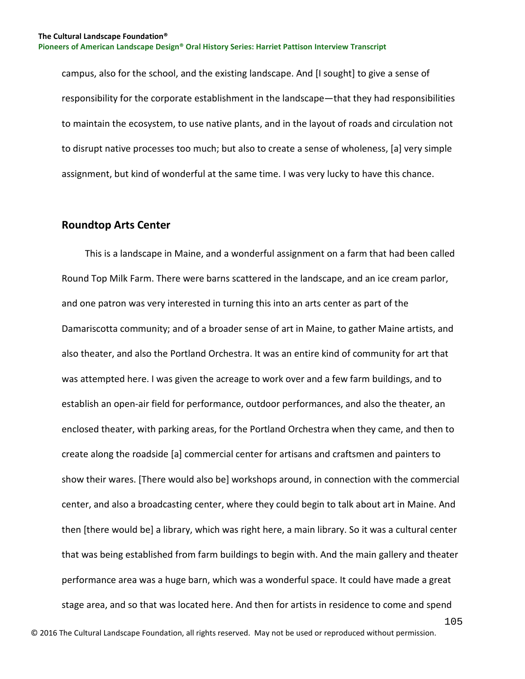campus, also for the school, and the existing landscape. And [I sought] to give a sense of responsibility for the corporate establishment in the landscape—that they had responsibilities to maintain the ecosystem, to use native plants, and in the layout of roads and circulation not to disrupt native processes too much; but also to create a sense of wholeness, [a] very simple assignment, but kind of wonderful at the same time. I was very lucky to have this chance.

#### **Roundtop Arts Center**

 This is a landscape in Maine, and a wonderful assignment on a farm that had been called Round Top Milk Farm. There were barns scattered in the landscape, and an ice cream parlor, and one patron was very interested in turning this into an arts center as part of the Damariscotta community; and of a broader sense of art in Maine, to gather Maine artists, and also theater, and also the Portland Orchestra. It was an entire kind of community for art that was attempted here. I was given the acreage to work over and a few farm buildings, and to establish an open-air field for performance, outdoor performances, and also the theater, an enclosed theater, with parking areas, for the Portland Orchestra when they came, and then to create along the roadside [a] commercial center for artisans and craftsmen and painters to show their wares. [There would also be] workshops around, in connection with the commercial center, and also a broadcasting center, where they could begin to talk about art in Maine. And then [there would be] a library, which was right here, a main library. So it was a cultural center that was being established from farm buildings to begin with. And the main gallery and theater performance area was a huge barn, which was a wonderful space. It could have made a great stage area, and so that was located here. And then for artists in residence to come and spend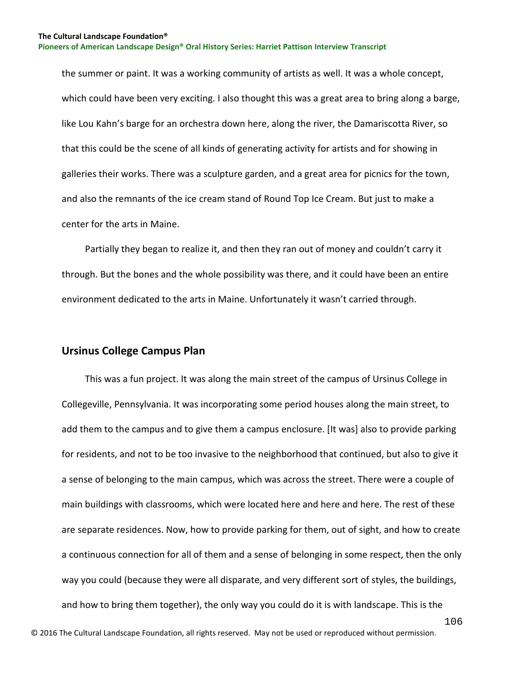the summer or paint. It was a working community of artists as well. It was a whole concept, which could have been very exciting. I also thought this was a great area to bring along a barge, like Lou Kahn's barge for an orchestra down here, along the river, the Damariscotta River, so that this could be the scene of all kinds of generating activity for artists and for showing in galleries their works. There was a sculpture garden, and a great area for picnics for the town, and also the remnants of the ice cream stand of Round Top Ice Cream. But just to make a center for the arts in Maine.

 Partially they began to realize it, and then they ran out of money and couldn't carry it through. But the bones and the whole possibility was there, and it could have been an entire environment dedicated to the arts in Maine. Unfortunately it wasn't carried through.

#### **Ursinus College Campus Plan**

 This was a fun project. It was along the main street of the campus of Ursinus College in Collegeville, Pennsylvania. It was incorporating some period houses along the main street, to add them to the campus and to give them a campus enclosure. [It was] also to provide parking for residents, and not to be too invasive to the neighborhood that continued, but also to give it a sense of belonging to the main campus, which was across the street. There were a couple of main buildings with classrooms, which were located here and here and here. The rest of these are separate residences. Now, how to provide parking for them, out of sight, and how to create a continuous connection for all of them and a sense of belonging in some respect, then the only way you could (because they were all disparate, and very different sort of styles, the buildings, and how to bring them together), the only way you could do it is with landscape. This is the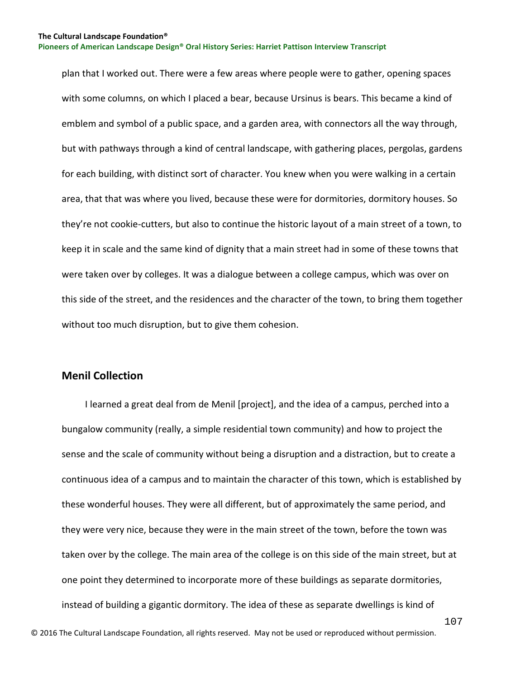plan that I worked out. There were a few areas where people were to gather, opening spaces with some columns, on which I placed a bear, because Ursinus is bears. This became a kind of emblem and symbol of a public space, and a garden area, with connectors all the way through, but with pathways through a kind of central landscape, with gathering places, pergolas, gardens for each building, with distinct sort of character. You knew when you were walking in a certain area, that that was where you lived, because these were for dormitories, dormitory houses. So they're not cookie-cutters, but also to continue the historic layout of a main street of a town, to keep it in scale and the same kind of dignity that a main street had in some of these towns that were taken over by colleges. It was a dialogue between a college campus, which was over on this side of the street, and the residences and the character of the town, to bring them together without too much disruption, but to give them cohesion.

#### **Menil Collection**

 I learned a great deal from de Menil [project], and the idea of a campus, perched into a bungalow community (really, a simple residential town community) and how to project the sense and the scale of community without being a disruption and a distraction, but to create a continuous idea of a campus and to maintain the character of this town, which is established by these wonderful houses. They were all different, but of approximately the same period, and they were very nice, because they were in the main street of the town, before the town was taken over by the college. The main area of the college is on this side of the main street, but at one point they determined to incorporate more of these buildings as separate dormitories, instead of building a gigantic dormitory. The idea of these as separate dwellings is kind of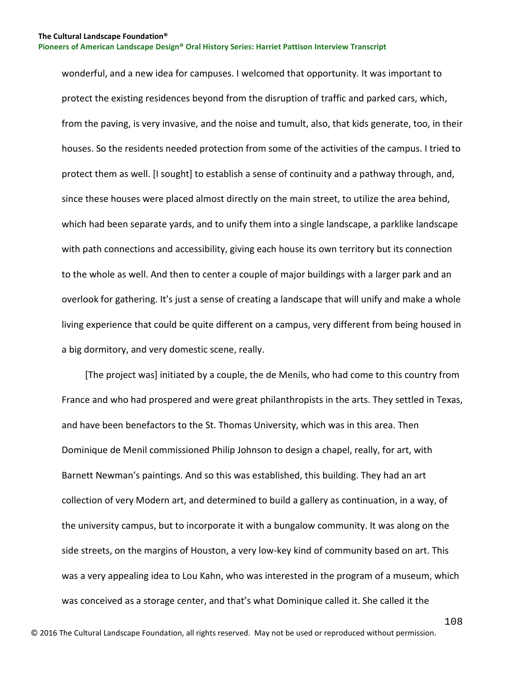wonderful, and a new idea for campuses. I welcomed that opportunity. It was important to protect the existing residences beyond from the disruption of traffic and parked cars, which, from the paving, is very invasive, and the noise and tumult, also, that kids generate, too, in their houses. So the residents needed protection from some of the activities of the campus. I tried to protect them as well. [I sought] to establish a sense of continuity and a pathway through, and, since these houses were placed almost directly on the main street, to utilize the area behind, which had been separate yards, and to unify them into a single landscape, a parklike landscape with path connections and accessibility, giving each house its own territory but its connection to the whole as well. And then to center a couple of major buildings with a larger park and an overlook for gathering. It's just a sense of creating a landscape that will unify and make a whole living experience that could be quite different on a campus, very different from being housed in a big dormitory, and very domestic scene, really.

 [The project was] initiated by a couple, the de Menils, who had come to this country from France and who had prospered and were great philanthropists in the arts. They settled in Texas, and have been benefactors to the St. Thomas University, which was in this area. Then Dominique de Menil commissioned Philip Johnson to design a chapel, really, for art, with Barnett Newman's paintings. And so this was established, this building. They had an art collection of very Modern art, and determined to build a gallery as continuation, in a way, of the university campus, but to incorporate it with a bungalow community. It was along on the side streets, on the margins of Houston, a very low-key kind of community based on art. This was a very appealing idea to Lou Kahn, who was interested in the program of a museum, which was conceived as a storage center, and that's what Dominique called it. She called it the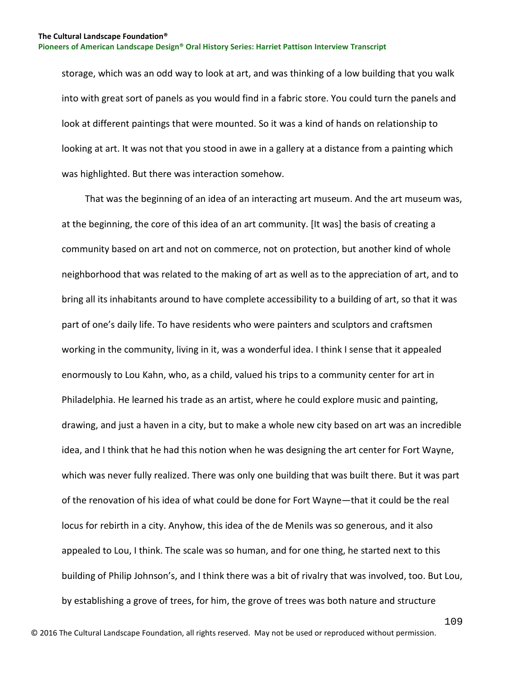storage, which was an odd way to look at art, and was thinking of a low building that you walk into with great sort of panels as you would find in a fabric store. You could turn the panels and look at different paintings that were mounted. So it was a kind of hands on relationship to looking at art. It was not that you stood in awe in a gallery at a distance from a painting which was highlighted. But there was interaction somehow.

 That was the beginning of an idea of an interacting art museum. And the art museum was, at the beginning, the core of this idea of an art community. [It was] the basis of creating a community based on art and not on commerce, not on protection, but another kind of whole neighborhood that was related to the making of art as well as to the appreciation of art, and to bring all its inhabitants around to have complete accessibility to a building of art, so that it was part of one's daily life. To have residents who were painters and sculptors and craftsmen working in the community, living in it, was a wonderful idea. I think I sense that it appealed enormously to Lou Kahn, who, as a child, valued his trips to a community center for art in Philadelphia. He learned his trade as an artist, where he could explore music and painting, drawing, and just a haven in a city, but to make a whole new city based on art was an incredible idea, and I think that he had this notion when he was designing the art center for Fort Wayne, which was never fully realized. There was only one building that was built there. But it was part of the renovation of his idea of what could be done for Fort Wayne—that it could be the real locus for rebirth in a city. Anyhow, this idea of the de Menils was so generous, and it also appealed to Lou, I think. The scale was so human, and for one thing, he started next to this building of Philip Johnson's, and I think there was a bit of rivalry that was involved, too. But Lou, by establishing a grove of trees, for him, the grove of trees was both nature and structure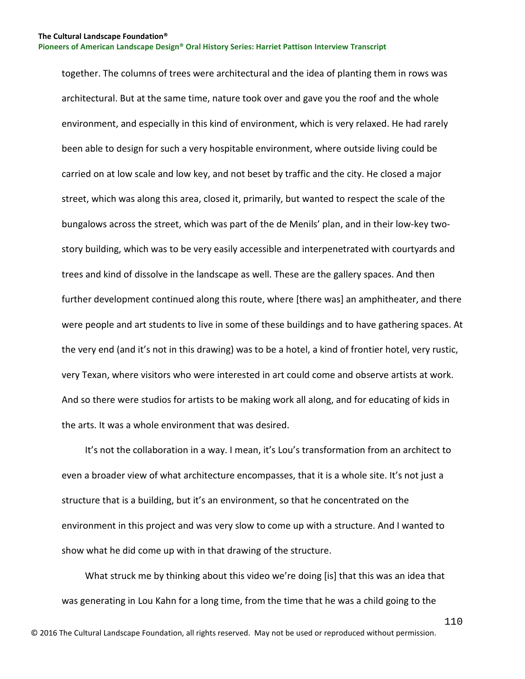together. The columns of trees were architectural and the idea of planting them in rows was architectural. But at the same time, nature took over and gave you the roof and the whole environment, and especially in this kind of environment, which is very relaxed. He had rarely been able to design for such a very hospitable environment, where outside living could be carried on at low scale and low key, and not beset by traffic and the city. He closed a major street, which was along this area, closed it, primarily, but wanted to respect the scale of the bungalows across the street, which was part of the de Menils' plan, and in their low-key twostory building, which was to be very easily accessible and interpenetrated with courtyards and trees and kind of dissolve in the landscape as well. These are the gallery spaces. And then further development continued along this route, where [there was] an amphitheater, and there were people and art students to live in some of these buildings and to have gathering spaces. At the very end (and it's not in this drawing) was to be a hotel, a kind of frontier hotel, very rustic, very Texan, where visitors who were interested in art could come and observe artists at work. And so there were studios for artists to be making work all along, and for educating of kids in the arts. It was a whole environment that was desired.

 It's not the collaboration in a way. I mean, it's Lou's transformation from an architect to even a broader view of what architecture encompasses, that it is a whole site. It's not just a structure that is a building, but it's an environment, so that he concentrated on the environment in this project and was very slow to come up with a structure. And I wanted to show what he did come up with in that drawing of the structure.

 What struck me by thinking about this video we're doing [is] that this was an idea that was generating in Lou Kahn for a long time, from the time that he was a child going to the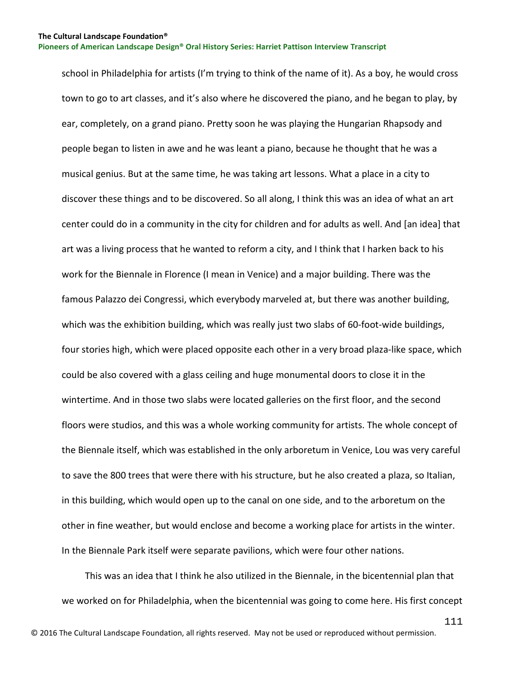school in Philadelphia for artists (I'm trying to think of the name of it). As a boy, he would cross town to go to art classes, and it's also where he discovered the piano, and he began to play, by ear, completely, on a grand piano. Pretty soon he was playing the Hungarian Rhapsody and people began to listen in awe and he was leant a piano, because he thought that he was a musical genius. But at the same time, he was taking art lessons. What a place in a city to discover these things and to be discovered. So all along, I think this was an idea of what an art center could do in a community in the city for children and for adults as well. And [an idea] that art was a living process that he wanted to reform a city, and I think that I harken back to his work for the Biennale in Florence (I mean in Venice) and a major building. There was the famous Palazzo dei Congressi, which everybody marveled at, but there was another building, which was the exhibition building, which was really just two slabs of 60-foot-wide buildings, four stories high, which were placed opposite each other in a very broad plaza-like space, which could be also covered with a glass ceiling and huge monumental doors to close it in the wintertime. And in those two slabs were located galleries on the first floor, and the second floors were studios, and this was a whole working community for artists. The whole concept of the Biennale itself, which was established in the only arboretum in Venice, Lou was very careful to save the 800 trees that were there with his structure, but he also created a plaza, so Italian, in this building, which would open up to the canal on one side, and to the arboretum on the other in fine weather, but would enclose and become a working place for artists in the winter. In the Biennale Park itself were separate pavilions, which were four other nations.

 This was an idea that I think he also utilized in the Biennale, in the bicentennial plan that we worked on for Philadelphia, when the bicentennial was going to come here. His first concept

111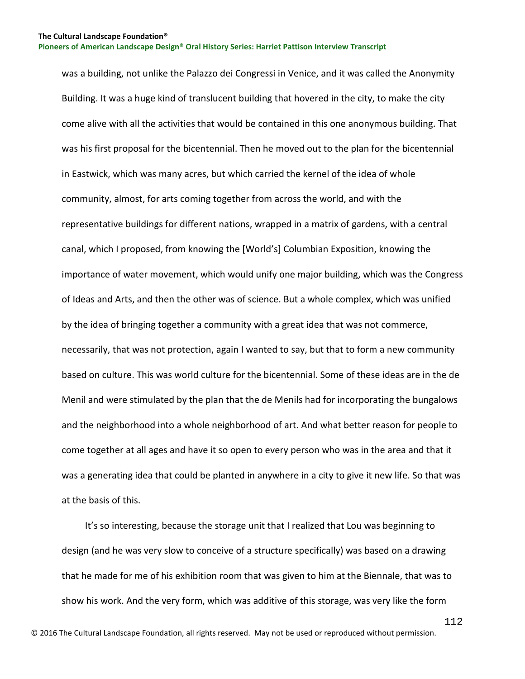was a building, not unlike the Palazzo dei Congressi in Venice, and it was called the Anonymity Building. It was a huge kind of translucent building that hovered in the city, to make the city come alive with all the activities that would be contained in this one anonymous building. That was his first proposal for the bicentennial. Then he moved out to the plan for the bicentennial in Eastwick, which was many acres, but which carried the kernel of the idea of whole community, almost, for arts coming together from across the world, and with the representative buildings for different nations, wrapped in a matrix of gardens, with a central canal, which I proposed, from knowing the [World's] Columbian Exposition, knowing the importance of water movement, which would unify one major building, which was the Congress of Ideas and Arts, and then the other was of science. But a whole complex, which was unified by the idea of bringing together a community with a great idea that was not commerce, necessarily, that was not protection, again I wanted to say, but that to form a new community based on culture. This was world culture for the bicentennial. Some of these ideas are in the de Menil and were stimulated by the plan that the de Menils had for incorporating the bungalows and the neighborhood into a whole neighborhood of art. And what better reason for people to come together at all ages and have it so open to every person who was in the area and that it was a generating idea that could be planted in anywhere in a city to give it new life. So that was at the basis of this.

 It's so interesting, because the storage unit that I realized that Lou was beginning to design (and he was very slow to conceive of a structure specifically) was based on a drawing that he made for me of his exhibition room that was given to him at the Biennale, that was to show his work. And the very form, which was additive of this storage, was very like the form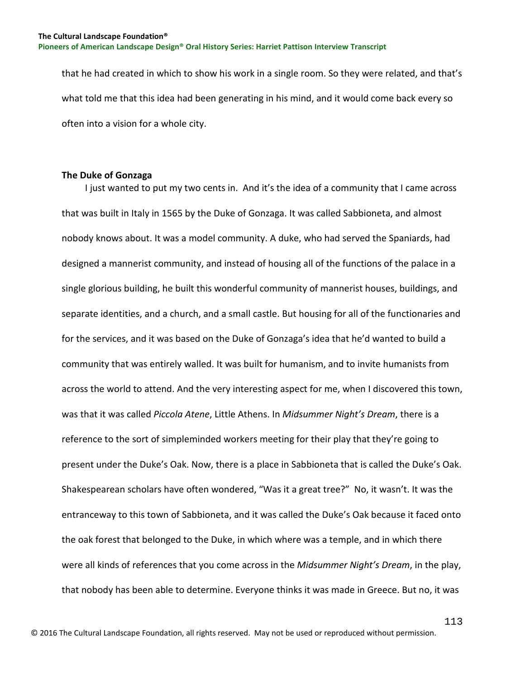that he had created in which to show his work in a single room. So they were related, and that's what told me that this idea had been generating in his mind, and it would come back every so often into a vision for a whole city.

## **The Duke of Gonzaga**

 I just wanted to put my two cents in. And it's the idea of a community that I came across that was built in Italy in 1565 by the Duke of Gonzaga. It was called Sabbioneta, and almost nobody knows about. It was a model community. A duke, who had served the Spaniards, had designed a mannerist community, and instead of housing all of the functions of the palace in a single glorious building, he built this wonderful community of mannerist houses, buildings, and separate identities, and a church, and a small castle. But housing for all of the functionaries and for the services, and it was based on the Duke of Gonzaga's idea that he'd wanted to build a community that was entirely walled. It was built for humanism, and to invite humanists from across the world to attend. And the very interesting aspect for me, when I discovered this town, was that it was called *Piccola Atene*, Little Athens. In *Midsummer Night's Dream*, there is a reference to the sort of simpleminded workers meeting for their play that they're going to present under the Duke's Oak. Now, there is a place in Sabbioneta that is called the Duke's Oak. Shakespearean scholars have often wondered, "Was it a great tree?" No, it wasn't. It was the entranceway to this town of Sabbioneta, and it was called the Duke's Oak because it faced onto the oak forest that belonged to the Duke, in which where was a temple, and in which there were all kinds of references that you come across in the *Midsummer Night's Dream*, in the play, that nobody has been able to determine. Everyone thinks it was made in Greece. But no, it was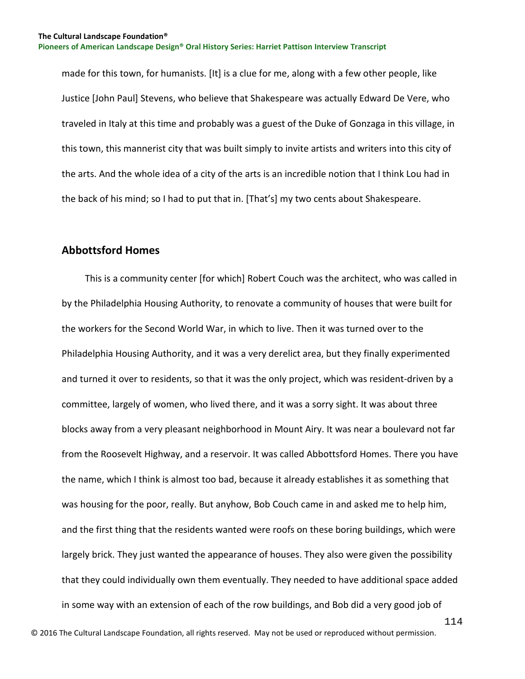made for this town, for humanists. [It] is a clue for me, along with a few other people, like Justice [John Paul] Stevens, who believe that Shakespeare was actually Edward De Vere, who traveled in Italy at this time and probably was a guest of the Duke of Gonzaga in this village, in this town, this mannerist city that was built simply to invite artists and writers into this city of the arts. And the whole idea of a city of the arts is an incredible notion that I think Lou had in the back of his mind; so I had to put that in. [That's] my two cents about Shakespeare.

# **Abbottsford Homes**

 This is a community center [for which] Robert Couch was the architect, who was called in by the Philadelphia Housing Authority, to renovate a community of houses that were built for the workers for the Second World War, in which to live. Then it was turned over to the Philadelphia Housing Authority, and it was a very derelict area, but they finally experimented and turned it over to residents, so that it was the only project, which was resident-driven by a committee, largely of women, who lived there, and it was a sorry sight. It was about three blocks away from a very pleasant neighborhood in Mount Airy. It was near a boulevard not far from the Roosevelt Highway, and a reservoir. It was called Abbottsford Homes. There you have the name, which I think is almost too bad, because it already establishes it as something that was housing for the poor, really. But anyhow, Bob Couch came in and asked me to help him, and the first thing that the residents wanted were roofs on these boring buildings, which were largely brick. They just wanted the appearance of houses. They also were given the possibility that they could individually own them eventually. They needed to have additional space added in some way with an extension of each of the row buildings, and Bob did a very good job of

114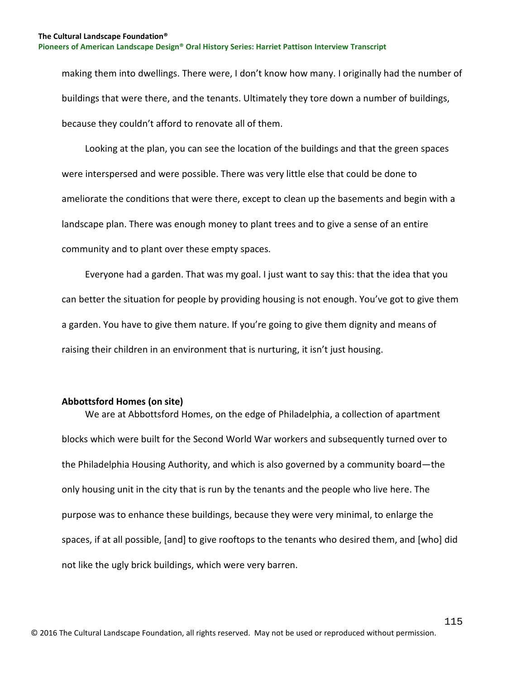making them into dwellings. There were, I don't know how many. I originally had the number of buildings that were there, and the tenants. Ultimately they tore down a number of buildings, because they couldn't afford to renovate all of them.

 Looking at the plan, you can see the location of the buildings and that the green spaces were interspersed and were possible. There was very little else that could be done to ameliorate the conditions that were there, except to clean up the basements and begin with a landscape plan. There was enough money to plant trees and to give a sense of an entire community and to plant over these empty spaces.

 Everyone had a garden. That was my goal. I just want to say this: that the idea that you can better the situation for people by providing housing is not enough. You've got to give them a garden. You have to give them nature. If you're going to give them dignity and means of raising their children in an environment that is nurturing, it isn't just housing.

#### **Abbottsford Homes (on site)**

 We are at Abbottsford Homes, on the edge of Philadelphia, a collection of apartment blocks which were built for the Second World War workers and subsequently turned over to the Philadelphia Housing Authority, and which is also governed by a community board—the only housing unit in the city that is run by the tenants and the people who live here. The purpose was to enhance these buildings, because they were very minimal, to enlarge the spaces, if at all possible, [and] to give rooftops to the tenants who desired them, and [who] did not like the ugly brick buildings, which were very barren.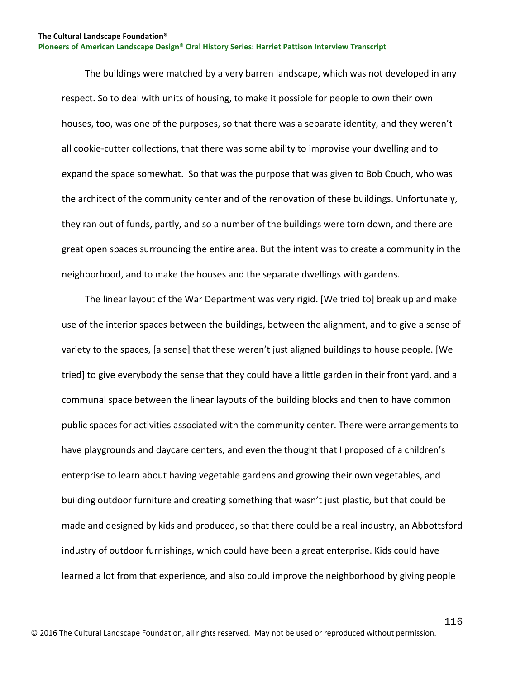The buildings were matched by a very barren landscape, which was not developed in any respect. So to deal with units of housing, to make it possible for people to own their own houses, too, was one of the purposes, so that there was a separate identity, and they weren't all cookie-cutter collections, that there was some ability to improvise your dwelling and to expand the space somewhat. So that was the purpose that was given to Bob Couch, who was the architect of the community center and of the renovation of these buildings. Unfortunately, they ran out of funds, partly, and so a number of the buildings were torn down, and there are great open spaces surrounding the entire area. But the intent was to create a community in the neighborhood, and to make the houses and the separate dwellings with gardens.

 The linear layout of the War Department was very rigid. [We tried to] break up and make use of the interior spaces between the buildings, between the alignment, and to give a sense of variety to the spaces, [a sense] that these weren't just aligned buildings to house people. [We tried] to give everybody the sense that they could have a little garden in their front yard, and a communal space between the linear layouts of the building blocks and then to have common public spaces for activities associated with the community center. There were arrangements to have playgrounds and daycare centers, and even the thought that I proposed of a children's enterprise to learn about having vegetable gardens and growing their own vegetables, and building outdoor furniture and creating something that wasn't just plastic, but that could be made and designed by kids and produced, so that there could be a real industry, an Abbottsford industry of outdoor furnishings, which could have been a great enterprise. Kids could have learned a lot from that experience, and also could improve the neighborhood by giving people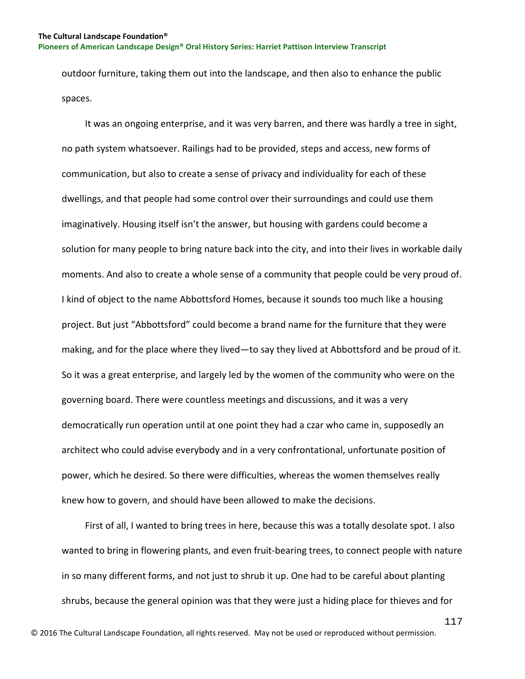outdoor furniture, taking them out into the landscape, and then also to enhance the public spaces.

 It was an ongoing enterprise, and it was very barren, and there was hardly a tree in sight, no path system whatsoever. Railings had to be provided, steps and access, new forms of communication, but also to create a sense of privacy and individuality for each of these dwellings, and that people had some control over their surroundings and could use them imaginatively. Housing itself isn't the answer, but housing with gardens could become a solution for many people to bring nature back into the city, and into their lives in workable daily moments. And also to create a whole sense of a community that people could be very proud of. I kind of object to the name Abbottsford Homes, because it sounds too much like a housing project. But just "Abbottsford" could become a brand name for the furniture that they were making, and for the place where they lived—to say they lived at Abbottsford and be proud of it. So it was a great enterprise, and largely led by the women of the community who were on the governing board. There were countless meetings and discussions, and it was a very democratically run operation until at one point they had a czar who came in, supposedly an architect who could advise everybody and in a very confrontational, unfortunate position of power, which he desired. So there were difficulties, whereas the women themselves really knew how to govern, and should have been allowed to make the decisions.

 First of all, I wanted to bring trees in here, because this was a totally desolate spot. I also wanted to bring in flowering plants, and even fruit-bearing trees, to connect people with nature in so many different forms, and not just to shrub it up. One had to be careful about planting shrubs, because the general opinion was that they were just a hiding place for thieves and for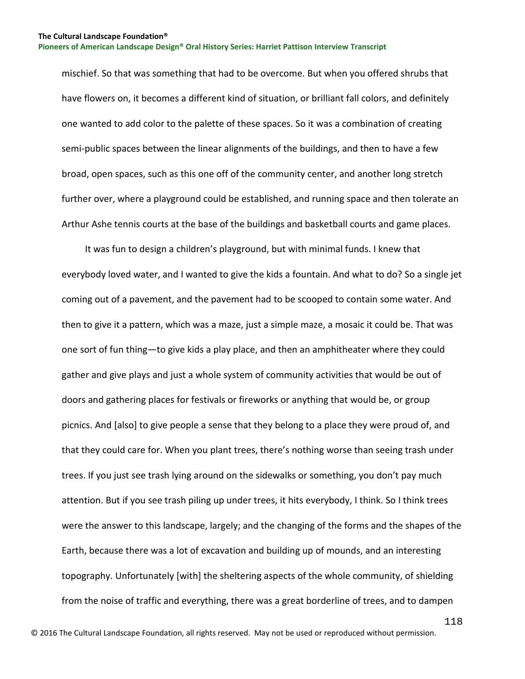mischief. So that was something that had to be overcome. But when you offered shrubs that have flowers on, it becomes a different kind of situation, or brilliant fall colors, and definitely one wanted to add color to the palette of these spaces. So it was a combination of creating semi-public spaces between the linear alignments of the buildings, and then to have a few broad, open spaces, such as this one off of the community center, and another long stretch further over, where a playground could be established, and running space and then tolerate an Arthur Ashe tennis courts at the base of the buildings and basketball courts and game places.

 It was fun to design a children's playground, but with minimal funds. I knew that everybody loved water, and I wanted to give the kids a fountain. And what to do? So a single jet coming out of a pavement, and the pavement had to be scooped to contain some water. And then to give it a pattern, which was a maze, just a simple maze, a mosaic it could be. That was one sort of fun thing—to give kids a play place, and then an amphitheater where they could gather and give plays and just a whole system of community activities that would be out of doors and gathering places for festivals or fireworks or anything that would be, or group picnics. And [also] to give people a sense that they belong to a place they were proud of, and that they could care for. When you plant trees, there's nothing worse than seeing trash under trees. If you just see trash lying around on the sidewalks or something, you don't pay much attention. But if you see trash piling up under trees, it hits everybody, I think. So I think trees were the answer to this landscape, largely; and the changing of the forms and the shapes of the Earth, because there was a lot of excavation and building up of mounds, and an interesting topography. Unfortunately [with] the sheltering aspects of the whole community, of shielding from the noise of traffic and everything, there was a great borderline of trees, and to dampen

118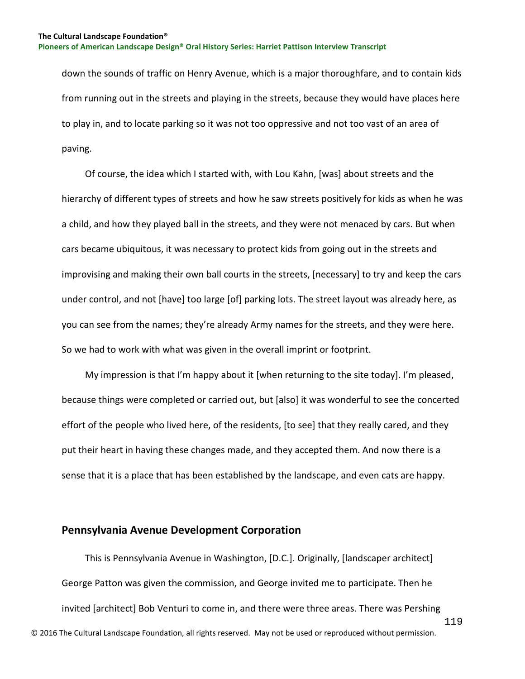down the sounds of traffic on Henry Avenue, which is a major thoroughfare, and to contain kids from running out in the streets and playing in the streets, because they would have places here to play in, and to locate parking so it was not too oppressive and not too vast of an area of paving.

 Of course, the idea which I started with, with Lou Kahn, [was] about streets and the hierarchy of different types of streets and how he saw streets positively for kids as when he was a child, and how they played ball in the streets, and they were not menaced by cars. But when cars became ubiquitous, it was necessary to protect kids from going out in the streets and improvising and making their own ball courts in the streets, [necessary] to try and keep the cars under control, and not [have] too large [of] parking lots. The street layout was already here, as you can see from the names; they're already Army names for the streets, and they were here. So we had to work with what was given in the overall imprint or footprint.

 My impression is that I'm happy about it [when returning to the site today]. I'm pleased, because things were completed or carried out, but [also] it was wonderful to see the concerted effort of the people who lived here, of the residents, [to see] that they really cared, and they put their heart in having these changes made, and they accepted them. And now there is a sense that it is a place that has been established by the landscape, and even cats are happy.

## **Pennsylvania Avenue Development Corporation**

119 © 2016 The Cultural Landscape Foundation, all rights reserved. May not be used or reproduced without permission. This is Pennsylvania Avenue in Washington, [D.C.]. Originally, [landscaper architect] George Patton was given the commission, and George invited me to participate. Then he invited [architect] Bob Venturi to come in, and there were three areas. There was Pershing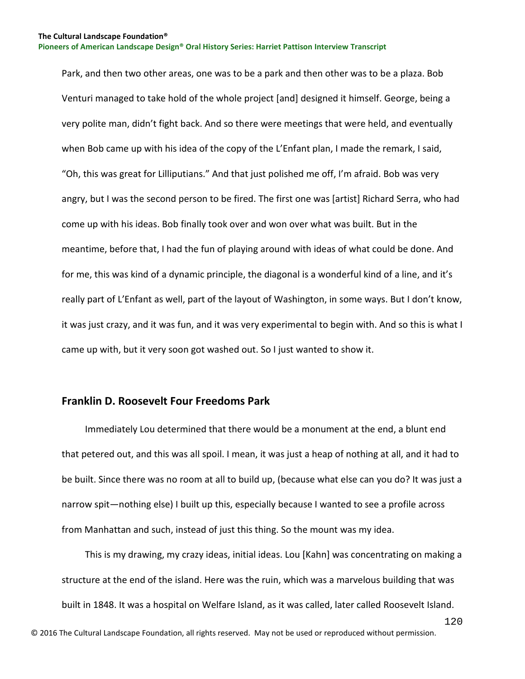Park, and then two other areas, one was to be a park and then other was to be a plaza. Bob Venturi managed to take hold of the whole project [and] designed it himself. George, being a very polite man, didn't fight back. And so there were meetings that were held, and eventually when Bob came up with his idea of the copy of the L'Enfant plan, I made the remark, I said, "Oh, this was great for Lilliputians." And that just polished me off, I'm afraid. Bob was very angry, but I was the second person to be fired. The first one was [artist] Richard Serra, who had come up with his ideas. Bob finally took over and won over what was built. But in the meantime, before that, I had the fun of playing around with ideas of what could be done. And for me, this was kind of a dynamic principle, the diagonal is a wonderful kind of a line, and it's really part of L'Enfant as well, part of the layout of Washington, in some ways. But I don't know, it was just crazy, and it was fun, and it was very experimental to begin with. And so this is what I came up with, but it very soon got washed out. So I just wanted to show it.

## **Franklin D. Roosevelt Four Freedoms Park**

 Immediately Lou determined that there would be a monument at the end, a blunt end that petered out, and this was all spoil. I mean, it was just a heap of nothing at all, and it had to be built. Since there was no room at all to build up, (because what else can you do? It was just a narrow spit—nothing else) I built up this, especially because I wanted to see a profile across from Manhattan and such, instead of just this thing. So the mount was my idea.

 This is my drawing, my crazy ideas, initial ideas. Lou [Kahn] was concentrating on making a structure at the end of the island. Here was the ruin, which was a marvelous building that was built in 1848. It was a hospital on Welfare Island, as it was called, later called Roosevelt Island.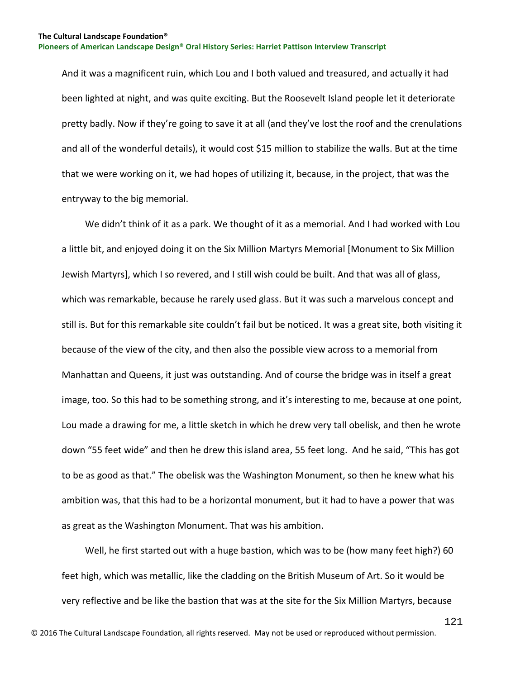And it was a magnificent ruin, which Lou and I both valued and treasured, and actually it had been lighted at night, and was quite exciting. But the Roosevelt Island people let it deteriorate pretty badly. Now if they're going to save it at all (and they've lost the roof and the crenulations and all of the wonderful details), it would cost \$15 million to stabilize the walls. But at the time that we were working on it, we had hopes of utilizing it, because, in the project, that was the entryway to the big memorial.

 We didn't think of it as a park. We thought of it as a memorial. And I had worked with Lou a little bit, and enjoyed doing it on the Six Million Martyrs Memorial [Monument to Six Million Jewish Martyrs], which I so revered, and I still wish could be built. And that was all of glass, which was remarkable, because he rarely used glass. But it was such a marvelous concept and still is. But for this remarkable site couldn't fail but be noticed. It was a great site, both visiting it because of the view of the city, and then also the possible view across to a memorial from Manhattan and Queens, it just was outstanding. And of course the bridge was in itself a great image, too. So this had to be something strong, and it's interesting to me, because at one point, Lou made a drawing for me, a little sketch in which he drew very tall obelisk, and then he wrote down "55 feet wide" and then he drew this island area, 55 feet long. And he said, "This has got to be as good as that." The obelisk was the Washington Monument, so then he knew what his ambition was, that this had to be a horizontal monument, but it had to have a power that was as great as the Washington Monument. That was his ambition.

 Well, he first started out with a huge bastion, which was to be (how many feet high?) 60 feet high, which was metallic, like the cladding on the British Museum of Art. So it would be very reflective and be like the bastion that was at the site for the Six Million Martyrs, because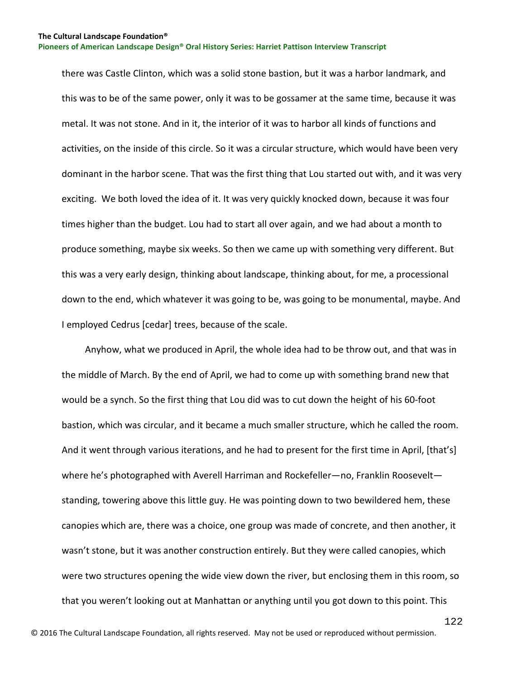there was Castle Clinton, which was a solid stone bastion, but it was a harbor landmark, and this was to be of the same power, only it was to be gossamer at the same time, because it was metal. It was not stone. And in it, the interior of it was to harbor all kinds of functions and activities, on the inside of this circle. So it was a circular structure, which would have been very dominant in the harbor scene. That was the first thing that Lou started out with, and it was very exciting. We both loved the idea of it. It was very quickly knocked down, because it was four times higher than the budget. Lou had to start all over again, and we had about a month to produce something, maybe six weeks. So then we came up with something very different. But this was a very early design, thinking about landscape, thinking about, for me, a processional down to the end, which whatever it was going to be, was going to be monumental, maybe. And I employed Cedrus [cedar] trees, because of the scale.

 Anyhow, what we produced in April, the whole idea had to be throw out, and that was in the middle of March. By the end of April, we had to come up with something brand new that would be a synch. So the first thing that Lou did was to cut down the height of his 60-foot bastion, which was circular, and it became a much smaller structure, which he called the room. And it went through various iterations, and he had to present for the first time in April, [that's] where he's photographed with Averell Harriman and Rockefeller—no, Franklin Roosevelt standing, towering above this little guy. He was pointing down to two bewildered hem, these canopies which are, there was a choice, one group was made of concrete, and then another, it wasn't stone, but it was another construction entirely. But they were called canopies, which were two structures opening the wide view down the river, but enclosing them in this room, so that you weren't looking out at Manhattan or anything until you got down to this point. This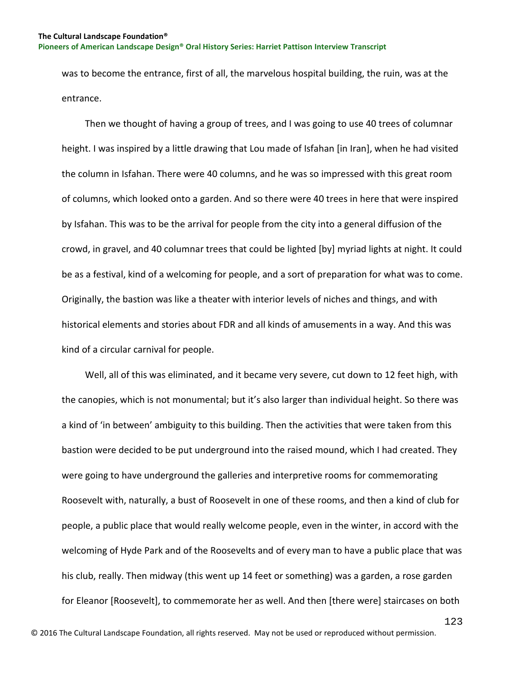was to become the entrance, first of all, the marvelous hospital building, the ruin, was at the entrance.

 Then we thought of having a group of trees, and I was going to use 40 trees of columnar height. I was inspired by a little drawing that Lou made of Isfahan [in Iran], when he had visited the column in Isfahan. There were 40 columns, and he was so impressed with this great room of columns, which looked onto a garden. And so there were 40 trees in here that were inspired by Isfahan. This was to be the arrival for people from the city into a general diffusion of the crowd, in gravel, and 40 columnar trees that could be lighted [by] myriad lights at night. It could be as a festival, kind of a welcoming for people, and a sort of preparation for what was to come. Originally, the bastion was like a theater with interior levels of niches and things, and with historical elements and stories about FDR and all kinds of amusements in a way. And this was kind of a circular carnival for people.

 Well, all of this was eliminated, and it became very severe, cut down to 12 feet high, with the canopies, which is not monumental; but it's also larger than individual height. So there was a kind of 'in between' ambiguity to this building. Then the activities that were taken from this bastion were decided to be put underground into the raised mound, which I had created. They were going to have underground the galleries and interpretive rooms for commemorating Roosevelt with, naturally, a bust of Roosevelt in one of these rooms, and then a kind of club for people, a public place that would really welcome people, even in the winter, in accord with the welcoming of Hyde Park and of the Roosevelts and of every man to have a public place that was his club, really. Then midway (this went up 14 feet or something) was a garden, a rose garden for Eleanor [Roosevelt], to commemorate her as well. And then [there were] staircases on both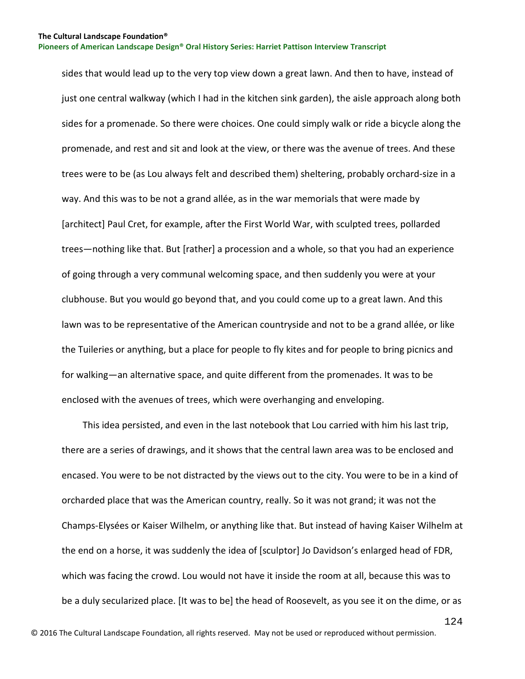sides that would lead up to the very top view down a great lawn. And then to have, instead of just one central walkway (which I had in the kitchen sink garden), the aisle approach along both sides for a promenade. So there were choices. One could simply walk or ride a bicycle along the promenade, and rest and sit and look at the view, or there was the avenue of trees. And these trees were to be (as Lou always felt and described them) sheltering, probably orchard-size in a way. And this was to be not a grand allée, as in the war memorials that were made by [architect] Paul Cret, for example, after the First World War, with sculpted trees, pollarded trees—nothing like that. But [rather] a procession and a whole, so that you had an experience of going through a very communal welcoming space, and then suddenly you were at your clubhouse. But you would go beyond that, and you could come up to a great lawn. And this lawn was to be representative of the American countryside and not to be a grand allée, or like the Tuileries or anything, but a place for people to fly kites and for people to bring picnics and for walking—an alternative space, and quite different from the promenades. It was to be enclosed with the avenues of trees, which were overhanging and enveloping.

 This idea persisted, and even in the last notebook that Lou carried with him his last trip, there are a series of drawings, and it shows that the central lawn area was to be enclosed and encased. You were to be not distracted by the views out to the city. You were to be in a kind of orcharded place that was the American country, really. So it was not grand; it was not the Champs-Elysées or Kaiser Wilhelm, or anything like that. But instead of having Kaiser Wilhelm at the end on a horse, it was suddenly the idea of [sculptor] Jo Davidson's enlarged head of FDR, which was facing the crowd. Lou would not have it inside the room at all, because this was to be a duly secularized place. [It was to be] the head of Roosevelt, as you see it on the dime, or as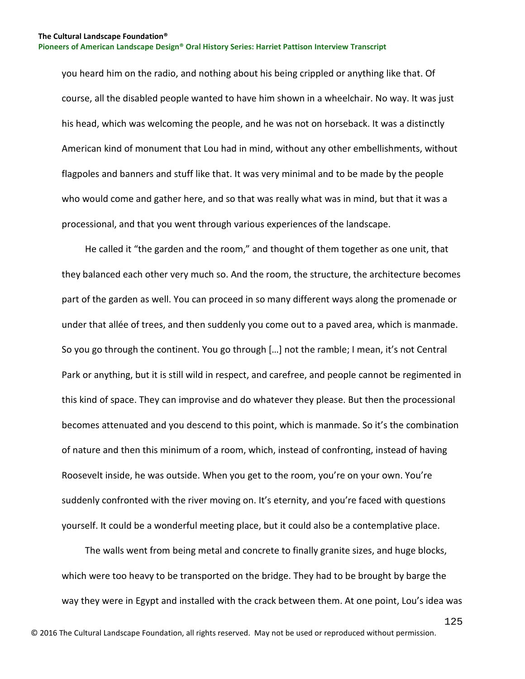you heard him on the radio, and nothing about his being crippled or anything like that. Of course, all the disabled people wanted to have him shown in a wheelchair. No way. It was just his head, which was welcoming the people, and he was not on horseback. It was a distinctly American kind of monument that Lou had in mind, without any other embellishments, without flagpoles and banners and stuff like that. It was very minimal and to be made by the people who would come and gather here, and so that was really what was in mind, but that it was a processional, and that you went through various experiences of the landscape.

 He called it "the garden and the room," and thought of them together as one unit, that they balanced each other very much so. And the room, the structure, the architecture becomes part of the garden as well. You can proceed in so many different ways along the promenade or under that allée of trees, and then suddenly you come out to a paved area, which is manmade. So you go through the continent. You go through […] not the ramble; I mean, it's not Central Park or anything, but it is still wild in respect, and carefree, and people cannot be regimented in this kind of space. They can improvise and do whatever they please. But then the processional becomes attenuated and you descend to this point, which is manmade. So it's the combination of nature and then this minimum of a room, which, instead of confronting, instead of having Roosevelt inside, he was outside. When you get to the room, you're on your own. You're suddenly confronted with the river moving on. It's eternity, and you're faced with questions yourself. It could be a wonderful meeting place, but it could also be a contemplative place.

 The walls went from being metal and concrete to finally granite sizes, and huge blocks, which were too heavy to be transported on the bridge. They had to be brought by barge the way they were in Egypt and installed with the crack between them. At one point, Lou's idea was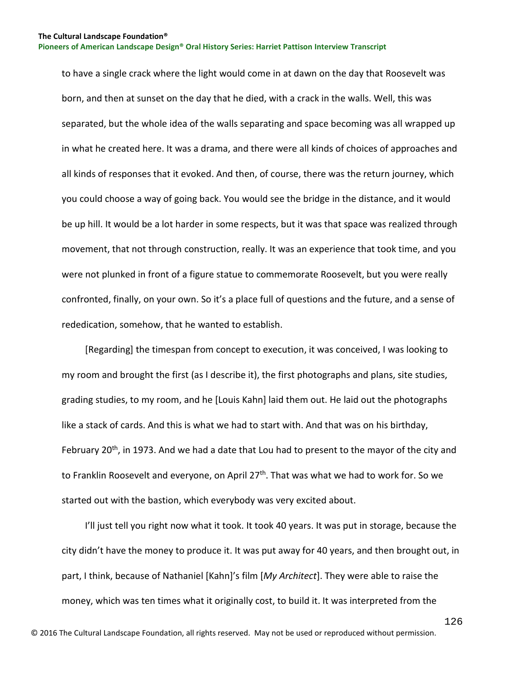to have a single crack where the light would come in at dawn on the day that Roosevelt was born, and then at sunset on the day that he died, with a crack in the walls. Well, this was separated, but the whole idea of the walls separating and space becoming was all wrapped up in what he created here. It was a drama, and there were all kinds of choices of approaches and all kinds of responses that it evoked. And then, of course, there was the return journey, which you could choose a way of going back. You would see the bridge in the distance, and it would be up hill. It would be a lot harder in some respects, but it was that space was realized through movement, that not through construction, really. It was an experience that took time, and you were not plunked in front of a figure statue to commemorate Roosevelt, but you were really confronted, finally, on your own. So it's a place full of questions and the future, and a sense of rededication, somehow, that he wanted to establish.

 [Regarding] the timespan from concept to execution, it was conceived, I was looking to my room and brought the first (as I describe it), the first photographs and plans, site studies, grading studies, to my room, and he [Louis Kahn] laid them out. He laid out the photographs like a stack of cards. And this is what we had to start with. And that was on his birthday, February 20<sup>th</sup>, in 1973. And we had a date that Lou had to present to the mayor of the city and to Franklin Roosevelt and everyone, on April 27<sup>th</sup>. That was what we had to work for. So we started out with the bastion, which everybody was very excited about.

 I'll just tell you right now what it took. It took 40 years. It was put in storage, because the city didn't have the money to produce it. It was put away for 40 years, and then brought out, in part, I think, because of Nathaniel [Kahn]'s film [*My Architect*]. They were able to raise the money, which was ten times what it originally cost, to build it. It was interpreted from the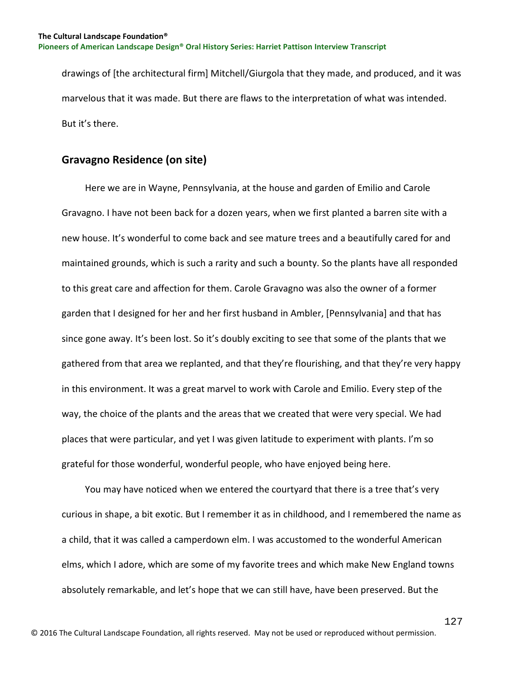drawings of [the architectural firm] Mitchell/Giurgola that they made, and produced, and it was marvelous that it was made. But there are flaws to the interpretation of what was intended. But it's there.

# **Gravagno Residence (on site)**

 Here we are in Wayne, Pennsylvania, at the house and garden of Emilio and Carole Gravagno. I have not been back for a dozen years, when we first planted a barren site with a new house. It's wonderful to come back and see mature trees and a beautifully cared for and maintained grounds, which is such a rarity and such a bounty. So the plants have all responded to this great care and affection for them. Carole Gravagno was also the owner of a former garden that I designed for her and her first husband in Ambler, [Pennsylvania] and that has since gone away. It's been lost. So it's doubly exciting to see that some of the plants that we gathered from that area we replanted, and that they're flourishing, and that they're very happy in this environment. It was a great marvel to work with Carole and Emilio. Every step of the way, the choice of the plants and the areas that we created that were very special. We had places that were particular, and yet I was given latitude to experiment with plants. I'm so grateful for those wonderful, wonderful people, who have enjoyed being here.

 You may have noticed when we entered the courtyard that there is a tree that's very curious in shape, a bit exotic. But I remember it as in childhood, and I remembered the name as a child, that it was called a camperdown elm. I was accustomed to the wonderful American elms, which I adore, which are some of my favorite trees and which make New England towns absolutely remarkable, and let's hope that we can still have, have been preserved. But the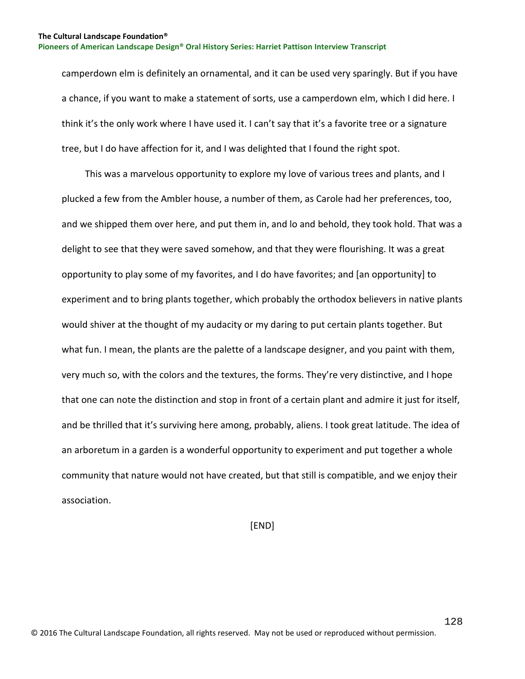camperdown elm is definitely an ornamental, and it can be used very sparingly. But if you have a chance, if you want to make a statement of sorts, use a camperdown elm, which I did here. I think it's the only work where I have used it. I can't say that it's a favorite tree or a signature tree, but I do have affection for it, and I was delighted that I found the right spot.

 This was a marvelous opportunity to explore my love of various trees and plants, and I plucked a few from the Ambler house, a number of them, as Carole had her preferences, too, and we shipped them over here, and put them in, and lo and behold, they took hold. That was a delight to see that they were saved somehow, and that they were flourishing. It was a great opportunity to play some of my favorites, and I do have favorites; and [an opportunity] to experiment and to bring plants together, which probably the orthodox believers in native plants would shiver at the thought of my audacity or my daring to put certain plants together. But what fun. I mean, the plants are the palette of a landscape designer, and you paint with them, very much so, with the colors and the textures, the forms. They're very distinctive, and I hope that one can note the distinction and stop in front of a certain plant and admire it just for itself, and be thrilled that it's surviving here among, probably, aliens. I took great latitude. The idea of an arboretum in a garden is a wonderful opportunity to experiment and put together a whole community that nature would not have created, but that still is compatible, and we enjoy their association.

[END]